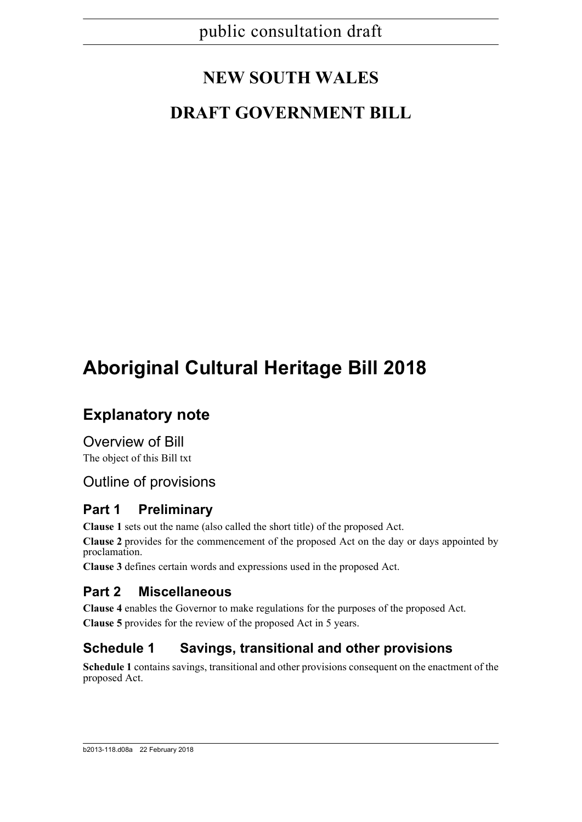# **NEW SOUTH WALES**

# **DRAFT GOVERNMENT BILL**

# **Aboriginal Cultural Heritage Bill 2018**

# **Explanatory note**

Overview of Bill The object of this Bill txt

## Outline of provisions

## **Part 1 Preliminary**

**Clause 1** sets out the name (also called the short title) of the proposed Act.

**Clause 2** provides for the commencement of the proposed Act on the day or days appointed by proclamation.

**Clause 3** defines certain words and expressions used in the proposed Act.

## **Part 2 Miscellaneous**

**Clause 4** enables the Governor to make regulations for the purposes of the proposed Act. **Clause 5** provides for the review of the proposed Act in 5 years.

## **Schedule 1 Savings, transitional and other provisions**

**Schedule 1** contains savings, transitional and other provisions consequent on the enactment of the proposed Act.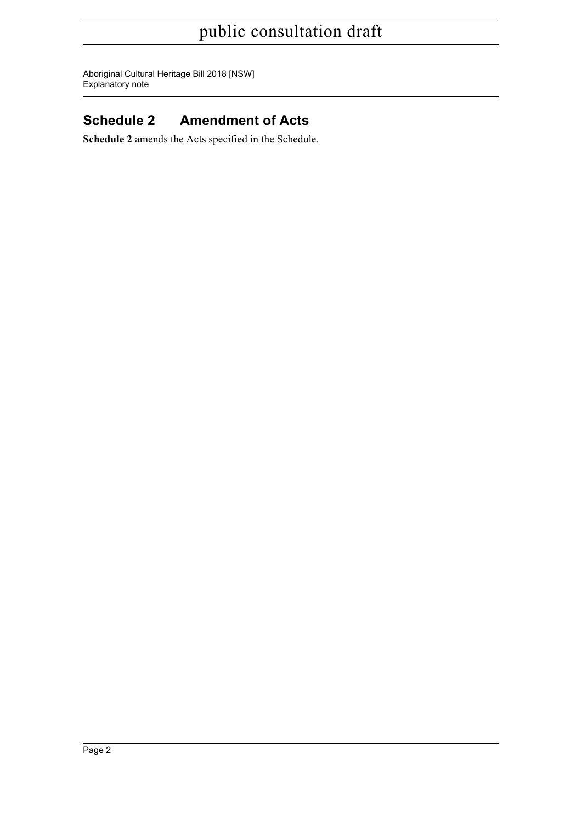Aboriginal Cultural Heritage Bill 2018 [NSW] Explanatory note

## **Schedule 2 Amendment of Acts**

**Schedule 2** amends the Acts specified in the Schedule.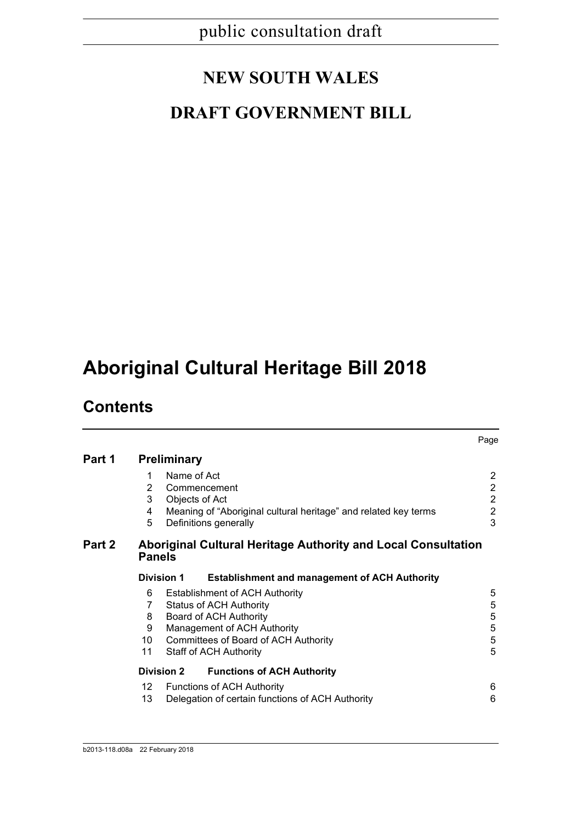# **NEW SOUTH WALES**

# **DRAFT GOVERNMENT BILL**

# **Aboriginal Cultural Heritage Bill 2018**

# **Contents**

|                 |                                                      | Page                                                                                                                                                                                                                                                                               |
|-----------------|------------------------------------------------------|------------------------------------------------------------------------------------------------------------------------------------------------------------------------------------------------------------------------------------------------------------------------------------|
|                 |                                                      |                                                                                                                                                                                                                                                                                    |
| 1               | Name of Act                                          | $\overline{2}$                                                                                                                                                                                                                                                                     |
| 2               | Commencement                                         | $\overline{2}$                                                                                                                                                                                                                                                                     |
| 3               | Objects of Act                                       | $\overline{2}$                                                                                                                                                                                                                                                                     |
| 4               |                                                      | $\overline{2}$                                                                                                                                                                                                                                                                     |
|                 |                                                      | 3                                                                                                                                                                                                                                                                                  |
|                 |                                                      |                                                                                                                                                                                                                                                                                    |
|                 | <b>Establishment and management of ACH Authority</b> |                                                                                                                                                                                                                                                                                    |
| 6               | <b>Establishment of ACH Authority</b>                | 5                                                                                                                                                                                                                                                                                  |
| 7               | <b>Status of ACH Authority</b>                       | 5                                                                                                                                                                                                                                                                                  |
| 8               | Board of ACH Authority                               | 5                                                                                                                                                                                                                                                                                  |
| 9               | Management of ACH Authority                          | $\mathbf 5$                                                                                                                                                                                                                                                                        |
| 10 <sup>°</sup> |                                                      | 5                                                                                                                                                                                                                                                                                  |
| 11              | <b>Staff of ACH Authority</b>                        | 5                                                                                                                                                                                                                                                                                  |
|                 | <b>Functions of ACH Authority</b>                    |                                                                                                                                                                                                                                                                                    |
| 12              | <b>Functions of ACH Authority</b>                    | 6                                                                                                                                                                                                                                                                                  |
| 13              | Delegation of certain functions of ACH Authority     | 6                                                                                                                                                                                                                                                                                  |
|                 | 5                                                    | <b>Preliminary</b><br>Meaning of "Aboriginal cultural heritage" and related key terms<br>Definitions generally<br>Aboriginal Cultural Heritage Authority and Local Consultation<br><b>Panels</b><br><b>Division 1</b><br>Committees of Board of ACH Authority<br><b>Division 2</b> |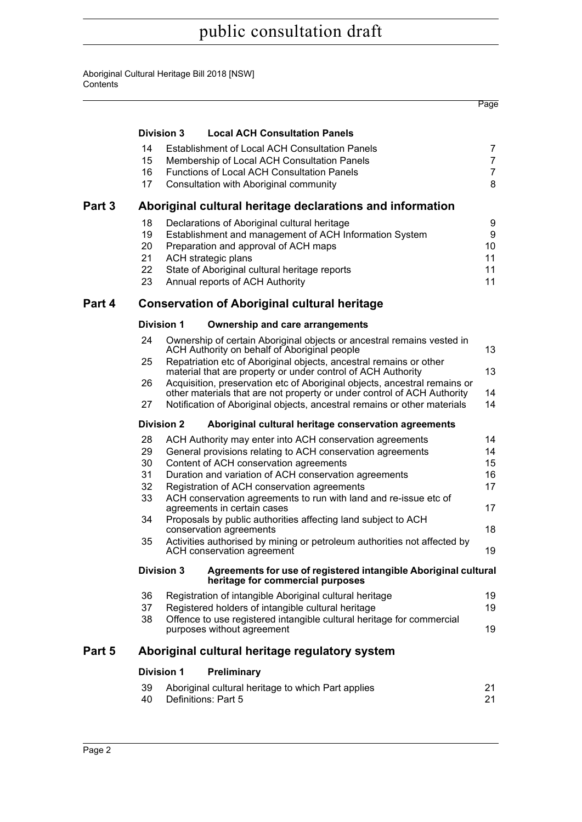|        |                            |                   |                                                                                                                                                                                                                                                                          | Page                       |
|--------|----------------------------|-------------------|--------------------------------------------------------------------------------------------------------------------------------------------------------------------------------------------------------------------------------------------------------------------------|----------------------------|
|        |                            | <b>Division 3</b> | <b>Local ACH Consultation Panels</b>                                                                                                                                                                                                                                     |                            |
|        | 14<br>15<br>16             |                   | <b>Establishment of Local ACH Consultation Panels</b><br>Membership of Local ACH Consultation Panels<br><b>Functions of Local ACH Consultation Panels</b>                                                                                                                | 7<br>$\overline{7}$<br>7   |
|        | 17                         |                   | Consultation with Aboriginal community                                                                                                                                                                                                                                   | 8                          |
| Part 3 |                            |                   | Aboriginal cultural heritage declarations and information                                                                                                                                                                                                                |                            |
|        | 18<br>19<br>20<br>21       |                   | Declarations of Aboriginal cultural heritage<br>Establishment and management of ACH Information System<br>Preparation and approval of ACH maps<br>ACH strategic plans                                                                                                    | 9<br>9<br>10<br>11         |
|        | 22<br>23                   |                   | State of Aboriginal cultural heritage reports<br>Annual reports of ACH Authority                                                                                                                                                                                         | 11<br>11                   |
| Part 4 |                            |                   | <b>Conservation of Aboriginal cultural heritage</b>                                                                                                                                                                                                                      |                            |
|        |                            | <b>Division 1</b> | <b>Ownership and care arrangements</b>                                                                                                                                                                                                                                   |                            |
|        | 24                         |                   | Ownership of certain Aboriginal objects or ancestral remains vested in<br>ACH Authority on behalf of Aboriginal people                                                                                                                                                   | 13                         |
|        | 25                         |                   | Repatriation etc of Aboriginal objects, ancestral remains or other<br>material that are property or under control of ACH Authority                                                                                                                                       | 13                         |
|        | 26                         |                   | Acquisition, preservation etc of Aboriginal objects, ancestral remains or<br>other materials that are not property or under control of ACH Authority                                                                                                                     | 14                         |
|        | 27                         |                   | Notification of Aboriginal objects, ancestral remains or other materials                                                                                                                                                                                                 | 14                         |
|        |                            | <b>Division 2</b> | Aboriginal cultural heritage conservation agreements                                                                                                                                                                                                                     |                            |
|        | 28<br>29<br>30<br>31<br>32 |                   | ACH Authority may enter into ACH conservation agreements<br>General provisions relating to ACH conservation agreements<br>Content of ACH conservation agreements<br>Duration and variation of ACH conservation agreements<br>Registration of ACH conservation agreements | 14<br>14<br>15<br>16<br>17 |
|        | 33                         |                   | ACH conservation agreements to run with land and re-issue etc of<br>agreements in certain cases                                                                                                                                                                          | 17                         |
|        | 34                         |                   | Proposals by public authorities affecting land subject to ACH<br>conservation agreements                                                                                                                                                                                 | 18                         |
|        | 35                         |                   | Activities authorised by mining or petroleum authorities not affected by<br>ACH conservation agreement                                                                                                                                                                   | 19                         |
|        |                            | <b>Division 3</b> | Agreements for use of registered intangible Aboriginal cultural<br>heritage for commercial purposes                                                                                                                                                                      |                            |
|        | 36<br>37<br>38             |                   | Registration of intangible Aboriginal cultural heritage<br>Registered holders of intangible cultural heritage<br>Offence to use registered intangible cultural heritage for commercial                                                                                   | 19<br>19<br>19             |
|        |                            |                   | purposes without agreement                                                                                                                                                                                                                                               |                            |
| Part 5 |                            |                   | Aboriginal cultural heritage regulatory system                                                                                                                                                                                                                           |                            |
|        |                            | <b>Division 1</b> | Preliminary                                                                                                                                                                                                                                                              |                            |
|        | 39<br>40                   |                   | Aboriginal cultural heritage to which Part applies<br>Definitions: Part 5                                                                                                                                                                                                | 21<br>21                   |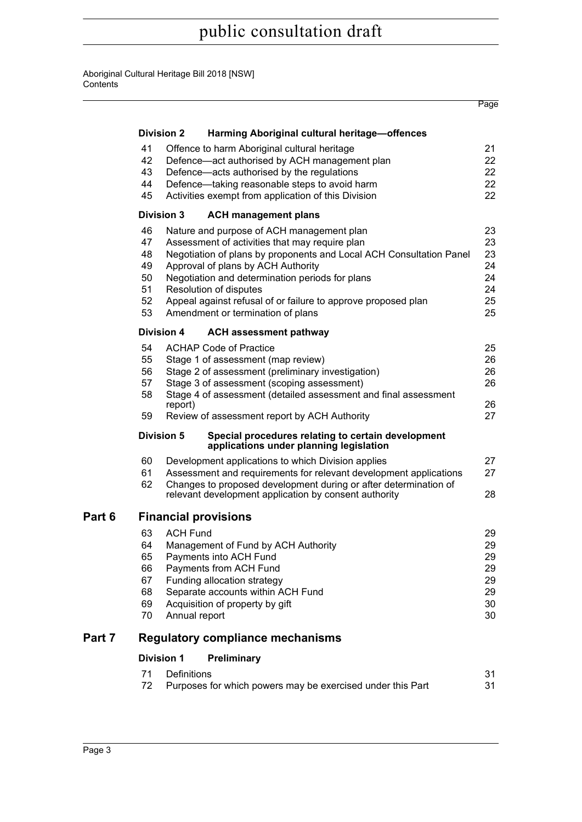|        |    | <b>Division 2</b><br>Harming Aboriginal cultural heritage-offences                                                        |    |
|--------|----|---------------------------------------------------------------------------------------------------------------------------|----|
|        | 41 | Offence to harm Aboriginal cultural heritage                                                                              | 21 |
|        | 42 | Defence-act authorised by ACH management plan                                                                             | 22 |
|        | 43 | Defence-acts authorised by the regulations                                                                                | 22 |
|        | 44 | Defence-taking reasonable steps to avoid harm                                                                             | 22 |
|        | 45 | Activities exempt from application of this Division                                                                       | 22 |
|        |    | <b>Division 3</b><br><b>ACH management plans</b>                                                                          |    |
|        | 46 | Nature and purpose of ACH management plan                                                                                 | 23 |
|        | 47 | Assessment of activities that may require plan                                                                            | 23 |
|        | 48 | Negotiation of plans by proponents and Local ACH Consultation Panel                                                       | 23 |
|        | 49 | Approval of plans by ACH Authority                                                                                        | 24 |
|        | 50 | Negotiation and determination periods for plans                                                                           | 24 |
|        | 51 | Resolution of disputes                                                                                                    | 24 |
|        | 52 | Appeal against refusal of or failure to approve proposed plan                                                             | 25 |
|        | 53 | Amendment or termination of plans                                                                                         | 25 |
|        |    | <b>Division 4</b><br><b>ACH assessment pathway</b>                                                                        |    |
|        | 54 | <b>ACHAP Code of Practice</b>                                                                                             | 25 |
|        | 55 | Stage 1 of assessment (map review)                                                                                        | 26 |
|        | 56 | Stage 2 of assessment (preliminary investigation)                                                                         | 26 |
|        | 57 | Stage 3 of assessment (scoping assessment)                                                                                | 26 |
|        | 58 | Stage 4 of assessment (detailed assessment and final assessment                                                           |    |
|        |    | report)                                                                                                                   | 26 |
|        | 59 | Review of assessment report by ACH Authority                                                                              | 27 |
|        |    | <b>Division 5</b><br>Special procedures relating to certain development<br>applications under planning legislation        |    |
|        | 60 | Development applications to which Division applies                                                                        | 27 |
|        | 61 | Assessment and requirements for relevant development applications                                                         | 27 |
|        | 62 | Changes to proposed development during or after determination of<br>relevant development application by consent authority | 28 |
| Part 6 |    | <b>Financial provisions</b>                                                                                               |    |
|        | 63 | <b>ACH Fund</b>                                                                                                           | 29 |
|        | 64 | Management of Fund by ACH Authority                                                                                       | 29 |
|        | 65 | Payments into ACH Fund                                                                                                    | 29 |

**Page** 

| 63 | ACH Fund                            | 29 |
|----|-------------------------------------|----|
| 64 | Management of Fund by ACH Authority | 29 |
|    | 65 Payments into ACH Fund           | 29 |
|    | 66 Payments from ACH Fund           | 29 |
|    | 67 Funding allocation strategy      | 29 |
| 68 | Separate accounts within ACH Fund   | 29 |
| 69 | Acquisition of property by gift     | 30 |
|    |                                     |    |

[70 Annual report 30](#page-37-1) annual report 30 annual report 30 annual report 30 annual report 30 annual report 30 annual report 30 annual report 30 annual report 30 annual report 30 annual report 30 annual report 30 annual report 3

## **[Part 7 Regulatory compliance mechanisms](#page-38-0)**

## **[Division 1 Preliminary](#page-38-1)**

| 71 Definitions                                                |    |
|---------------------------------------------------------------|----|
| 72 Purposes for which powers may be exercised under this Part | 31 |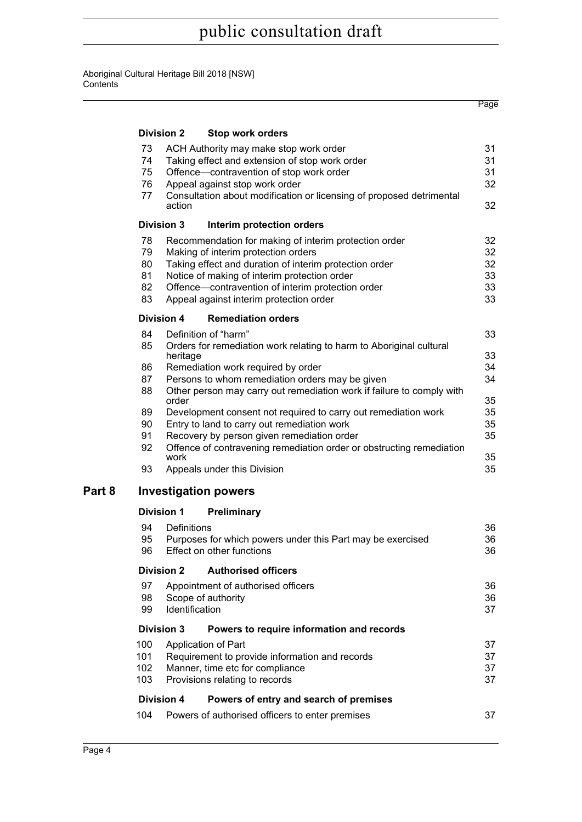$\overline{\phantom{0}}$ 

|   |     |                    |                                                                       | Page |
|---|-----|--------------------|-----------------------------------------------------------------------|------|
|   |     | <b>Division 2</b>  | <b>Stop work orders</b>                                               |      |
|   | 73  |                    | ACH Authority may make stop work order                                | 31   |
|   | 74  |                    | Taking effect and extension of stop work order                        | 31   |
|   | 75  |                    | Offence-contravention of stop work order                              | 31   |
|   | 76  |                    | Appeal against stop work order                                        | 32   |
|   | 77  | action             | Consultation about modification or licensing of proposed detrimental  | 32   |
|   |     | <b>Division 3</b>  | Interim protection orders                                             |      |
|   | 78  |                    | Recommendation for making of interim protection order                 | 32   |
|   | 79  |                    | Making of interim protection orders                                   | 32   |
|   | 80  |                    | Taking effect and duration of interim protection order                | 32   |
|   | 81  |                    | Notice of making of interim protection order                          | 33   |
|   | 82  |                    | Offence-contravention of interim protection order                     | 33   |
|   | 83  |                    | Appeal against interim protection order                               | 33   |
|   |     | Division 4         | <b>Remediation orders</b>                                             |      |
|   | 84  |                    | Definition of "harm"                                                  | 33   |
|   | 85  | heritage           | Orders for remediation work relating to harm to Aboriginal cultural   | 33   |
|   | 86  |                    | Remediation work required by order                                    | 34   |
|   | 87  |                    | Persons to whom remediation orders may be given                       | 34   |
|   | 88  | order              | Other person may carry out remediation work if failure to comply with | 35   |
|   | 89  |                    | Development consent not required to carry out remediation work        | 35   |
|   | 90  |                    | Entry to land to carry out remediation work                           | 35   |
|   | 91  |                    | Recovery by person given remediation order                            | 35   |
|   | 92  | work               | Offence of contravening remediation order or obstructing remediation  | 35   |
|   | 93  |                    | Appeals under this Division                                           | 35   |
| 8 |     |                    | <b>Investigation powers</b>                                           |      |
|   |     | <b>Division 1</b>  | Preliminary                                                           |      |
|   | 94  | <b>Definitions</b> |                                                                       | 36   |
|   | 95  |                    | Purposes for which powers under this Part may be exercised            | 36   |
|   | 96  |                    | Effect on other functions                                             | 36   |
|   |     | <b>Division 2</b>  | <b>Authorised officers</b>                                            |      |
|   | 97  |                    | Appointment of authorised officers                                    | 36   |
|   | 98  |                    | Scope of authority                                                    | 36   |
|   | 99  | Identification     |                                                                       | 37   |
|   |     | Division 3         | Powers to require information and records                             |      |
|   | 100 |                    | Application of Part                                                   | 37   |
|   | 101 |                    | Requirement to provide information and records                        | 37   |
|   | 102 |                    | Manner, time etc for compliance                                       | 37   |
|   | 103 |                    | Provisions relating to records                                        | 37   |
|   |     | <b>Division 4</b>  | Powers of entry and search of premises                                |      |
|   | 104 |                    | Powers of authorised officers to enter premises                       | 37   |

**Part**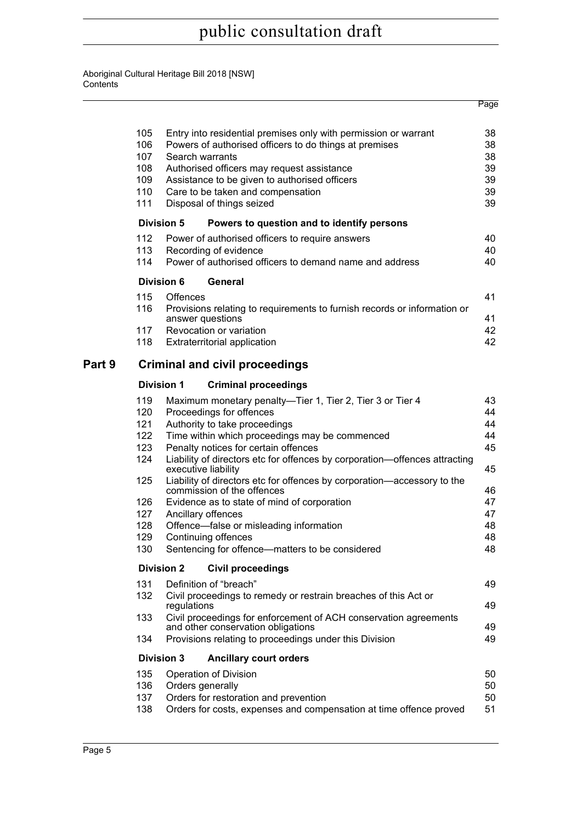|        |                                          |                     |                                                                                                       | Page     |
|--------|------------------------------------------|---------------------|-------------------------------------------------------------------------------------------------------|----------|
|        | 105                                      |                     | Entry into residential premises only with permission or warrant                                       | 38       |
|        | 106                                      |                     | Powers of authorised officers to do things at premises                                                | 38       |
|        | 107                                      | Search warrants     |                                                                                                       | 38       |
|        | 108                                      |                     | Authorised officers may request assistance                                                            | 39       |
|        | 109                                      |                     | Assistance to be given to authorised officers                                                         | 39       |
|        | 110<br>Care to be taken and compensation |                     |                                                                                                       |          |
|        | 111                                      |                     | Disposal of things seized                                                                             | 39<br>39 |
|        |                                          | <b>Division 5</b>   | Powers to question and to identify persons                                                            |          |
|        | 112                                      |                     | Power of authorised officers to require answers                                                       | 40       |
|        | 113                                      |                     | Recording of evidence                                                                                 | 40       |
|        | 114                                      |                     | Power of authorised officers to demand name and address                                               | 40       |
|        |                                          | <b>Division 6</b>   | General                                                                                               |          |
|        | 115                                      | Offences            |                                                                                                       | 41       |
|        | 116                                      | answer questions    | Provisions relating to requirements to furnish records or information or                              | 41       |
|        | 117                                      |                     | Revocation or variation                                                                               | 42       |
|        | 118                                      |                     | Extraterritorial application                                                                          | 42       |
| Part 9 |                                          |                     | <b>Criminal and civil proceedings</b>                                                                 |          |
|        |                                          | <b>Division 1</b>   | <b>Criminal proceedings</b>                                                                           |          |
|        | 119                                      |                     | Maximum monetary penalty-Tier 1, Tier 2, Tier 3 or Tier 4                                             | 43       |
|        | 120                                      |                     | Proceedings for offences                                                                              | 44       |
|        | 121                                      |                     | Authority to take proceedings                                                                         | 44       |
|        | 122                                      |                     | Time within which proceedings may be commenced                                                        | 44       |
|        | 123                                      |                     | Penalty notices for certain offences                                                                  | 45       |
|        | 124                                      | executive liability | Liability of directors etc for offences by corporation-offences attracting                            | 45       |
|        | 125                                      |                     | Liability of directors etc for offences by corporation-accessory to the<br>commission of the offences | 46       |
|        | 126                                      |                     | Evidence as to state of mind of corporation                                                           | 47       |
|        | 127                                      | Ancillary offences  |                                                                                                       | 47       |
|        | 128                                      |                     | Offence-false or misleading information                                                               | 48       |
|        | 129                                      |                     | Continuing offences                                                                                   | 48       |
|        | 130                                      |                     | Sentencing for offence—matters to be considered                                                       | 48       |
|        |                                          | <b>Division 2</b>   | <b>Civil proceedings</b>                                                                              |          |
|        | 131                                      |                     | Definition of "breach"                                                                                | 49       |
|        | 132                                      | regulations         | Civil proceedings to remedy or restrain breaches of this Act or                                       | 49       |
|        | 133                                      |                     | Civil proceedings for enforcement of ACH conservation agreements                                      |          |
|        |                                          |                     | and other conservation obligations                                                                    | 49       |
|        | 134                                      |                     | Provisions relating to proceedings under this Division                                                | 49       |
|        |                                          | <b>Division 3</b>   | <b>Ancillary court orders</b>                                                                         |          |
|        | 135                                      |                     | Operation of Division                                                                                 | 50       |
|        | 136                                      | Orders generally    |                                                                                                       | 50       |
|        | 137                                      |                     | Orders for restoration and prevention                                                                 | 50       |
|        | 138                                      |                     | Orders for costs, expenses and compensation at time offence proved                                    | 51       |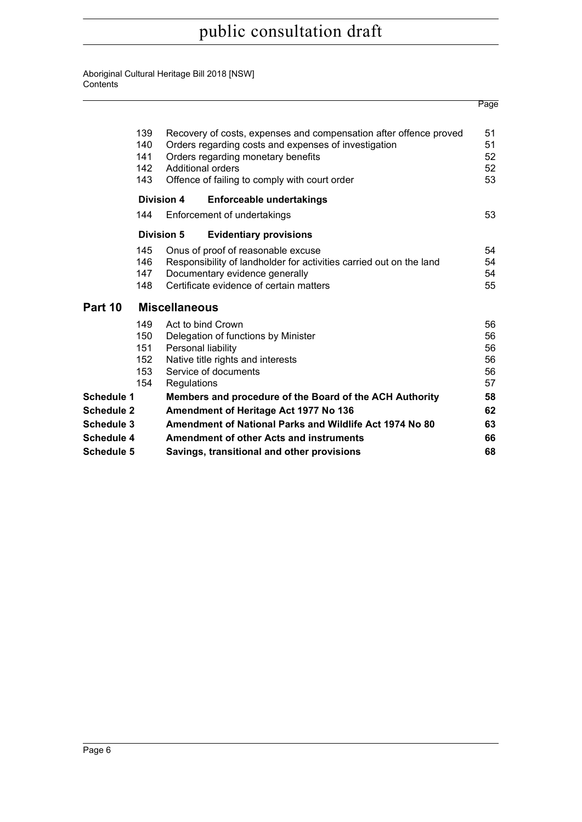|                   |                                        |                                       |                                                                                                                                                                                             | Page                             |
|-------------------|----------------------------------------|---------------------------------------|---------------------------------------------------------------------------------------------------------------------------------------------------------------------------------------------|----------------------------------|
|                   | 139<br>140<br>141<br>142               |                                       | Recovery of costs, expenses and compensation after offence proved<br>Orders regarding costs and expenses of investigation<br>Orders regarding monetary benefits<br><b>Additional orders</b> | 51<br>51<br>52<br>52             |
|                   | 143                                    |                                       | Offence of failing to comply with court order                                                                                                                                               | 53                               |
|                   |                                        | <b>Division 4</b>                     | <b>Enforceable undertakings</b>                                                                                                                                                             |                                  |
|                   | 144                                    |                                       | Enforcement of undertakings                                                                                                                                                                 | 53                               |
|                   |                                        | Division 5                            | <b>Evidentiary provisions</b>                                                                                                                                                               |                                  |
|                   | 145<br>146<br>147<br>148               |                                       | Onus of proof of reasonable excuse<br>Responsibility of landholder for activities carried out on the land<br>Documentary evidence generally<br>Certificate evidence of certain matters      | 54<br>54<br>54<br>55             |
| Part 10           |                                        | <b>Miscellaneous</b>                  |                                                                                                                                                                                             |                                  |
|                   | 149<br>150<br>151<br>152<br>153<br>154 | Regulations                           | Act to bind Crown<br>Delegation of functions by Minister<br>Personal liability<br>Native title rights and interests<br>Service of documents                                                 | 56<br>56<br>56<br>56<br>56<br>57 |
| Schedule 1        |                                        |                                       | Members and procedure of the Board of the ACH Authority                                                                                                                                     | 58                               |
| <b>Schedule 2</b> |                                        | Amendment of Heritage Act 1977 No 136 |                                                                                                                                                                                             | 62                               |
| Schedule 3        |                                        |                                       | Amendment of National Parks and Wildlife Act 1974 No 80                                                                                                                                     | 63                               |
| <b>Schedule 4</b> |                                        |                                       | <b>Amendment of other Acts and instruments</b>                                                                                                                                              | 66                               |
| <b>Schedule 5</b> |                                        |                                       | Savings, transitional and other provisions                                                                                                                                                  | 68                               |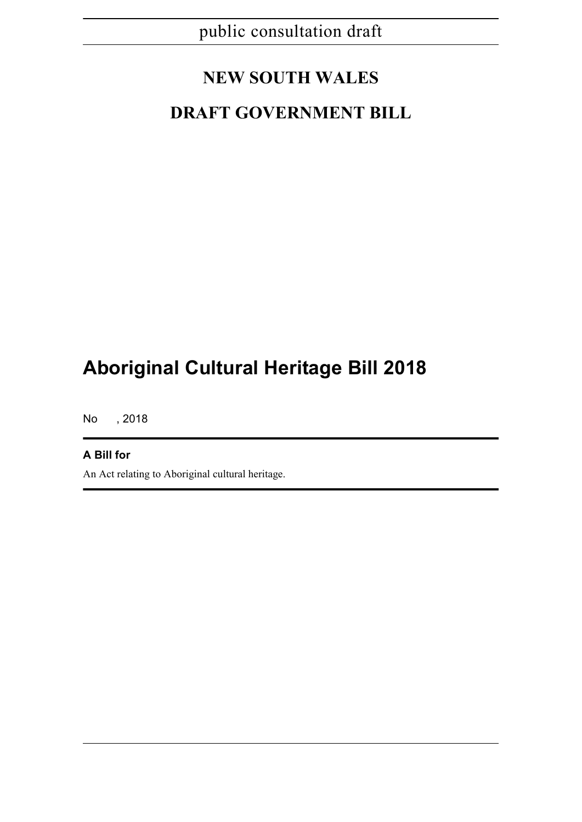# **NEW SOUTH WALES**

# **DRAFT GOVERNMENT BILL**

# **Aboriginal Cultural Heritage Bill 2018**

No , 2018

### **A Bill for**

An Act relating to Aboriginal cultural heritage.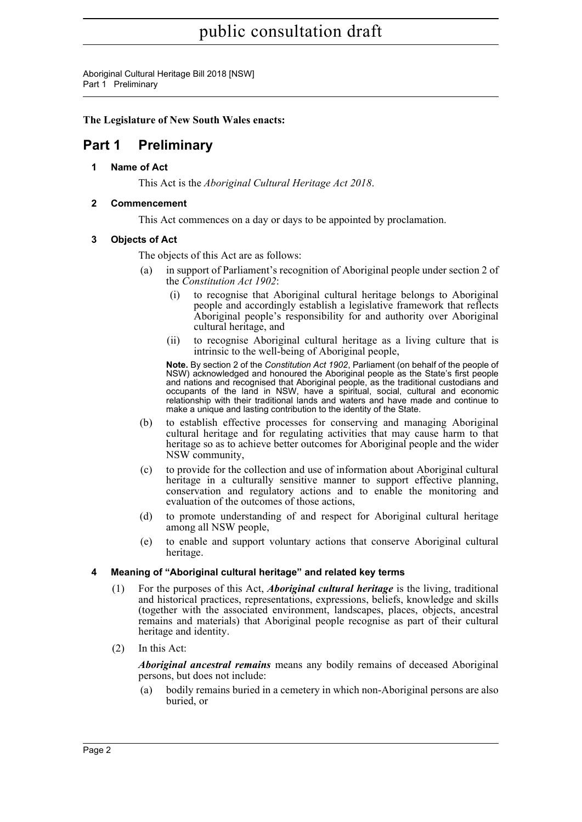Aboriginal Cultural Heritage Bill 2018 [NSW] Part 1 Preliminary

### **The Legislature of New South Wales enacts:**

## <span id="page-9-1"></span><span id="page-9-0"></span>**Part 1 Preliminary**

**1 Name of Act**

This Act is the *Aboriginal Cultural Heritage Act 2018*.

### <span id="page-9-2"></span>**2 Commencement**

This Act commences on a day or days to be appointed by proclamation.

### <span id="page-9-3"></span>**3 Objects of Act**

The objects of this Act are as follows:

- in support of Parliament's recognition of Aboriginal people under section 2 of the *Constitution Act 1902*:
	- (i) to recognise that Aboriginal cultural heritage belongs to Aboriginal people and accordingly establish a legislative framework that reflects Aboriginal people's responsibility for and authority over Aboriginal cultural heritage, and
	- (ii) to recognise Aboriginal cultural heritage as a living culture that is intrinsic to the well-being of Aboriginal people,

**Note.** By section 2 of the *Constitution Act 1902*, Parliament (on behalf of the people of NSW) acknowledged and honoured the Aboriginal people as the State's first people and nations and recognised that Aboriginal people, as the traditional custodians and occupants of the land in NSW, have a spiritual, social, cultural and economic relationship with their traditional lands and waters and have made and continue to make a unique and lasting contribution to the identity of the State.

- (b) to establish effective processes for conserving and managing Aboriginal cultural heritage and for regulating activities that may cause harm to that heritage so as to achieve better outcomes for Aboriginal people and the wider NSW community,
- (c) to provide for the collection and use of information about Aboriginal cultural heritage in a culturally sensitive manner to support effective planning, conservation and regulatory actions and to enable the monitoring and evaluation of the outcomes of those actions,
- (d) to promote understanding of and respect for Aboriginal cultural heritage among all NSW people,
- (e) to enable and support voluntary actions that conserve Aboriginal cultural heritage.

### <span id="page-9-4"></span>**4 Meaning of "Aboriginal cultural heritage" and related key terms**

- (1) For the purposes of this Act, *Aboriginal cultural heritage* is the living, traditional and historical practices, representations, expressions, beliefs, knowledge and skills (together with the associated environment, landscapes, places, objects, ancestral remains and materials) that Aboriginal people recognise as part of their cultural heritage and identity.
- (2) In this Act:

*Aboriginal ancestral remains* means any bodily remains of deceased Aboriginal persons, but does not include:

(a) bodily remains buried in a cemetery in which non-Aboriginal persons are also buried, or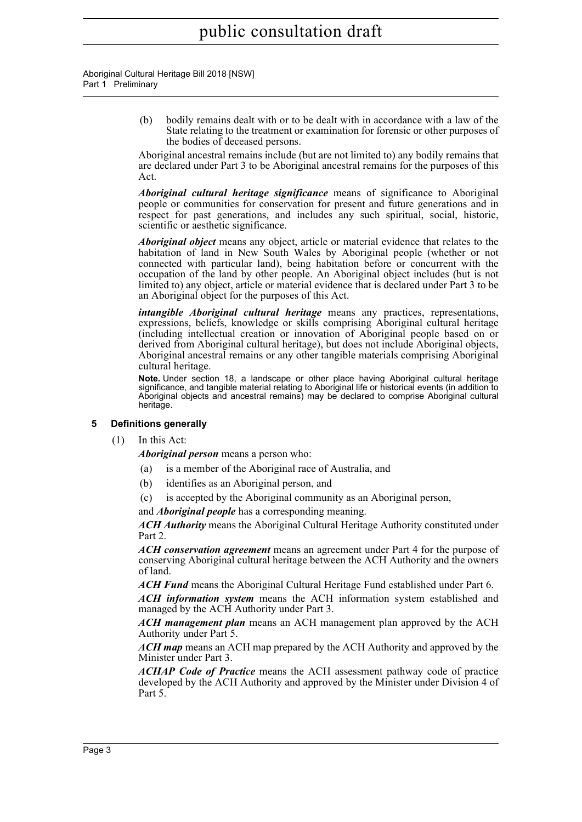#### Aboriginal Cultural Heritage Bill 2018 [NSW] Part 1 Preliminary

(b) bodily remains dealt with or to be dealt with in accordance with a law of the State relating to the treatment or examination for forensic or other purposes of the bodies of deceased persons.

Aboriginal ancestral remains include (but are not limited to) any bodily remains that are declared under Part 3 to be Aboriginal ancestral remains for the purposes of this Act.

*Aboriginal cultural heritage significance* means of significance to Aboriginal people or communities for conservation for present and future generations and in respect for past generations, and includes any such spiritual, social, historic, scientific or aesthetic significance.

*Aboriginal object* means any object, article or material evidence that relates to the habitation of land in New South Wales by Aboriginal people (whether or not connected with particular land), being habitation before or concurrent with the occupation of the land by other people. An Aboriginal object includes (but is not limited to) any object, article or material evidence that is declared under Part 3 to be an Aboriginal object for the purposes of this Act.

*intangible Aboriginal cultural heritage* means any practices, representations, expressions, beliefs, knowledge or skills comprising Aboriginal cultural heritage (including intellectual creation or innovation of Aboriginal people based on or derived from Aboriginal cultural heritage), but does not include Aboriginal objects, Aboriginal ancestral remains or any other tangible materials comprising Aboriginal cultural heritage.

**Note.** Under section 18, a landscape or other place having Aboriginal cultural heritage significance, and tangible material relating to Aboriginal life or historical events (in addition to Aboriginal objects and ancestral remains) may be declared to comprise Aboriginal cultural heritage.

### <span id="page-10-0"></span>**5 Definitions generally**

(1) In this Act:

*Aboriginal person* means a person who:

- (a) is a member of the Aboriginal race of Australia, and
- (b) identifies as an Aboriginal person, and
- (c) is accepted by the Aboriginal community as an Aboriginal person,

and *Aboriginal people* has a corresponding meaning.

*ACH Authority* means the Aboriginal Cultural Heritage Authority constituted under Part 2.

*ACH conservation agreement* means an agreement under Part 4 for the purpose of conserving Aboriginal cultural heritage between the ACH Authority and the owners of land.

*ACH Fund* means the Aboriginal Cultural Heritage Fund established under Part 6.

*ACH information system* means the ACH information system established and managed by the ACH Authority under Part 3.

*ACH management plan* means an ACH management plan approved by the ACH Authority under Part 5.

*ACH map* means an ACH map prepared by the ACH Authority and approved by the Minister under Part 3.

*ACHAP Code of Practice* means the ACH assessment pathway code of practice developed by the ACH Authority and approved by the Minister under Division 4 of Part 5.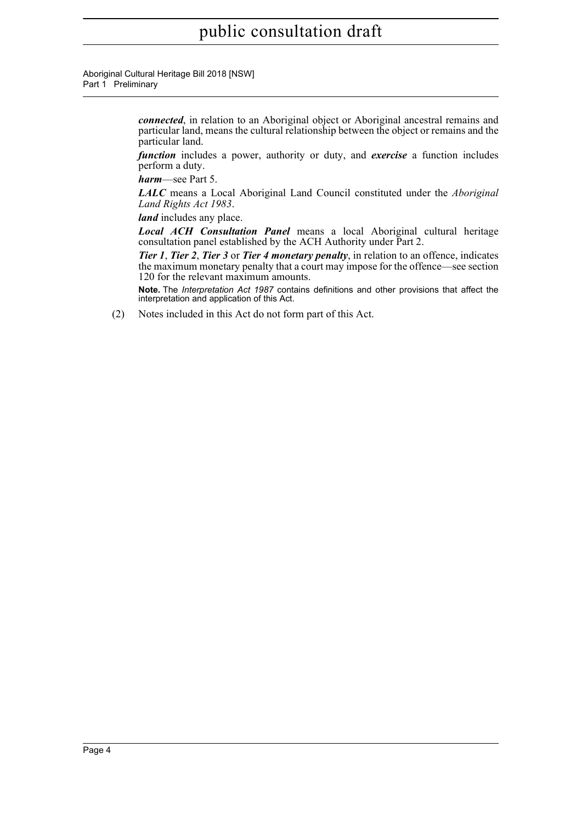Aboriginal Cultural Heritage Bill 2018 [NSW] Part 1 Preliminary

> *connected*, in relation to an Aboriginal object or Aboriginal ancestral remains and particular land, means the cultural relationship between the object or remains and the particular land.

> *function* includes a power, authority or duty, and *exercise* a function includes perform a duty.

*harm*—see Part 5.

*LALC* means a Local Aboriginal Land Council constituted under the *Aboriginal Land Rights Act 1983*.

*land* includes any place.

*Local ACH Consultation Panel* means a local Aboriginal cultural heritage consultation panel established by the ACH Authority under Part 2.

*Tier 1*, *Tier 2*, *Tier 3* or *Tier 4 monetary penalty*, in relation to an offence, indicates the maximum monetary penalty that a court may impose for the offence—see section 120 for the relevant maximum amounts.

**Note.** The *Interpretation Act 1987* contains definitions and other provisions that affect the interpretation and application of this Act.

(2) Notes included in this Act do not form part of this Act.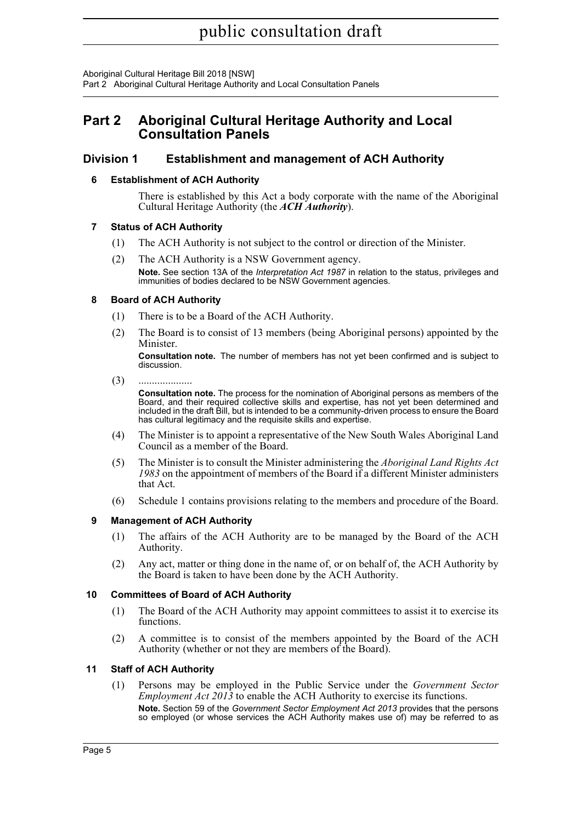Aboriginal Cultural Heritage Bill 2018 [NSW] Part 2 Aboriginal Cultural Heritage Authority and Local Consultation Panels

## <span id="page-12-0"></span>**Part 2 Aboriginal Cultural Heritage Authority and Local Consultation Panels**

### <span id="page-12-2"></span><span id="page-12-1"></span>**Division 1 Establishment and management of ACH Authority**

### **6 Establishment of ACH Authority**

There is established by this Act a body corporate with the name of the Aboriginal Cultural Heritage Authority (the *ACH Authority*).

### <span id="page-12-3"></span>**7 Status of ACH Authority**

- (1) The ACH Authority is not subject to the control or direction of the Minister.
- (2) The ACH Authority is a NSW Government agency. **Note.** See section 13A of the *Interpretation Act 1987* in relation to the status, privileges and immunities of bodies declared to be NSW Government agencies.

### <span id="page-12-4"></span>**8 Board of ACH Authority**

- (1) There is to be a Board of the ACH Authority.
- (2) The Board is to consist of 13 members (being Aboriginal persons) appointed by the Minister.

**Consultation note.** The number of members has not yet been confirmed and is subject to discussion.

(3) ....................

**Consultation note.** The process for the nomination of Aboriginal persons as members of the Board, and their required collective skills and expertise, has not yet been determined and included in the draft Bill, but is intended to be a community-driven process to ensure the Board has cultural legitimacy and the requisite skills and expertise.

- (4) The Minister is to appoint a representative of the New South Wales Aboriginal Land Council as a member of the Board.
- (5) The Minister is to consult the Minister administering the *Aboriginal Land Rights Act 1983* on the appointment of members of the Board if a different Minister administers that Act.
- (6) Schedule 1 contains provisions relating to the members and procedure of the Board.

### <span id="page-12-5"></span>**9 Management of ACH Authority**

- (1) The affairs of the ACH Authority are to be managed by the Board of the ACH Authority.
- (2) Any act, matter or thing done in the name of, or on behalf of, the ACH Authority by the Board is taken to have been done by the ACH Authority.

### <span id="page-12-6"></span>**10 Committees of Board of ACH Authority**

- (1) The Board of the ACH Authority may appoint committees to assist it to exercise its functions.
- (2) A committee is to consist of the members appointed by the Board of the ACH Authority (whether or not they are members of the Board).

### <span id="page-12-7"></span>**11 Staff of ACH Authority**

(1) Persons may be employed in the Public Service under the *Government Sector Employment Act 2013* to enable the ACH Authority to exercise its functions. **Note.** Section 59 of the *Government Sector Employment Act 2013* provides that the persons so employed (or whose services the ACH Authority makes use of) may be referred to as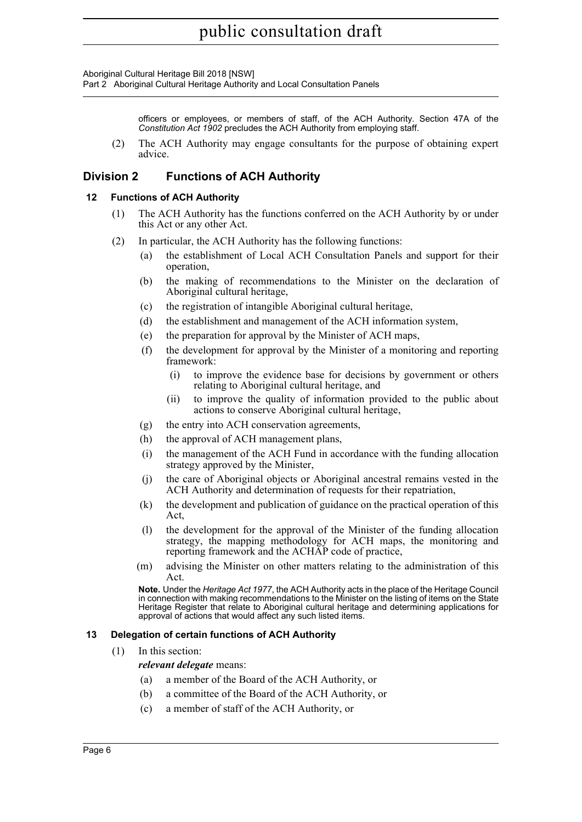Aboriginal Cultural Heritage Bill 2018 [NSW]

Part 2 Aboriginal Cultural Heritage Authority and Local Consultation Panels

officers or employees, or members of staff, of the ACH Authority. Section 47A of the *Constitution Act 1902* precludes the ACH Authority from employing staff.

(2) The ACH Authority may engage consultants for the purpose of obtaining expert advice.

### <span id="page-13-0"></span>**Division 2 Functions of ACH Authority**

### <span id="page-13-1"></span>**12 Functions of ACH Authority**

- (1) The ACH Authority has the functions conferred on the ACH Authority by or under this Act or any other Act.
- (2) In particular, the ACH Authority has the following functions:
	- (a) the establishment of Local ACH Consultation Panels and support for their operation,
	- (b) the making of recommendations to the Minister on the declaration of Aboriginal cultural heritage,
	- (c) the registration of intangible Aboriginal cultural heritage,
	- (d) the establishment and management of the ACH information system,
	- (e) the preparation for approval by the Minister of ACH maps,
	- (f) the development for approval by the Minister of a monitoring and reporting framework:
		- (i) to improve the evidence base for decisions by government or others relating to Aboriginal cultural heritage, and
		- (ii) to improve the quality of information provided to the public about actions to conserve Aboriginal cultural heritage,
	- (g) the entry into ACH conservation agreements,
	- (h) the approval of ACH management plans,
	- (i) the management of the ACH Fund in accordance with the funding allocation strategy approved by the Minister,
	- (j) the care of Aboriginal objects or Aboriginal ancestral remains vested in the ACH Authority and determination of requests for their repatriation,
	- (k) the development and publication of guidance on the practical operation of this Act,
	- (l) the development for the approval of the Minister of the funding allocation strategy, the mapping methodology for ACH maps, the monitoring and reporting framework and the ACHAP code of practice,
	- (m) advising the Minister on other matters relating to the administration of this Act.

**Note.** Under the *Heritage Act 1977*, the ACH Authority acts in the place of the Heritage Council in connection with making recommendations to the Minister on the listing of items on the State Heritage Register that relate to Aboriginal cultural heritage and determining applications for approval of actions that would affect any such listed items.

#### <span id="page-13-2"></span>**13 Delegation of certain functions of ACH Authority**

- (1) In this section:
	- *relevant delegate* means:
	- (a) a member of the Board of the ACH Authority, or
	- (b) a committee of the Board of the ACH Authority, or
	- (c) a member of staff of the ACH Authority, or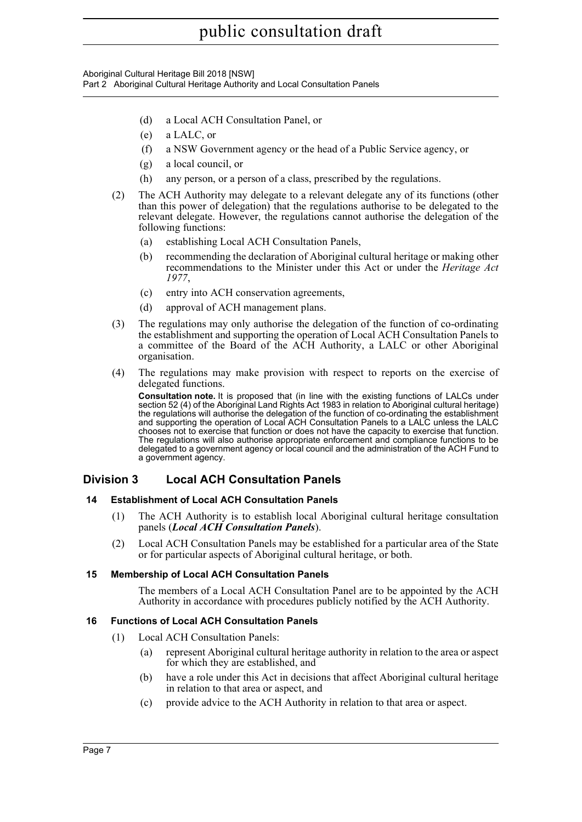Aboriginal Cultural Heritage Bill 2018 [NSW] Part 2 Aboriginal Cultural Heritage Authority and Local Consultation Panels

- (d) a Local ACH Consultation Panel, or
- (e) a LALC, or
- (f) a NSW Government agency or the head of a Public Service agency, or
- (g) a local council, or
- (h) any person, or a person of a class, prescribed by the regulations.
- (2) The ACH Authority may delegate to a relevant delegate any of its functions (other than this power of delegation) that the regulations authorise to be delegated to the relevant delegate. However, the regulations cannot authorise the delegation of the following functions:
	- (a) establishing Local ACH Consultation Panels,
	- (b) recommending the declaration of Aboriginal cultural heritage or making other recommendations to the Minister under this Act or under the *Heritage Act 1977*,
	- (c) entry into ACH conservation agreements,
	- (d) approval of ACH management plans.
- (3) The regulations may only authorise the delegation of the function of co-ordinating the establishment and supporting the operation of Local ACH Consultation Panels to a committee of the Board of the ACH Authority, a LALC or other Aboriginal organisation.
- (4) The regulations may make provision with respect to reports on the exercise of delegated functions.

**Consultation note.** It is proposed that (in line with the existing functions of LALCs under section 52 (4) of the Aboriginal Land Rights Act 1983 in relation to Aboriginal cultural heritage) the regulations will authorise the delegation of the function of co-ordinating the establishment and supporting the operation of Local ACH Consultation Panels to a LALC unless the LALC chooses not to exercise that function or does not have the capacity to exercise that function. The regulations will also authorise appropriate enforcement and compliance functions to be delegated to a government agency or local council and the administration of the ACH Fund to a government agency.

### <span id="page-14-0"></span>**Division 3 Local ACH Consultation Panels**

### <span id="page-14-1"></span>**14 Establishment of Local ACH Consultation Panels**

- (1) The ACH Authority is to establish local Aboriginal cultural heritage consultation panels (*Local ACH Consultation Panels*).
- (2) Local ACH Consultation Panels may be established for a particular area of the State or for particular aspects of Aboriginal cultural heritage, or both.

### <span id="page-14-2"></span>**15 Membership of Local ACH Consultation Panels**

The members of a Local ACH Consultation Panel are to be appointed by the ACH Authority in accordance with procedures publicly notified by the ACH Authority.

### <span id="page-14-3"></span>**16 Functions of Local ACH Consultation Panels**

- (1) Local ACH Consultation Panels:
	- (a) represent Aboriginal cultural heritage authority in relation to the area or aspect for which they are established, and
	- (b) have a role under this Act in decisions that affect Aboriginal cultural heritage in relation to that area or aspect, and
	- (c) provide advice to the ACH Authority in relation to that area or aspect.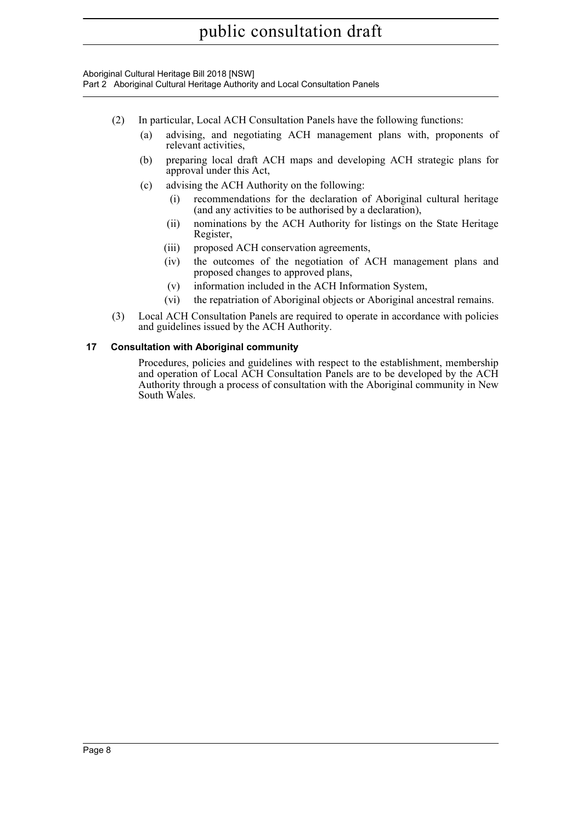Aboriginal Cultural Heritage Bill 2018 [NSW] Part 2 Aboriginal Cultural Heritage Authority and Local Consultation Panels

- (2) In particular, Local ACH Consultation Panels have the following functions:
	- (a) advising, and negotiating ACH management plans with, proponents of relevant activities,
	- (b) preparing local draft ACH maps and developing ACH strategic plans for approval under this Act,
	- (c) advising the ACH Authority on the following:
		- (i) recommendations for the declaration of Aboriginal cultural heritage (and any activities to be authorised by a declaration),
		- (ii) nominations by the ACH Authority for listings on the State Heritage Register,
		- (iii) proposed ACH conservation agreements,
		- (iv) the outcomes of the negotiation of ACH management plans and proposed changes to approved plans,
		- (v) information included in the ACH Information System,
		- (vi) the repatriation of Aboriginal objects or Aboriginal ancestral remains.
- (3) Local ACH Consultation Panels are required to operate in accordance with policies and guidelines issued by the ACH Authority.

### <span id="page-15-0"></span>**17 Consultation with Aboriginal community**

Procedures, policies and guidelines with respect to the establishment, membership and operation of Local ACH Consultation Panels are to be developed by the ACH Authority through a process of consultation with the Aboriginal community in New South Wales.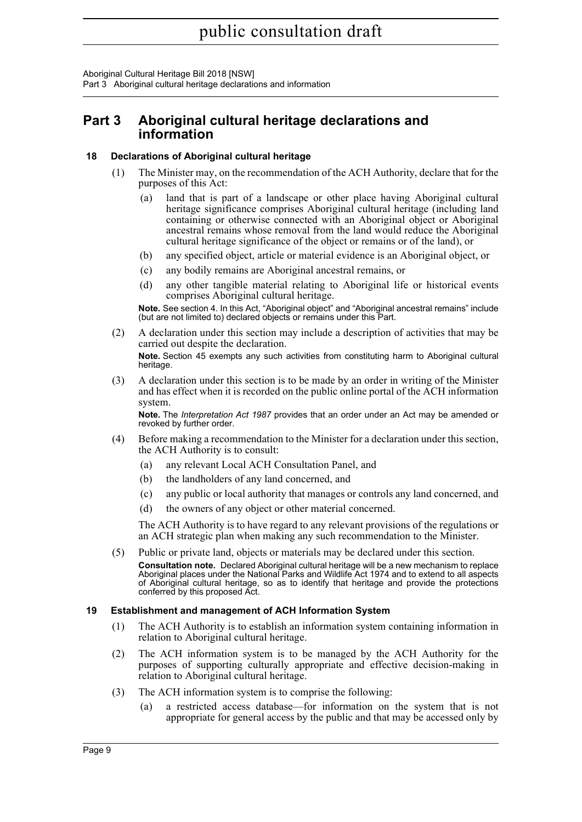Aboriginal Cultural Heritage Bill 2018 [NSW] Part 3 Aboriginal cultural heritage declarations and information

## <span id="page-16-0"></span>**Part 3 Aboriginal cultural heritage declarations and information**

### <span id="page-16-1"></span>**18 Declarations of Aboriginal cultural heritage**

- (1) The Minister may, on the recommendation of the ACH Authority, declare that for the purposes of this Act:
	- (a) land that is part of a landscape or other place having Aboriginal cultural heritage significance comprises Aboriginal cultural heritage (including land containing or otherwise connected with an Aboriginal object or Aboriginal ancestral remains whose removal from the land would reduce the Aboriginal cultural heritage significance of the object or remains or of the land), or
	- (b) any specified object, article or material evidence is an Aboriginal object, or
	- (c) any bodily remains are Aboriginal ancestral remains, or
	- (d) any other tangible material relating to Aboriginal life or historical events comprises Aboriginal cultural heritage.

**Note.** See section 4. In this Act, "Aboriginal object" and "Aboriginal ancestral remains" include (but are not limited to) declared objects or remains under this Part.

(2) A declaration under this section may include a description of activities that may be carried out despite the declaration.

**Note.** Section 45 exempts any such activities from constituting harm to Aboriginal cultural heritage.

(3) A declaration under this section is to be made by an order in writing of the Minister and has effect when it is recorded on the public online portal of the ACH information system.

**Note.** The *Interpretation Act 1987* provides that an order under an Act may be amended or revoked by further order.

- (4) Before making a recommendation to the Minister for a declaration under this section, the ACH Authority is to consult:
	- (a) any relevant Local ACH Consultation Panel, and
	- (b) the landholders of any land concerned, and
	- (c) any public or local authority that manages or controls any land concerned, and
	- (d) the owners of any object or other material concerned.

The ACH Authority is to have regard to any relevant provisions of the regulations or an ACH strategic plan when making any such recommendation to the Minister.

(5) Public or private land, objects or materials may be declared under this section. **Consultation note.** Declared Aboriginal cultural heritage will be a new mechanism to replace Aboriginal places under the National Parks and Wildlife Act 1974 and to extend to all aspects of Aboriginal cultural heritage, so as to identify that heritage and provide the protections conferred by this proposed Act.

### <span id="page-16-2"></span>**19 Establishment and management of ACH Information System**

- (1) The ACH Authority is to establish an information system containing information in relation to Aboriginal cultural heritage.
- (2) The ACH information system is to be managed by the ACH Authority for the purposes of supporting culturally appropriate and effective decision-making in relation to Aboriginal cultural heritage.
- (3) The ACH information system is to comprise the following:
	- (a) a restricted access database—for information on the system that is not appropriate for general access by the public and that may be accessed only by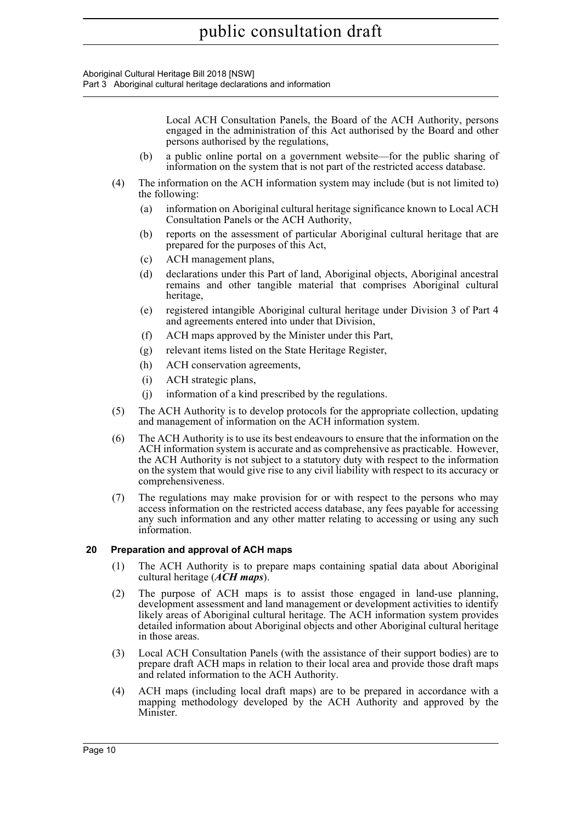Aboriginal Cultural Heritage Bill 2018 [NSW] Part 3 Aboriginal cultural heritage declarations and information

Local ACH Consultation Panels, the Board of the ACH Authority, persons engaged in the administration of this Act authorised by the Board and other persons authorised by the regulations, (b) a public online portal on a government website—for the public sharing of information on the system that is not part of the restricted access database. (4) The information on the ACH information system may include (but is not limited to) the following: (a) information on Aboriginal cultural heritage significance known to Local ACH Consultation Panels or the ACH Authority, (b) reports on the assessment of particular Aboriginal cultural heritage that are prepared for the purposes of this Act, (c) ACH management plans, (d) declarations under this Part of land, Aboriginal objects, Aboriginal ancestral remains and other tangible material that comprises Aboriginal cultural heritage, (e) registered intangible Aboriginal cultural heritage under Division 3 of Part 4 and agreements entered into under that Division, (f) ACH maps approved by the Minister under this Part, (g) relevant items listed on the State Heritage Register, (h) ACH conservation agreements, (i) ACH strategic plans, (j) information of a kind prescribed by the regulations. (5) The ACH Authority is to develop protocols for the appropriate collection, updating and management of information on the ACH information system. (6) The ACH Authority is to use its best endeavours to ensure that the information on the ACH information system is accurate and as comprehensive as practicable. However, the ACH Authority is not subject to a statutory duty with respect to the information on the system that would give rise to any civil liability with respect to its accuracy or comprehensiveness. (7) The regulations may make provision for or with respect to the persons who may access information on the restricted access database, any fees payable for accessing any such information and any other matter relating to accessing or using any such information. **20 Preparation and approval of ACH maps** (1) The ACH Authority is to prepare maps containing spatial data about Aboriginal cultural heritage (*ACH maps*). (2) The purpose of ACH maps is to assist those engaged in land-use planning, development assessment and land management or development activities to identify likely areas of Aboriginal cultural heritage. The ACH information system provides detailed information about Aboriginal objects and other Aboriginal cultural heritage in those areas.

- <span id="page-17-0"></span>(3) Local ACH Consultation Panels (with the assistance of their support bodies) are to prepare draft ACH maps in relation to their local area and provide those draft maps and related information to the ACH Authority.
- (4) ACH maps (including local draft maps) are to be prepared in accordance with a mapping methodology developed by the ACH Authority and approved by the Minister.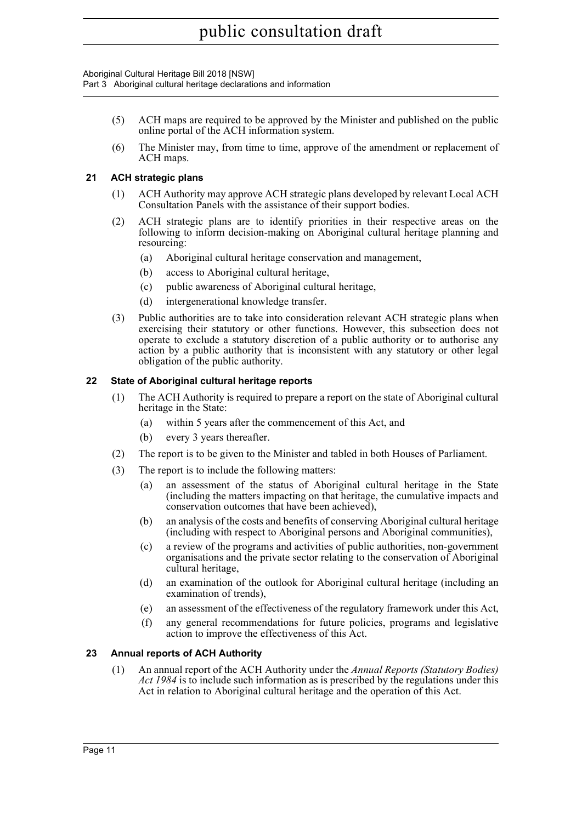Aboriginal Cultural Heritage Bill 2018 [NSW] Part 3 Aboriginal cultural heritage declarations and information

- (5) ACH maps are required to be approved by the Minister and published on the public online portal of the ACH information system.
- (6) The Minister may, from time to time, approve of the amendment or replacement of ACH maps.

### <span id="page-18-0"></span>**21 ACH strategic plans**

- (1) ACH Authority may approve ACH strategic plans developed by relevant Local ACH Consultation Panels with the assistance of their support bodies.
- (2) ACH strategic plans are to identify priorities in their respective areas on the following to inform decision-making on Aboriginal cultural heritage planning and resourcing:
	- (a) Aboriginal cultural heritage conservation and management,
	- (b) access to Aboriginal cultural heritage,
	- (c) public awareness of Aboriginal cultural heritage,
	- (d) intergenerational knowledge transfer.
- (3) Public authorities are to take into consideration relevant ACH strategic plans when exercising their statutory or other functions. However, this subsection does not operate to exclude a statutory discretion of a public authority or to authorise any action by a public authority that is inconsistent with any statutory or other legal obligation of the public authority.

### <span id="page-18-1"></span>**22 State of Aboriginal cultural heritage reports**

- (1) The ACH Authority is required to prepare a report on the state of Aboriginal cultural heritage in the State:
	- (a) within 5 years after the commencement of this Act, and
	- (b) every 3 years thereafter.
- (2) The report is to be given to the Minister and tabled in both Houses of Parliament.
- (3) The report is to include the following matters:
	- (a) an assessment of the status of Aboriginal cultural heritage in the State (including the matters impacting on that heritage, the cumulative impacts and conservation outcomes that have been achieved),
	- (b) an analysis of the costs and benefits of conserving Aboriginal cultural heritage (including with respect to Aboriginal persons and Aboriginal communities),
	- (c) a review of the programs and activities of public authorities, non-government organisations and the private sector relating to the conservation of Aboriginal cultural heritage,
	- (d) an examination of the outlook for Aboriginal cultural heritage (including an examination of trends),
	- (e) an assessment of the effectiveness of the regulatory framework under this Act,
	- (f) any general recommendations for future policies, programs and legislative action to improve the effectiveness of this Act.

### <span id="page-18-2"></span>**23 Annual reports of ACH Authority**

(1) An annual report of the ACH Authority under the *Annual Reports (Statutory Bodies) Act 1984* is to include such information as is prescribed by the regulations under this Act in relation to Aboriginal cultural heritage and the operation of this Act.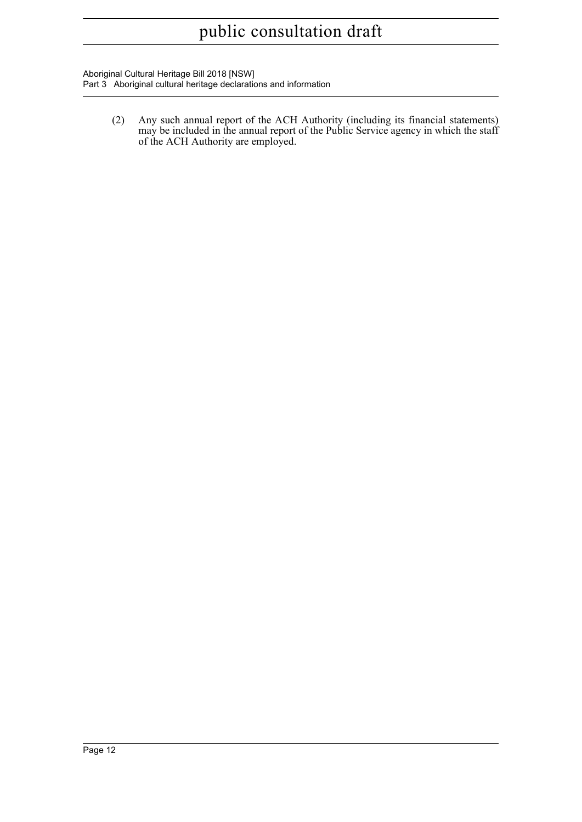Aboriginal Cultural Heritage Bill 2018 [NSW] Part 3 Aboriginal cultural heritage declarations and information

> (2) Any such annual report of the ACH Authority (including its financial statements) may be included in the annual report of the Public Service agency in which the staff of the ACH Authority are employed.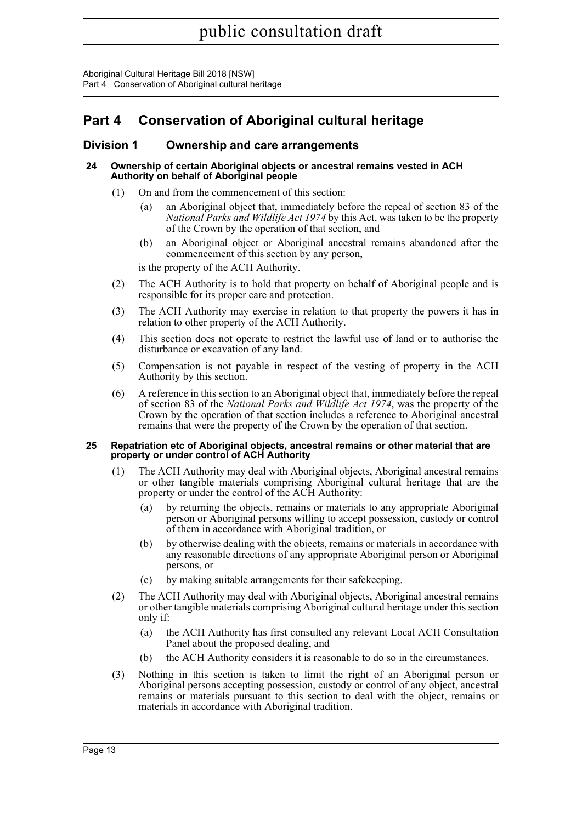Aboriginal Cultural Heritage Bill 2018 [NSW] Part 4 Conservation of Aboriginal cultural heritage

## <span id="page-20-0"></span>**Part 4 Conservation of Aboriginal cultural heritage**

### <span id="page-20-1"></span>**Division 1 Ownership and care arrangements**

### <span id="page-20-2"></span>**24 Ownership of certain Aboriginal objects or ancestral remains vested in ACH Authority on behalf of Aboriginal people**

- (1) On and from the commencement of this section:
	- (a) an Aboriginal object that, immediately before the repeal of section 83 of the *National Parks and Wildlife Act 1974* by this Act, was taken to be the property of the Crown by the operation of that section, and
	- (b) an Aboriginal object or Aboriginal ancestral remains abandoned after the commencement of this section by any person,

is the property of the ACH Authority.

- (2) The ACH Authority is to hold that property on behalf of Aboriginal people and is responsible for its proper care and protection.
- (3) The ACH Authority may exercise in relation to that property the powers it has in relation to other property of the ACH Authority.
- (4) This section does not operate to restrict the lawful use of land or to authorise the disturbance or excavation of any land.
- (5) Compensation is not payable in respect of the vesting of property in the ACH Authority by this section.
- (6) A reference in this section to an Aboriginal object that, immediately before the repeal of section 83 of the *National Parks and Wildlife Act 1974*, was the property of the Crown by the operation of that section includes a reference to Aboriginal ancestral remains that were the property of the Crown by the operation of that section.

#### <span id="page-20-3"></span>**25 Repatriation etc of Aboriginal objects, ancestral remains or other material that are property or under control of ACH Authority**

- (1) The ACH Authority may deal with Aboriginal objects, Aboriginal ancestral remains or other tangible materials comprising Aboriginal cultural heritage that are the property or under the control of the ACH Authority:
	- (a) by returning the objects, remains or materials to any appropriate Aboriginal person or Aboriginal persons willing to accept possession, custody or control of them in accordance with Aboriginal tradition, or
	- (b) by otherwise dealing with the objects, remains or materials in accordance with any reasonable directions of any appropriate Aboriginal person or Aboriginal persons, or
	- (c) by making suitable arrangements for their safekeeping.
- (2) The ACH Authority may deal with Aboriginal objects, Aboriginal ancestral remains or other tangible materials comprising Aboriginal cultural heritage under this section only if:
	- (a) the ACH Authority has first consulted any relevant Local ACH Consultation Panel about the proposed dealing, and
	- (b) the ACH Authority considers it is reasonable to do so in the circumstances.
- (3) Nothing in this section is taken to limit the right of an Aboriginal person or Aboriginal persons accepting possession, custody or control of any object, ancestral remains or materials pursuant to this section to deal with the object, remains or materials in accordance with Aboriginal tradition.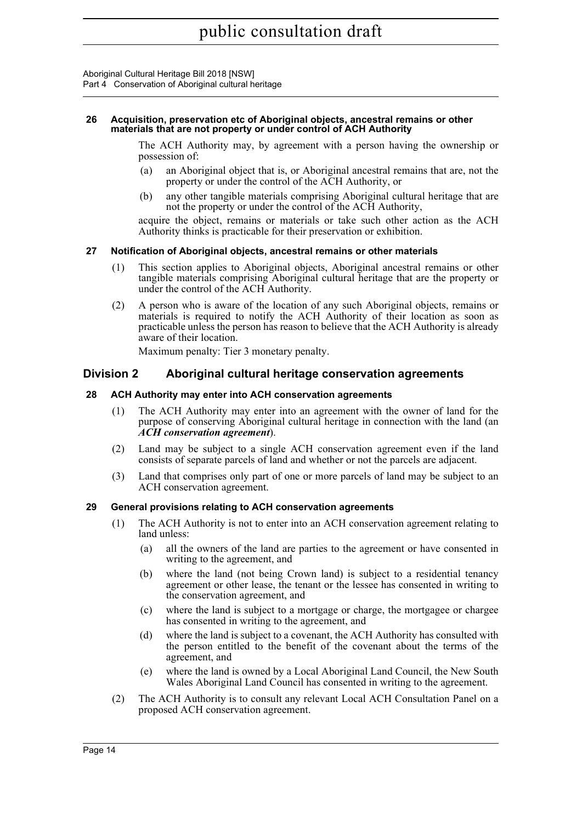#### <span id="page-21-0"></span>**26 Acquisition, preservation etc of Aboriginal objects, ancestral remains or other materials that are not property or under control of ACH Authority**

The ACH Authority may, by agreement with a person having the ownership or possession of:

- (a) an Aboriginal object that is, or Aboriginal ancestral remains that are, not the property or under the control of the ACH Authority, or
- (b) any other tangible materials comprising Aboriginal cultural heritage that are not the property or under the control of the ACH Authority,

acquire the object, remains or materials or take such other action as the ACH Authority thinks is practicable for their preservation or exhibition.

### <span id="page-21-1"></span>**27 Notification of Aboriginal objects, ancestral remains or other materials**

- (1) This section applies to Aboriginal objects, Aboriginal ancestral remains or other tangible materials comprising Aboriginal cultural heritage that are the property or under the control of the ACH Authority.
- (2) A person who is aware of the location of any such Aboriginal objects, remains or materials is required to notify the ACH Authority of their location as soon as practicable unless the person has reason to believe that the ACH Authority is already aware of their location.

Maximum penalty: Tier 3 monetary penalty.

### <span id="page-21-2"></span>**Division 2 Aboriginal cultural heritage conservation agreements**

### <span id="page-21-3"></span>**28 ACH Authority may enter into ACH conservation agreements**

- (1) The ACH Authority may enter into an agreement with the owner of land for the purpose of conserving Aboriginal cultural heritage in connection with the land (an *ACH conservation agreement*).
- (2) Land may be subject to a single ACH conservation agreement even if the land consists of separate parcels of land and whether or not the parcels are adjacent.
- (3) Land that comprises only part of one or more parcels of land may be subject to an ACH conservation agreement.

### <span id="page-21-4"></span>**29 General provisions relating to ACH conservation agreements**

- (1) The ACH Authority is not to enter into an ACH conservation agreement relating to land unless:
	- (a) all the owners of the land are parties to the agreement or have consented in writing to the agreement, and
	- (b) where the land (not being Crown land) is subject to a residential tenancy agreement or other lease, the tenant or the lessee has consented in writing to the conservation agreement, and
	- (c) where the land is subject to a mortgage or charge, the mortgagee or chargee has consented in writing to the agreement, and
	- (d) where the land is subject to a covenant, the ACH Authority has consulted with the person entitled to the benefit of the covenant about the terms of the agreement, and
	- (e) where the land is owned by a Local Aboriginal Land Council, the New South Wales Aboriginal Land Council has consented in writing to the agreement.
- (2) The ACH Authority is to consult any relevant Local ACH Consultation Panel on a proposed ACH conservation agreement.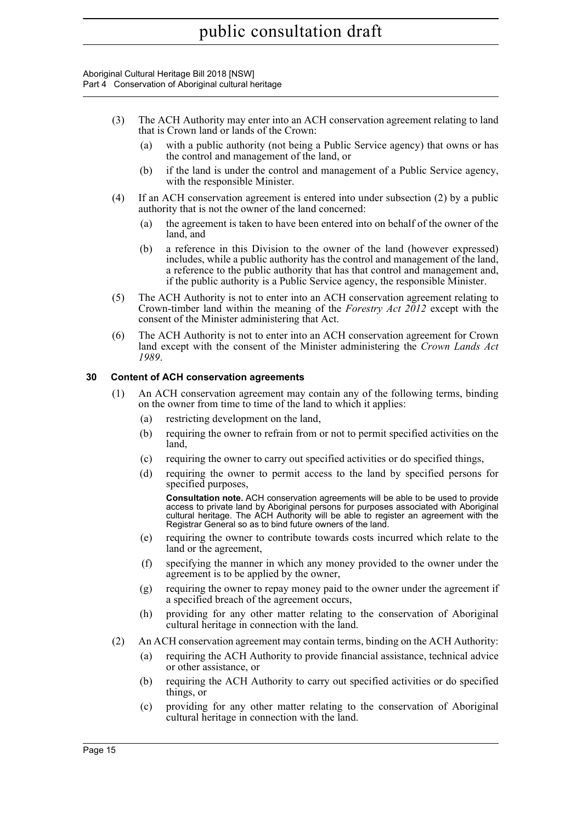Aboriginal Cultural Heritage Bill 2018 [NSW] Part 4 Conservation of Aboriginal cultural heritage

- (3) The ACH Authority may enter into an ACH conservation agreement relating to land that is Crown land or lands of the Crown:
	- (a) with a public authority (not being a Public Service agency) that owns or has the control and management of the land, or
	- (b) if the land is under the control and management of a Public Service agency, with the responsible Minister.
- (4) If an ACH conservation agreement is entered into under subsection (2) by a public authority that is not the owner of the land concerned:
	- (a) the agreement is taken to have been entered into on behalf of the owner of the land, and
	- (b) a reference in this Division to the owner of the land (however expressed) includes, while a public authority has the control and management of the land, a reference to the public authority that has that control and management and, if the public authority is a Public Service agency, the responsible Minister.
- (5) The ACH Authority is not to enter into an ACH conservation agreement relating to Crown-timber land within the meaning of the *Forestry Act 2012* except with the consent of the Minister administering that Act.
- (6) The ACH Authority is not to enter into an ACH conservation agreement for Crown land except with the consent of the Minister administering the *Crown Lands Act 1989*.

### <span id="page-22-0"></span>**30 Content of ACH conservation agreements**

- (1) An ACH conservation agreement may contain any of the following terms, binding on the owner from time to time of the land to which it applies:
	- (a) restricting development on the land,
	- (b) requiring the owner to refrain from or not to permit specified activities on the land,
	- (c) requiring the owner to carry out specified activities or do specified things,
	- (d) requiring the owner to permit access to the land by specified persons for specified purposes,

**Consultation note.** ACH conservation agreements will be able to be used to provide access to private land by Aboriginal persons for purposes associated with Aboriginal cultural heritage. The ACH Authority will be able to register an agreement with the Registrar General so as to bind future owners of the land.

- (e) requiring the owner to contribute towards costs incurred which relate to the land or the agreement,
- (f) specifying the manner in which any money provided to the owner under the agreement is to be applied by the owner,
- (g) requiring the owner to repay money paid to the owner under the agreement if a specified breach of the agreement occurs,
- (h) providing for any other matter relating to the conservation of Aboriginal cultural heritage in connection with the land.
- (2) An ACH conservation agreement may contain terms, binding on the ACH Authority:
	- (a) requiring the ACH Authority to provide financial assistance, technical advice or other assistance, or
	- (b) requiring the ACH Authority to carry out specified activities or do specified things, or
	- (c) providing for any other matter relating to the conservation of Aboriginal cultural heritage in connection with the land.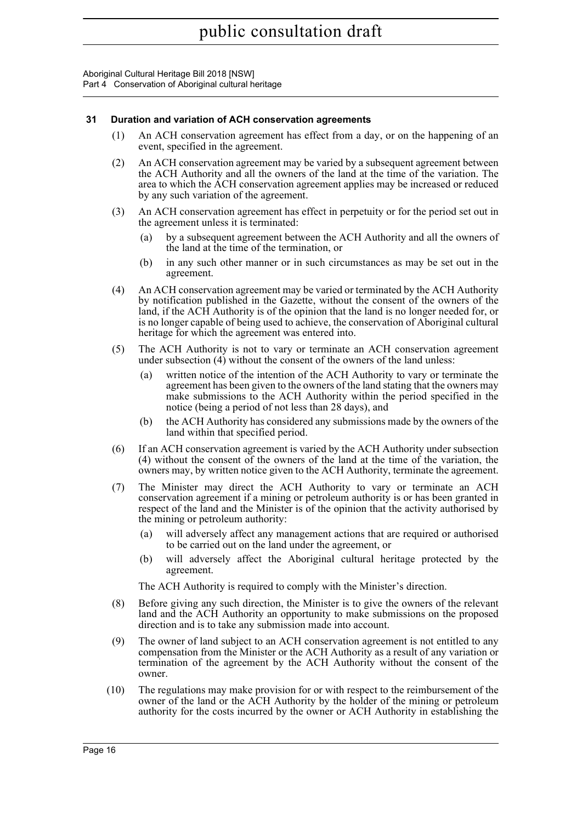### <span id="page-23-0"></span>**31 Duration and variation of ACH conservation agreements**

- (1) An ACH conservation agreement has effect from a day, or on the happening of an event, specified in the agreement.
- (2) An ACH conservation agreement may be varied by a subsequent agreement between the ACH Authority and all the owners of the land at the time of the variation. The area to which the ACH conservation agreement applies may be increased or reduced by any such variation of the agreement.
- (3) An ACH conservation agreement has effect in perpetuity or for the period set out in the agreement unless it is terminated:
	- (a) by a subsequent agreement between the ACH Authority and all the owners of the land at the time of the termination, or
	- (b) in any such other manner or in such circumstances as may be set out in the agreement.
- (4) An ACH conservation agreement may be varied or terminated by the ACH Authority by notification published in the Gazette, without the consent of the owners of the land, if the ACH Authority is of the opinion that the land is no longer needed for, or is no longer capable of being used to achieve, the conservation of Aboriginal cultural heritage for which the agreement was entered into.
- (5) The ACH Authority is not to vary or terminate an ACH conservation agreement under subsection (4) without the consent of the owners of the land unless:
	- (a) written notice of the intention of the ACH Authority to vary or terminate the agreement has been given to the owners of the land stating that the owners may make submissions to the ACH Authority within the period specified in the notice (being a period of not less than 28 days), and
	- (b) the ACH Authority has considered any submissions made by the owners of the land within that specified period.
- (6) If an ACH conservation agreement is varied by the ACH Authority under subsection (4) without the consent of the owners of the land at the time of the variation, the owners may, by written notice given to the ACH Authority, terminate the agreement.
- (7) The Minister may direct the ACH Authority to vary or terminate an ACH conservation agreement if a mining or petroleum authority is or has been granted in respect of the land and the Minister is of the opinion that the activity authorised by the mining or petroleum authority:
	- will adversely affect any management actions that are required or authorised to be carried out on the land under the agreement, or
	- (b) will adversely affect the Aboriginal cultural heritage protected by the agreement.

The ACH Authority is required to comply with the Minister's direction.

- (8) Before giving any such direction, the Minister is to give the owners of the relevant land and the ACH Authority an opportunity to make submissions on the proposed direction and is to take any submission made into account.
- (9) The owner of land subject to an ACH conservation agreement is not entitled to any compensation from the Minister or the ACH Authority as a result of any variation or termination of the agreement by the ACH Authority without the consent of the owner.
- (10) The regulations may make provision for or with respect to the reimbursement of the owner of the land or the ACH Authority by the holder of the mining or petroleum authority for the costs incurred by the owner or ACH Authority in establishing the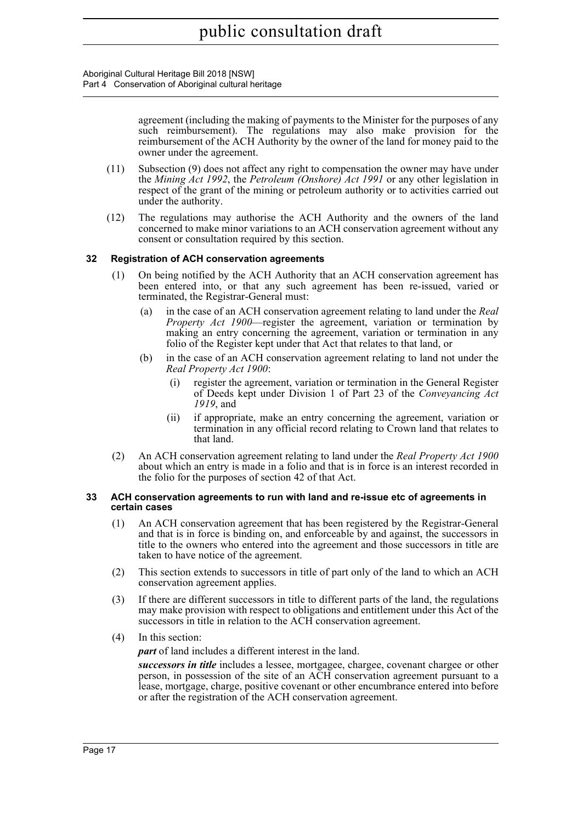Aboriginal Cultural Heritage Bill 2018 [NSW] Part 4 Conservation of Aboriginal cultural heritage

> agreement (including the making of payments to the Minister for the purposes of any such reimbursement). The regulations may also make provision for the reimbursement of the ACH Authority by the owner of the land for money paid to the owner under the agreement.

- (11) Subsection (9) does not affect any right to compensation the owner may have under the *Mining Act 1992*, the *Petroleum (Onshore) Act 1991* or any other legislation in respect of the grant of the mining or petroleum authority or to activities carried out under the authority.
- (12) The regulations may authorise the ACH Authority and the owners of the land concerned to make minor variations to an ACH conservation agreement without any consent or consultation required by this section.

### <span id="page-24-0"></span>**32 Registration of ACH conservation agreements**

- (1) On being notified by the ACH Authority that an ACH conservation agreement has been entered into, or that any such agreement has been re-issued, varied or terminated, the Registrar-General must:
	- (a) in the case of an ACH conservation agreement relating to land under the *Real Property Act 1900*—register the agreement, variation or termination by making an entry concerning the agreement, variation or termination in any folio of the Register kept under that Act that relates to that land, or
	- (b) in the case of an ACH conservation agreement relating to land not under the *Real Property Act 1900*:
		- (i) register the agreement, variation or termination in the General Register of Deeds kept under Division 1 of Part 23 of the *Conveyancing Act 1919*, and
		- (ii) if appropriate, make an entry concerning the agreement, variation or termination in any official record relating to Crown land that relates to that land.
- (2) An ACH conservation agreement relating to land under the *Real Property Act 1900* about which an entry is made in a folio and that is in force is an interest recorded in the folio for the purposes of section 42 of that Act.

#### <span id="page-24-1"></span>**33 ACH conservation agreements to run with land and re-issue etc of agreements in certain cases**

- (1) An ACH conservation agreement that has been registered by the Registrar-General and that is in force is binding on, and enforceable by and against, the successors in title to the owners who entered into the agreement and those successors in title are taken to have notice of the agreement.
- (2) This section extends to successors in title of part only of the land to which an ACH conservation agreement applies.
- (3) If there are different successors in title to different parts of the land, the regulations may make provision with respect to obligations and entitlement under this Act of the successors in title in relation to the ACH conservation agreement.
- (4) In this section:

*part* of land includes a different interest in the land.

*successors in title* includes a lessee, mortgagee, chargee, covenant chargee or other person, in possession of the site of an ACH conservation agreement pursuant to a lease, mortgage, charge, positive covenant or other encumbrance entered into before or after the registration of the ACH conservation agreement.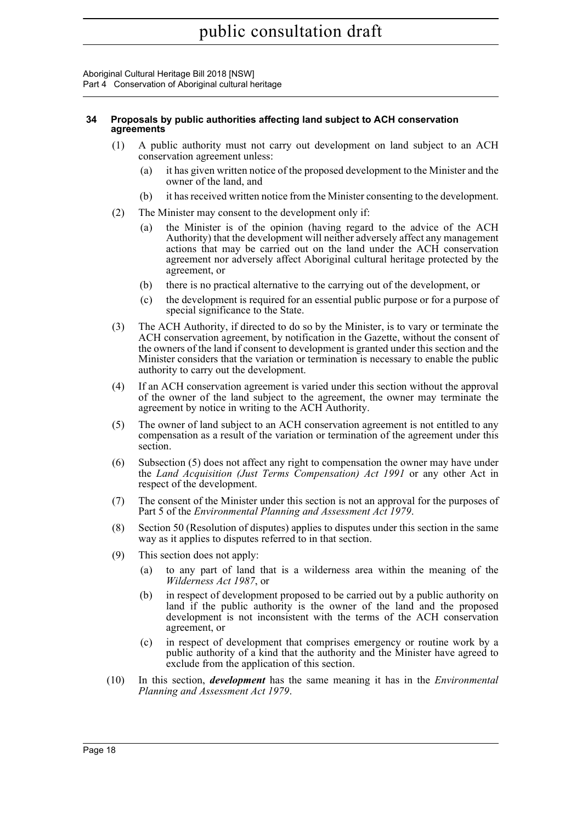### <span id="page-25-0"></span>**34 Proposals by public authorities affecting land subject to ACH conservation agreements**

- (1) A public authority must not carry out development on land subject to an ACH conservation agreement unless:
	- (a) it has given written notice of the proposed development to the Minister and the owner of the land, and
	- (b) it has received written notice from the Minister consenting to the development.
- (2) The Minister may consent to the development only if:
	- (a) the Minister is of the opinion (having regard to the advice of the ACH Authority) that the development will neither adversely affect any management actions that may be carried out on the land under the ACH conservation agreement nor adversely affect Aboriginal cultural heritage protected by the agreement, or
	- (b) there is no practical alternative to the carrying out of the development, or
	- (c) the development is required for an essential public purpose or for a purpose of special significance to the State.
- (3) The ACH Authority, if directed to do so by the Minister, is to vary or terminate the ACH conservation agreement, by notification in the Gazette, without the consent of the owners of the land if consent to development is granted under this section and the Minister considers that the variation or termination is necessary to enable the public authority to carry out the development.
- (4) If an ACH conservation agreement is varied under this section without the approval of the owner of the land subject to the agreement, the owner may terminate the agreement by notice in writing to the ACH Authority.
- (5) The owner of land subject to an ACH conservation agreement is not entitled to any compensation as a result of the variation or termination of the agreement under this section.
- (6) Subsection (5) does not affect any right to compensation the owner may have under the *Land Acquisition (Just Terms Compensation) Act 1991* or any other Act in respect of the development.
- (7) The consent of the Minister under this section is not an approval for the purposes of Part 5 of the *Environmental Planning and Assessment Act 1979*.
- (8) Section 50 (Resolution of disputes) applies to disputes under this section in the same way as it applies to disputes referred to in that section.
- (9) This section does not apply:
	- (a) to any part of land that is a wilderness area within the meaning of the *Wilderness Act 1987*, or
	- (b) in respect of development proposed to be carried out by a public authority on land if the public authority is the owner of the land and the proposed development is not inconsistent with the terms of the ACH conservation agreement, or
	- (c) in respect of development that comprises emergency or routine work by a public authority of a kind that the authority and the Minister have agreed to exclude from the application of this section.
- (10) In this section, *development* has the same meaning it has in the *Environmental Planning and Assessment Act 1979*.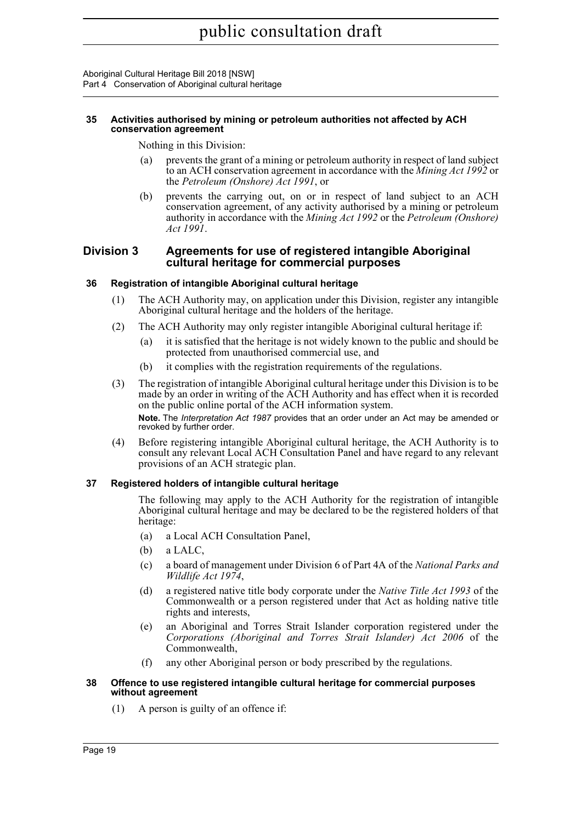#### <span id="page-26-0"></span>**35 Activities authorised by mining or petroleum authorities not affected by ACH conservation agreement**

Nothing in this Division:

- (a) prevents the grant of a mining or petroleum authority in respect of land subject to an ACH conservation agreement in accordance with the *Mining Act 1992* or the *Petroleum (Onshore) Act 1991*, or
- (b) prevents the carrying out, on or in respect of land subject to an ACH conservation agreement, of any activity authorised by a mining or petroleum authority in accordance with the *Mining Act 1992* or the *Petroleum (Onshore) Act 1991*.

### <span id="page-26-1"></span>**Division 3 Agreements for use of registered intangible Aboriginal cultural heritage for commercial purposes**

### <span id="page-26-2"></span>**36 Registration of intangible Aboriginal cultural heritage**

- (1) The ACH Authority may, on application under this Division, register any intangible Aboriginal cultural heritage and the holders of the heritage.
- (2) The ACH Authority may only register intangible Aboriginal cultural heritage if:
	- (a) it is satisfied that the heritage is not widely known to the public and should be protected from unauthorised commercial use, and
	- (b) it complies with the registration requirements of the regulations.
- (3) The registration of intangible Aboriginal cultural heritage under this Division is to be made by an order in writing of the ACH Authority and has effect when it is recorded on the public online portal of the ACH information system. **Note.** The *Interpretation Act 1987* provides that an order under an Act may be amended or revoked by further order.
- (4) Before registering intangible Aboriginal cultural heritage, the ACH Authority is to consult any relevant Local ACH Consultation Panel and have regard to any relevant provisions of an ACH strategic plan.

### <span id="page-26-3"></span>**37 Registered holders of intangible cultural heritage**

The following may apply to the ACH Authority for the registration of intangible Aboriginal cultural heritage and may be declared to be the registered holders of that heritage:

- (a) a Local ACH Consultation Panel,
- (b) a LALC,
- (c) a board of management under Division 6 of Part 4A of the *National Parks and Wildlife Act 1974*,
- (d) a registered native title body corporate under the *Native Title Act 1993* of the Commonwealth or a person registered under that Act as holding native title rights and interests,
- (e) an Aboriginal and Torres Strait Islander corporation registered under the *Corporations (Aboriginal and Torres Strait Islander) Act 2006* of the Commonwealth,
- (f) any other Aboriginal person or body prescribed by the regulations.

#### <span id="page-26-4"></span>**38 Offence to use registered intangible cultural heritage for commercial purposes without agreement**

(1) A person is guilty of an offence if: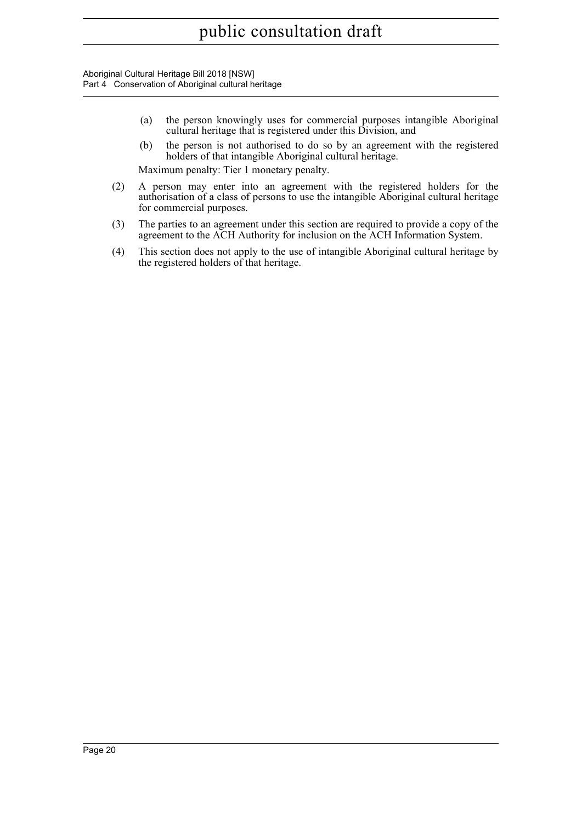- (a) the person knowingly uses for commercial purposes intangible Aboriginal cultural heritage that is registered under this Division, and
- (b) the person is not authorised to do so by an agreement with the registered holders of that intangible Aboriginal cultural heritage.

Maximum penalty: Tier 1 monetary penalty.

- (2) A person may enter into an agreement with the registered holders for the authorisation of a class of persons to use the intangible Aboriginal cultural heritage for commercial purposes.
- (3) The parties to an agreement under this section are required to provide a copy of the agreement to the ACH Authority for inclusion on the ACH Information System.
- (4) This section does not apply to the use of intangible Aboriginal cultural heritage by the registered holders of that heritage.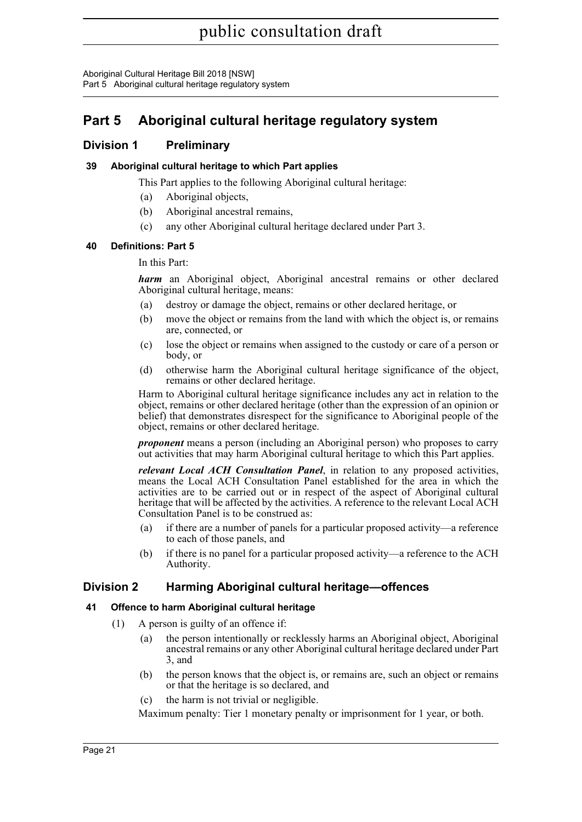Aboriginal Cultural Heritage Bill 2018 [NSW] Part 5 Aboriginal cultural heritage regulatory system

## <span id="page-28-0"></span>**Part 5 Aboriginal cultural heritage regulatory system**

### <span id="page-28-1"></span>**Division 1 Preliminary**

### <span id="page-28-2"></span>**39 Aboriginal cultural heritage to which Part applies**

This Part applies to the following Aboriginal cultural heritage:

- (a) Aboriginal objects,
- (b) Aboriginal ancestral remains,
- (c) any other Aboriginal cultural heritage declared under Part 3.

### <span id="page-28-3"></span>**40 Definitions: Part 5**

### In this Part:

*harm* an Aboriginal object, Aboriginal ancestral remains or other declared Aboriginal cultural heritage, means:

- (a) destroy or damage the object, remains or other declared heritage, or
- (b) move the object or remains from the land with which the object is, or remains are, connected, or
- (c) lose the object or remains when assigned to the custody or care of a person or body, or
- (d) otherwise harm the Aboriginal cultural heritage significance of the object, remains or other declared heritage.

Harm to Aboriginal cultural heritage significance includes any act in relation to the object, remains or other declared heritage (other than the expression of an opinion or belief) that demonstrates disrespect for the significance to Aboriginal people of the object, remains or other declared heritage.

*proponent* means a person (including an Aboriginal person) who proposes to carry out activities that may harm Aboriginal cultural heritage to which this Part applies.

*relevant Local ACH Consultation Panel*, in relation to any proposed activities, means the Local ACH Consultation Panel established for the area in which the activities are to be carried out or in respect of the aspect of Aboriginal cultural heritage that will be affected by the activities. A reference to the relevant Local ACH Consultation Panel is to be construed as:

- (a) if there are a number of panels for a particular proposed activity—a reference to each of those panels, and
- (b) if there is no panel for a particular proposed activity—a reference to the ACH Authority.

### <span id="page-28-4"></span>**Division 2 Harming Aboriginal cultural heritage—offences**

### <span id="page-28-5"></span>**41 Offence to harm Aboriginal cultural heritage**

- (1) A person is guilty of an offence if:
	- (a) the person intentionally or recklessly harms an Aboriginal object, Aboriginal ancestral remains or any other Aboriginal cultural heritage declared under Part 3, and
	- (b) the person knows that the object is, or remains are, such an object or remains or that the heritage is so declared, and
	- (c) the harm is not trivial or negligible.

Maximum penalty: Tier 1 monetary penalty or imprisonment for 1 year, or both.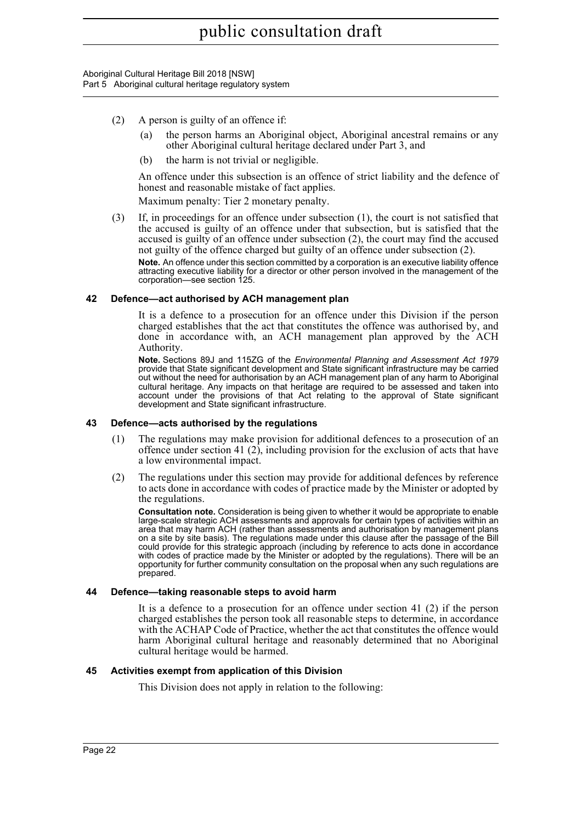- (2) A person is guilty of an offence if:
	- (a) the person harms an Aboriginal object, Aboriginal ancestral remains or any other Aboriginal cultural heritage declared under Part 3, and
	- (b) the harm is not trivial or negligible.

An offence under this subsection is an offence of strict liability and the defence of honest and reasonable mistake of fact applies.

Maximum penalty: Tier 2 monetary penalty.

(3) If, in proceedings for an offence under subsection (1), the court is not satisfied that the accused is guilty of an offence under that subsection, but is satisfied that the accused is guilty of an offence under subsection (2), the court may find the accused not guilty of the offence charged but guilty of an offence under subsection (2).

**Note.** An offence under this section committed by a corporation is an executive liability offence attracting executive liability for a director or other person involved in the management of the corporation—see section 125.

#### <span id="page-29-0"></span>**42 Defence—act authorised by ACH management plan**

It is a defence to a prosecution for an offence under this Division if the person charged establishes that the act that constitutes the offence was authorised by, and done in accordance with, an ACH management plan approved by the ACH Authority.

**Note.** Sections 89J and 115ZG of the *Environmental Planning and Assessment Act 1979* provide that State significant development and State significant infrastructure may be carried out without the need for authorisation by an ACH management plan of any harm to Aboriginal cultural heritage. Any impacts on that heritage are required to be assessed and taken into account under the provisions of that Act relating to the approval of State significant development and State significant infrastructure.

#### <span id="page-29-1"></span>**43 Defence—acts authorised by the regulations**

- (1) The regulations may make provision for additional defences to a prosecution of an offence under section 41 (2), including provision for the exclusion of acts that have a low environmental impact.
- (2) The regulations under this section may provide for additional defences by reference to acts done in accordance with codes of practice made by the Minister or adopted by the regulations.

**Consultation note.** Consideration is being given to whether it would be appropriate to enable large-scale strategic ACH assessments and approvals for certain types of activities within an area that may harm ACH (rather than assessments and authorisation by management plans on a site by site basis). The regulations made under this clause after the passage of the Bill could provide for this strategic approach (including by reference to acts done in accordance with codes of practice made by the Minister or adopted by the regulations). There will be an opportunity for further community consultation on the proposal when any such regulations are prepared.

#### <span id="page-29-2"></span>**44 Defence—taking reasonable steps to avoid harm**

It is a defence to a prosecution for an offence under section 41 (2) if the person charged establishes the person took all reasonable steps to determine, in accordance with the ACHAP Code of Practice, whether the act that constitutes the offence would harm Aboriginal cultural heritage and reasonably determined that no Aboriginal cultural heritage would be harmed.

#### <span id="page-29-3"></span>**45 Activities exempt from application of this Division**

This Division does not apply in relation to the following: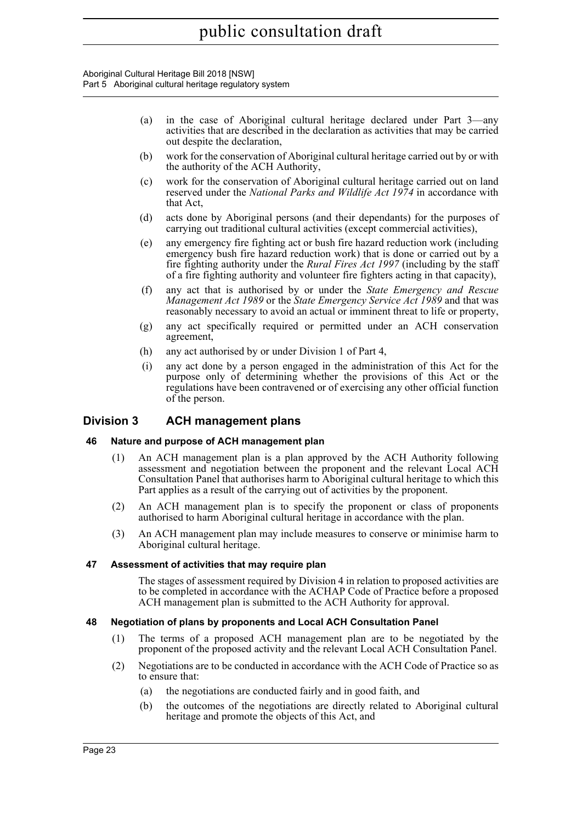Aboriginal Cultural Heritage Bill 2018 [NSW] Part 5 Aboriginal cultural heritage regulatory system

- (a) in the case of Aboriginal cultural heritage declared under Part 3—any activities that are described in the declaration as activities that may be carried out despite the declaration,
- (b) work for the conservation of Aboriginal cultural heritage carried out by or with the authority of the ACH Authority,
- (c) work for the conservation of Aboriginal cultural heritage carried out on land reserved under the *National Parks and Wildlife Act 1974* in accordance with that Act,
- (d) acts done by Aboriginal persons (and their dependants) for the purposes of carrying out traditional cultural activities (except commercial activities),
- (e) any emergency fire fighting act or bush fire hazard reduction work (including emergency bush fire hazard reduction work) that is done or carried out by a fire fighting authority under the *Rural Fires Act 1997* (including by the staff of a fire fighting authority and volunteer fire fighters acting in that capacity),
- (f) any act that is authorised by or under the *State Emergency and Rescue Management Act 1989* or the *State Emergency Service Act 1989* and that was reasonably necessary to avoid an actual or imminent threat to life or property,
- (g) any act specifically required or permitted under an ACH conservation agreement,
- (h) any act authorised by or under Division 1 of Part 4,
- (i) any act done by a person engaged in the administration of this Act for the purpose only of determining whether the provisions of this Act or the regulations have been contravened or of exercising any other official function of the person.

### <span id="page-30-0"></span>**Division 3 ACH management plans**

### <span id="page-30-1"></span>**46 Nature and purpose of ACH management plan**

- (1) An ACH management plan is a plan approved by the ACH Authority following assessment and negotiation between the proponent and the relevant Local ACH Consultation Panel that authorises harm to Aboriginal cultural heritage to which this Part applies as a result of the carrying out of activities by the proponent.
- (2) An ACH management plan is to specify the proponent or class of proponents authorised to harm Aboriginal cultural heritage in accordance with the plan.
- (3) An ACH management plan may include measures to conserve or minimise harm to Aboriginal cultural heritage.

### <span id="page-30-2"></span>**47 Assessment of activities that may require plan**

The stages of assessment required by Division 4 in relation to proposed activities are to be completed in accordance with the ACHAP Code of Practice before a proposed ACH management plan is submitted to the ACH Authority for approval.

### <span id="page-30-3"></span>**48 Negotiation of plans by proponents and Local ACH Consultation Panel**

- (1) The terms of a proposed ACH management plan are to be negotiated by the proponent of the proposed activity and the relevant Local ACH Consultation Panel.
- (2) Negotiations are to be conducted in accordance with the ACH Code of Practice so as to ensure that:
	- (a) the negotiations are conducted fairly and in good faith, and
	- (b) the outcomes of the negotiations are directly related to Aboriginal cultural heritage and promote the objects of this Act, and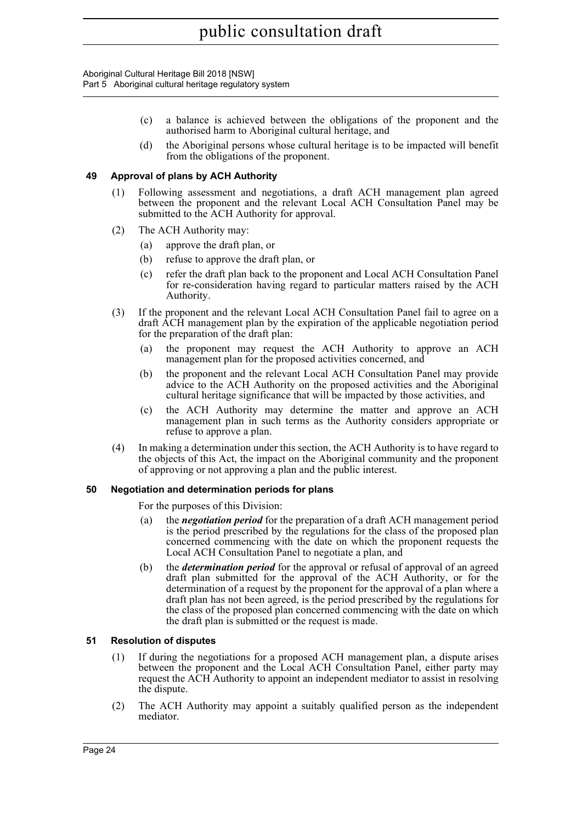- (c) a balance is achieved between the obligations of the proponent and the authorised harm to Aboriginal cultural heritage, and
- (d) the Aboriginal persons whose cultural heritage is to be impacted will benefit from the obligations of the proponent.

### <span id="page-31-0"></span>**49 Approval of plans by ACH Authority**

- (1) Following assessment and negotiations, a draft ACH management plan agreed between the proponent and the relevant Local ACH Consultation Panel may be submitted to the ACH Authority for approval.
- (2) The ACH Authority may:
	- (a) approve the draft plan, or
	- (b) refuse to approve the draft plan, or
	- (c) refer the draft plan back to the proponent and Local ACH Consultation Panel for re-consideration having regard to particular matters raised by the ACH Authority.
- (3) If the proponent and the relevant Local ACH Consultation Panel fail to agree on a draft ACH management plan by the expiration of the applicable negotiation period for the preparation of the draft plan:
	- (a) the proponent may request the ACH Authority to approve an ACH management plan for the proposed activities concerned, and
	- (b) the proponent and the relevant Local ACH Consultation Panel may provide advice to the ACH Authority on the proposed activities and the Aboriginal cultural heritage significance that will be impacted by those activities, and
	- (c) the ACH Authority may determine the matter and approve an ACH management plan in such terms as the Authority considers appropriate or refuse to approve a plan.
- (4) In making a determination under this section, the ACH Authority is to have regard to the objects of this Act, the impact on the Aboriginal community and the proponent of approving or not approving a plan and the public interest.

### <span id="page-31-1"></span>**50 Negotiation and determination periods for plans**

For the purposes of this Division:

- (a) the *negotiation period* for the preparation of a draft ACH management period is the period prescribed by the regulations for the class of the proposed plan concerned commencing with the date on which the proponent requests the Local ACH Consultation Panel to negotiate a plan, and
- (b) the *determination period* for the approval or refusal of approval of an agreed draft plan submitted for the approval of the ACH Authority, or for the determination of a request by the proponent for the approval of a plan where a draft plan has not been agreed, is the period prescribed by the regulations for the class of the proposed plan concerned commencing with the date on which the draft plan is submitted or the request is made.

### <span id="page-31-2"></span>**51 Resolution of disputes**

- (1) If during the negotiations for a proposed ACH management plan, a dispute arises between the proponent and the Local ACH Consultation Panel, either party may request the ACH Authority to appoint an independent mediator to assist in resolving the dispute.
- (2) The ACH Authority may appoint a suitably qualified person as the independent mediator.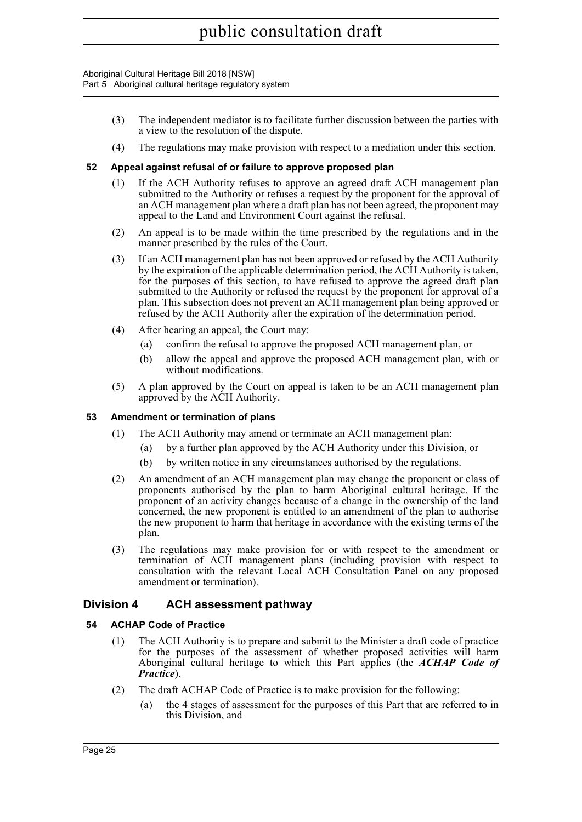- (3) The independent mediator is to facilitate further discussion between the parties with a view to the resolution of the dispute.
- (4) The regulations may make provision with respect to a mediation under this section.

### <span id="page-32-0"></span>**52 Appeal against refusal of or failure to approve proposed plan**

- (1) If the ACH Authority refuses to approve an agreed draft ACH management plan submitted to the Authority or refuses a request by the proponent for the approval of an ACH management plan where a draft plan has not been agreed, the proponent may appeal to the Land and Environment Court against the refusal.
- (2) An appeal is to be made within the time prescribed by the regulations and in the manner prescribed by the rules of the Court.
- (3) If an ACH management plan has not been approved or refused by the ACH Authority by the expiration of the applicable determination period, the ACH Authority is taken, for the purposes of this section, to have refused to approve the agreed draft plan submitted to the Authority or refused the request by the proponent for approval of a plan. This subsection does not prevent an ACH management plan being approved or refused by the ACH Authority after the expiration of the determination period.
- (4) After hearing an appeal, the Court may:
	- (a) confirm the refusal to approve the proposed ACH management plan, or
	- (b) allow the appeal and approve the proposed ACH management plan, with or without modifications.
- (5) A plan approved by the Court on appeal is taken to be an ACH management plan approved by the ACH Authority.

#### <span id="page-32-1"></span>**53 Amendment or termination of plans**

- (1) The ACH Authority may amend or terminate an ACH management plan:
	- (a) by a further plan approved by the ACH Authority under this Division, or
	- (b) by written notice in any circumstances authorised by the regulations.
- (2) An amendment of an ACH management plan may change the proponent or class of proponents authorised by the plan to harm Aboriginal cultural heritage. If the proponent of an activity changes because of a change in the ownership of the land concerned, the new proponent is entitled to an amendment of the plan to authorise the new proponent to harm that heritage in accordance with the existing terms of the plan.
- (3) The regulations may make provision for or with respect to the amendment or termination of ACH management plans (including provision with respect to consultation with the relevant Local ACH Consultation Panel on any proposed amendment or termination).

### <span id="page-32-2"></span>**Division 4 ACH assessment pathway**

#### <span id="page-32-3"></span>**54 ACHAP Code of Practice**

- (1) The ACH Authority is to prepare and submit to the Minister a draft code of practice for the purposes of the assessment of whether proposed activities will harm Aboriginal cultural heritage to which this Part applies (the *ACHAP Code of Practice*).
- (2) The draft ACHAP Code of Practice is to make provision for the following:
	- (a) the 4 stages of assessment for the purposes of this Part that are referred to in this Division, and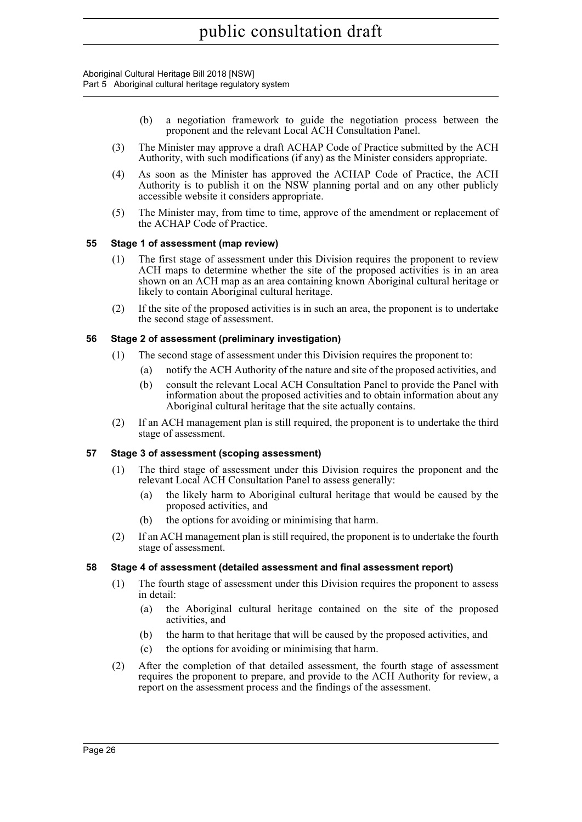- (b) a negotiation framework to guide the negotiation process between the proponent and the relevant Local ACH Consultation Panel.
- (3) The Minister may approve a draft ACHAP Code of Practice submitted by the ACH Authority, with such modifications (if any) as the Minister considers appropriate.
- (4) As soon as the Minister has approved the ACHAP Code of Practice, the ACH Authority is to publish it on the NSW planning portal and on any other publicly accessible website it considers appropriate.
- (5) The Minister may, from time to time, approve of the amendment or replacement of the ACHAP Code of Practice.

### <span id="page-33-0"></span>**55 Stage 1 of assessment (map review)**

- (1) The first stage of assessment under this Division requires the proponent to review ACH maps to determine whether the site of the proposed activities is in an area shown on an ACH map as an area containing known Aboriginal cultural heritage or likely to contain Aboriginal cultural heritage.
- (2) If the site of the proposed activities is in such an area, the proponent is to undertake the second stage of assessment.

#### <span id="page-33-1"></span>**56 Stage 2 of assessment (preliminary investigation)**

- (1) The second stage of assessment under this Division requires the proponent to:
	- (a) notify the ACH Authority of the nature and site of the proposed activities, and
	- (b) consult the relevant Local ACH Consultation Panel to provide the Panel with information about the proposed activities and to obtain information about any Aboriginal cultural heritage that the site actually contains.
- (2) If an ACH management plan is still required, the proponent is to undertake the third stage of assessment.

### <span id="page-33-2"></span>**57 Stage 3 of assessment (scoping assessment)**

- (1) The third stage of assessment under this Division requires the proponent and the relevant Local ACH Consultation Panel to assess generally:
	- (a) the likely harm to Aboriginal cultural heritage that would be caused by the proposed activities, and
	- (b) the options for avoiding or minimising that harm.
- (2) If an ACH management plan is still required, the proponent is to undertake the fourth stage of assessment.

#### <span id="page-33-3"></span>**58 Stage 4 of assessment (detailed assessment and final assessment report)**

- (1) The fourth stage of assessment under this Division requires the proponent to assess in detail:
	- (a) the Aboriginal cultural heritage contained on the site of the proposed activities, and
	- (b) the harm to that heritage that will be caused by the proposed activities, and
	- (c) the options for avoiding or minimising that harm.
- (2) After the completion of that detailed assessment, the fourth stage of assessment requires the proponent to prepare, and provide to the ACH Authority for review, a report on the assessment process and the findings of the assessment.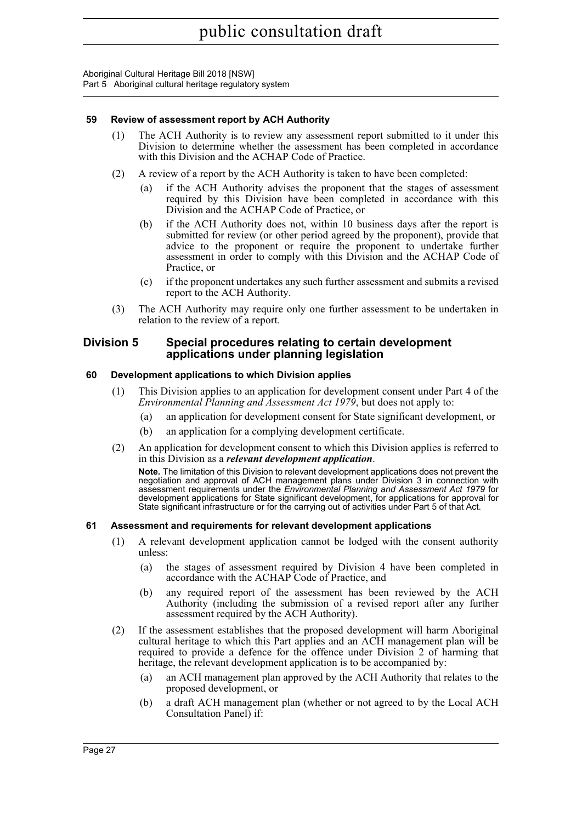### <span id="page-34-0"></span>**59 Review of assessment report by ACH Authority**

- (1) The ACH Authority is to review any assessment report submitted to it under this Division to determine whether the assessment has been completed in accordance with this Division and the ACHAP Code of Practice.
- (2) A review of a report by the ACH Authority is taken to have been completed:
	- if the ACH Authority advises the proponent that the stages of assessment required by this Division have been completed in accordance with this Division and the ACHAP Code of Practice, or
	- (b) if the ACH Authority does not, within 10 business days after the report is submitted for review (or other period agreed by the proponent), provide that advice to the proponent or require the proponent to undertake further assessment in order to comply with this Division and the ACHAP Code of Practice, or
	- (c) if the proponent undertakes any such further assessment and submits a revised report to the ACH Authority.
- (3) The ACH Authority may require only one further assessment to be undertaken in relation to the review of a report.

#### <span id="page-34-1"></span>**Division 5 Special procedures relating to certain development applications under planning legislation**

#### <span id="page-34-2"></span>**60 Development applications to which Division applies**

- (1) This Division applies to an application for development consent under Part 4 of the *Environmental Planning and Assessment Act 1979*, but does not apply to:
	- (a) an application for development consent for State significant development, or
	- (b) an application for a complying development certificate.
- (2) An application for development consent to which this Division applies is referred to in this Division as a *relevant development application*.

**Note.** The limitation of this Division to relevant development applications does not prevent the negotiation and approval of ACH management plans under Division 3 in connection with assessment requirements under the *Environmental Planning and Assessment Act 1979* for development applications for State significant development, for applications for approval for State significant infrastructure or for the carrying out of activities under Part 5 of that Act.

#### <span id="page-34-3"></span>**61 Assessment and requirements for relevant development applications**

- (1) A relevant development application cannot be lodged with the consent authority unless:
	- (a) the stages of assessment required by Division 4 have been completed in accordance with the ACHAP Code of Practice, and
	- (b) any required report of the assessment has been reviewed by the ACH Authority (including the submission of a revised report after any further assessment required by the ACH Authority).
- (2) If the assessment establishes that the proposed development will harm Aboriginal cultural heritage to which this Part applies and an ACH management plan will be required to provide a defence for the offence under Division 2 of harming that heritage, the relevant development application is to be accompanied by:
	- (a) an ACH management plan approved by the ACH Authority that relates to the proposed development, or
	- (b) a draft ACH management plan (whether or not agreed to by the Local ACH Consultation Panel) if: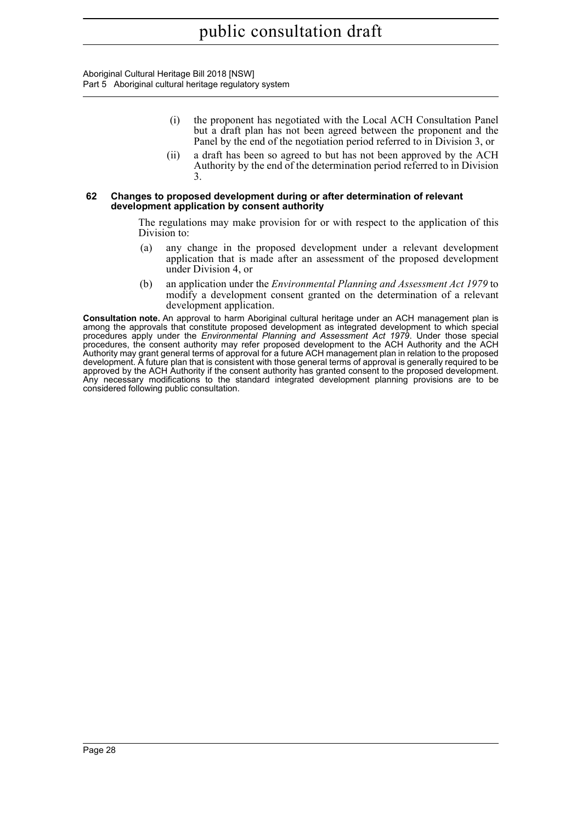- (i) the proponent has negotiated with the Local ACH Consultation Panel but a draft plan has not been agreed between the proponent and the Panel by the end of the negotiation period referred to in Division 3, or
- (ii) a draft has been so agreed to but has not been approved by the ACH Authority by the end of the determination period referred to in Division 3.

#### <span id="page-35-0"></span>**62 Changes to proposed development during or after determination of relevant development application by consent authority**

The regulations may make provision for or with respect to the application of this Division to:

- (a) any change in the proposed development under a relevant development application that is made after an assessment of the proposed development under Division 4, or
- (b) an application under the *Environmental Planning and Assessment Act 1979* to modify a development consent granted on the determination of a relevant development application.

**Consultation note.** An approval to harm Aboriginal cultural heritage under an ACH management plan is among the approvals that constitute proposed development as integrated development to which special procedures apply under the *Environmental Planning and Assessment Act 1979*. Under those special procedures, the consent authority may refer proposed development to the ACH Authority and the ACH Authority may grant general terms of approval for a future ACH management plan in relation to the proposed development. A future plan that is consistent with those general terms of approval is generally required to be approved by the ACH Authority if the consent authority has granted consent to the proposed development. Any necessary modifications to the standard integrated development planning provisions are to be considered following public consultation.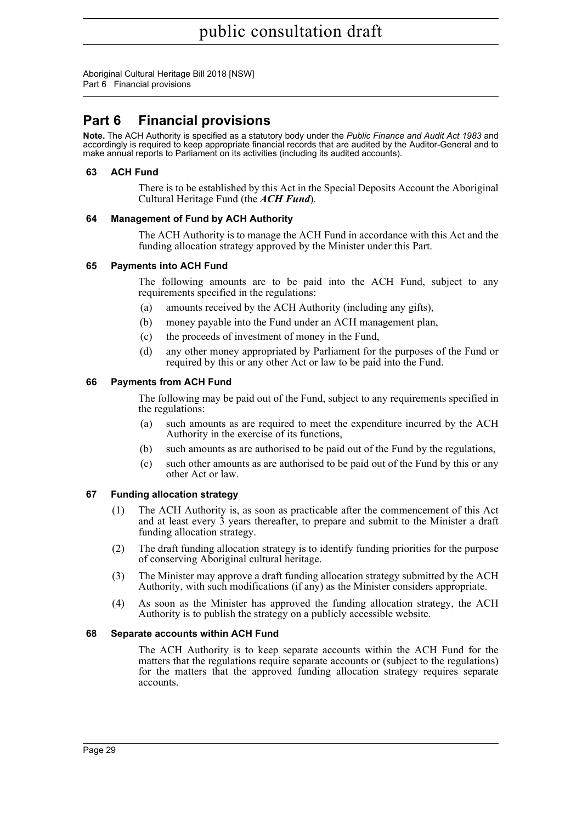Aboriginal Cultural Heritage Bill 2018 [NSW] Part 6 Financial provisions

# **Part 6 Financial provisions**

**Note.** The ACH Authority is specified as a statutory body under the *Public Finance and Audit Act 1983* and accordingly is required to keep appropriate financial records that are audited by the Auditor-General and to make annual reports to Parliament on its activities (including its audited accounts).

# **63 ACH Fund**

There is to be established by this Act in the Special Deposits Account the Aboriginal Cultural Heritage Fund (the *ACH Fund*).

# **64 Management of Fund by ACH Authority**

The ACH Authority is to manage the ACH Fund in accordance with this Act and the funding allocation strategy approved by the Minister under this Part.

# **65 Payments into ACH Fund**

The following amounts are to be paid into the ACH Fund, subject to any requirements specified in the regulations:

- (a) amounts received by the ACH Authority (including any gifts),
- (b) money payable into the Fund under an ACH management plan,
- (c) the proceeds of investment of money in the Fund,
- (d) any other money appropriated by Parliament for the purposes of the Fund or required by this or any other Act or law to be paid into the Fund.

# **66 Payments from ACH Fund**

The following may be paid out of the Fund, subject to any requirements specified in the regulations:

- (a) such amounts as are required to meet the expenditure incurred by the ACH Authority in the exercise of its functions,
- (b) such amounts as are authorised to be paid out of the Fund by the regulations,
- (c) such other amounts as are authorised to be paid out of the Fund by this or any other Act or law.

# **67 Funding allocation strategy**

- (1) The ACH Authority is, as soon as practicable after the commencement of this Act and at least every 3 years thereafter, to prepare and submit to the Minister a draft funding allocation strategy.
- (2) The draft funding allocation strategy is to identify funding priorities for the purpose of conserving Aboriginal cultural heritage.
- (3) The Minister may approve a draft funding allocation strategy submitted by the ACH Authority, with such modifications (if any) as the Minister considers appropriate.
- (4) As soon as the Minister has approved the funding allocation strategy, the ACH Authority is to publish the strategy on a publicly accessible website.

# **68 Separate accounts within ACH Fund**

The ACH Authority is to keep separate accounts within the ACH Fund for the matters that the regulations require separate accounts or (subject to the regulations) for the matters that the approved funding allocation strategy requires separate accounts.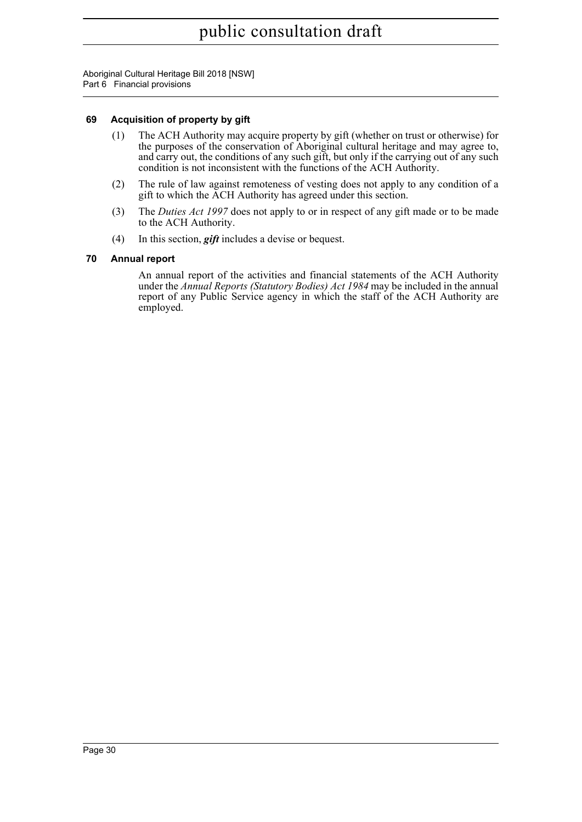Aboriginal Cultural Heritage Bill 2018 [NSW] Part 6 Financial provisions

# **69 Acquisition of property by gift**

- (1) The ACH Authority may acquire property by gift (whether on trust or otherwise) for the purposes of the conservation of Aboriginal cultural heritage and may agree to, and carry out, the conditions of any such gift, but only if the carrying out of any such condition is not inconsistent with the functions of the ACH Authority.
- (2) The rule of law against remoteness of vesting does not apply to any condition of a gift to which the ACH Authority has agreed under this section.
- (3) The *Duties Act 1997* does not apply to or in respect of any gift made or to be made to the ACH Authority.
- (4) In this section, *gift* includes a devise or bequest.

# **70 Annual report**

An annual report of the activities and financial statements of the ACH Authority under the *Annual Reports (Statutory Bodies) Act 1984* may be included in the annual report of any Public Service agency in which the staff of the ACH Authority are employed.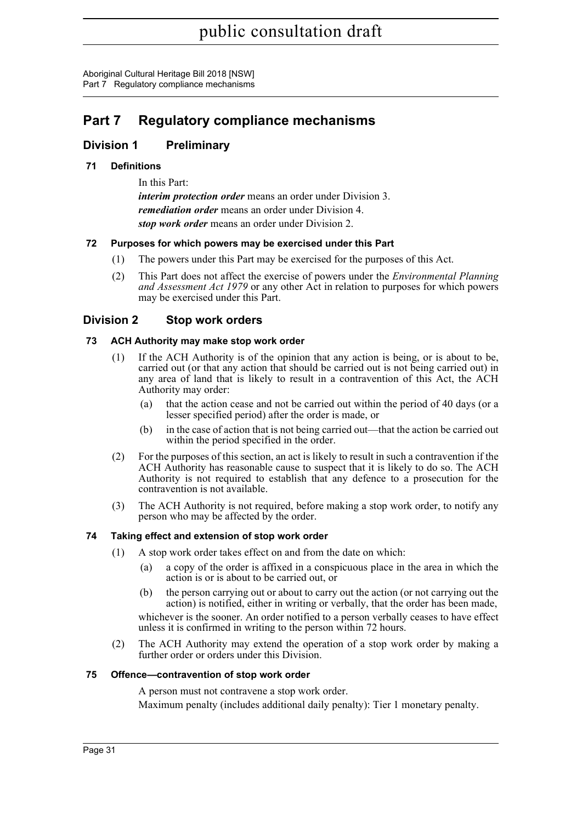# **Part 7 Regulatory compliance mechanisms**

# **Division 1 Preliminary**

# **71 Definitions**

In this Part: *interim protection order* means an order under Division 3. *remediation order* means an order under Division 4. *stop work order* means an order under Division 2.

# **72 Purposes for which powers may be exercised under this Part**

- (1) The powers under this Part may be exercised for the purposes of this Act.
- (2) This Part does not affect the exercise of powers under the *Environmental Planning and Assessment Act 1979* or any other Act in relation to purposes for which powers may be exercised under this Part.

# **Division 2 Stop work orders**

# **73 ACH Authority may make stop work order**

- (1) If the ACH Authority is of the opinion that any action is being, or is about to be, carried out (or that any action that should be carried out is not being carried out) in any area of land that is likely to result in a contravention of this Act, the ACH Authority may order:
	- (a) that the action cease and not be carried out within the period of 40 days (or a lesser specified period) after the order is made, or
	- (b) in the case of action that is not being carried out—that the action be carried out within the period specified in the order.
- (2) For the purposes of this section, an act is likely to result in such a contravention if the ACH Authority has reasonable cause to suspect that it is likely to do so. The ACH Authority is not required to establish that any defence to a prosecution for the contravention is not available.
- (3) The ACH Authority is not required, before making a stop work order, to notify any person who may be affected by the order.

# **74 Taking effect and extension of stop work order**

- (1) A stop work order takes effect on and from the date on which:
	- (a) a copy of the order is affixed in a conspicuous place in the area in which the action is or is about to be carried out, or
	- (b) the person carrying out or about to carry out the action (or not carrying out the action) is notified, either in writing or verbally, that the order has been made,

whichever is the sooner. An order notified to a person verbally ceases to have effect unless it is confirmed in writing to the person within 72 hours.

(2) The ACH Authority may extend the operation of a stop work order by making a further order or orders under this Division.

# **75 Offence—contravention of stop work order**

A person must not contravene a stop work order.

Maximum penalty (includes additional daily penalty): Tier 1 monetary penalty.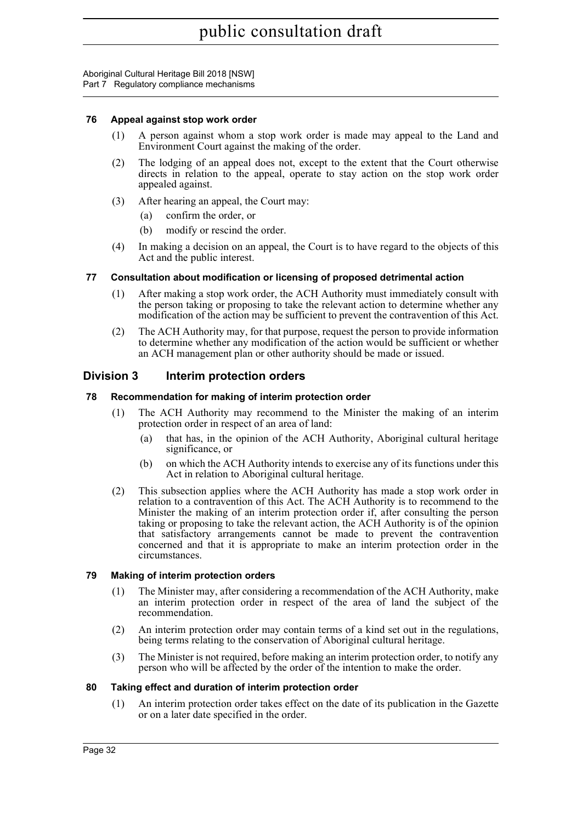#### **76 Appeal against stop work order**

- (1) A person against whom a stop work order is made may appeal to the Land and Environment Court against the making of the order.
- (2) The lodging of an appeal does not, except to the extent that the Court otherwise directs in relation to the appeal, operate to stay action on the stop work order appealed against.
- (3) After hearing an appeal, the Court may:
	- (a) confirm the order, or
	- (b) modify or rescind the order.
- (4) In making a decision on an appeal, the Court is to have regard to the objects of this Act and the public interest.

#### **77 Consultation about modification or licensing of proposed detrimental action**

- (1) After making a stop work order, the ACH Authority must immediately consult with the person taking or proposing to take the relevant action to determine whether any modification of the action may be sufficient to prevent the contravention of this Act.
- (2) The ACH Authority may, for that purpose, request the person to provide information to determine whether any modification of the action would be sufficient or whether an ACH management plan or other authority should be made or issued.

# **Division 3 Interim protection orders**

#### **78 Recommendation for making of interim protection order**

- (1) The ACH Authority may recommend to the Minister the making of an interim protection order in respect of an area of land:
	- (a) that has, in the opinion of the ACH Authority, Aboriginal cultural heritage significance, or
	- (b) on which the ACH Authority intends to exercise any of its functions under this Act in relation to Aboriginal cultural heritage.
- (2) This subsection applies where the ACH Authority has made a stop work order in relation to a contravention of this Act. The ACH Authority is to recommend to the Minister the making of an interim protection order if, after consulting the person taking or proposing to take the relevant action, the ACH Authority is of the opinion that satisfactory arrangements cannot be made to prevent the contravention concerned and that it is appropriate to make an interim protection order in the circumstances.

#### **79 Making of interim protection orders**

- (1) The Minister may, after considering a recommendation of the ACH Authority, make an interim protection order in respect of the area of land the subject of the recommendation.
- (2) An interim protection order may contain terms of a kind set out in the regulations, being terms relating to the conservation of Aboriginal cultural heritage.
- (3) The Minister is not required, before making an interim protection order, to notify any person who will be affected by the order of the intention to make the order.

#### **80 Taking effect and duration of interim protection order**

(1) An interim protection order takes effect on the date of its publication in the Gazette or on a later date specified in the order.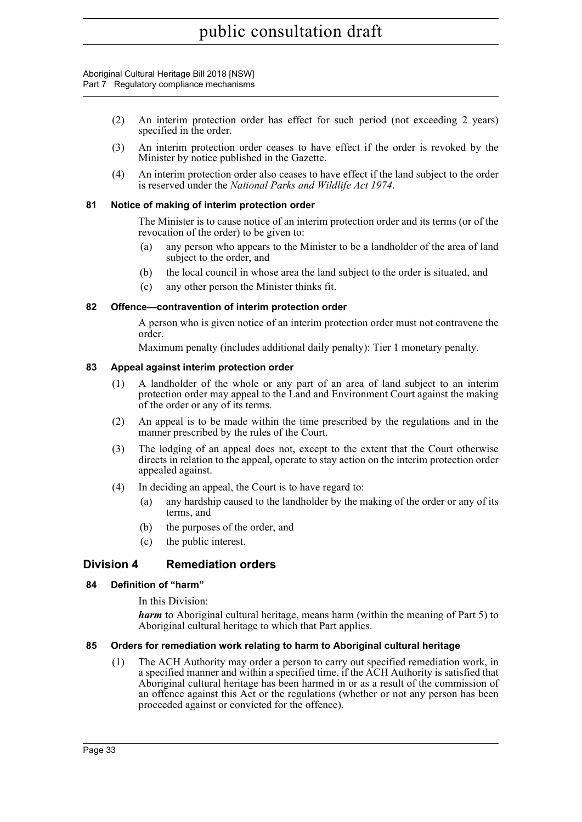- (2) An interim protection order has effect for such period (not exceeding 2 years) specified in the order.
- (3) An interim protection order ceases to have effect if the order is revoked by the Minister by notice published in the Gazette.
- (4) An interim protection order also ceases to have effect if the land subject to the order is reserved under the *National Parks and Wildlife Act 1974*.

#### **81 Notice of making of interim protection order**

The Minister is to cause notice of an interim protection order and its terms (or of the revocation of the order) to be given to:

- (a) any person who appears to the Minister to be a landholder of the area of land subject to the order, and
- (b) the local council in whose area the land subject to the order is situated, and
- (c) any other person the Minister thinks fit.

#### **82 Offence—contravention of interim protection order**

A person who is given notice of an interim protection order must not contravene the order.

Maximum penalty (includes additional daily penalty): Tier 1 monetary penalty.

#### **83 Appeal against interim protection order**

- (1) A landholder of the whole or any part of an area of land subject to an interim protection order may appeal to the Land and Environment Court against the making of the order or any of its terms.
- (2) An appeal is to be made within the time prescribed by the regulations and in the manner prescribed by the rules of the Court.
- (3) The lodging of an appeal does not, except to the extent that the Court otherwise directs in relation to the appeal, operate to stay action on the interim protection order appealed against.
- (4) In deciding an appeal, the Court is to have regard to:
	- (a) any hardship caused to the landholder by the making of the order or any of its terms, and
	- (b) the purposes of the order, and
	- (c) the public interest.

# **Division 4 Remediation orders**

#### **84 Definition of "harm"**

In this Division:

*harm* to Aboriginal cultural heritage, means harm (within the meaning of Part 5) to Aboriginal cultural heritage to which that Part applies.

#### **85 Orders for remediation work relating to harm to Aboriginal cultural heritage**

(1) The ACH Authority may order a person to carry out specified remediation work, in a specified manner and within a specified time, if the ACH Authority is satisfied that Aboriginal cultural heritage has been harmed in or as a result of the commission of an offence against this Act or the regulations (whether or not any person has been proceeded against or convicted for the offence).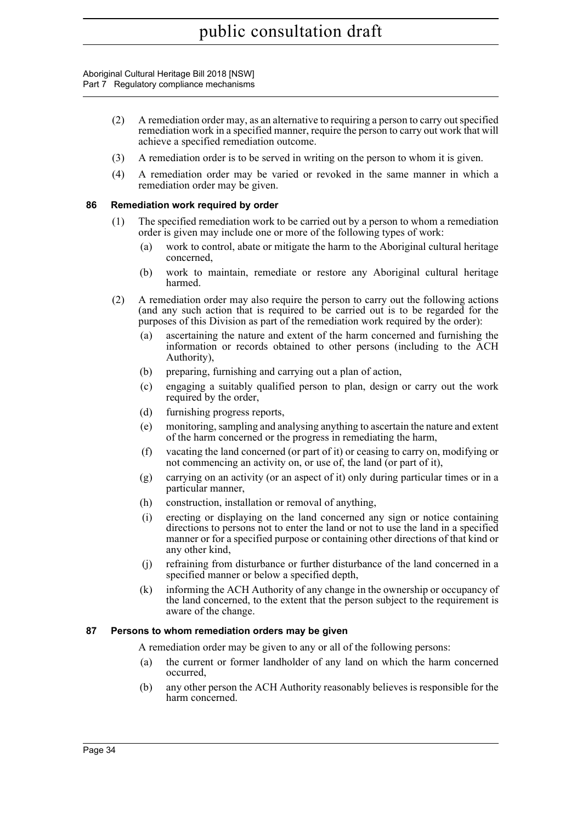- (2) A remediation order may, as an alternative to requiring a person to carry out specified remediation work in a specified manner, require the person to carry out work that will achieve a specified remediation outcome.
- (3) A remediation order is to be served in writing on the person to whom it is given.
- (4) A remediation order may be varied or revoked in the same manner in which a remediation order may be given.

#### **86 Remediation work required by order**

- (1) The specified remediation work to be carried out by a person to whom a remediation order is given may include one or more of the following types of work:
	- (a) work to control, abate or mitigate the harm to the Aboriginal cultural heritage concerned,
	- (b) work to maintain, remediate or restore any Aboriginal cultural heritage harmed.
- (2) A remediation order may also require the person to carry out the following actions (and any such action that is required to be carried out is to be regarded for the purposes of this Division as part of the remediation work required by the order):
	- (a) ascertaining the nature and extent of the harm concerned and furnishing the information or records obtained to other persons (including to the ACH Authority),
	- (b) preparing, furnishing and carrying out a plan of action,
	- (c) engaging a suitably qualified person to plan, design or carry out the work required by the order,
	- (d) furnishing progress reports,
	- (e) monitoring, sampling and analysing anything to ascertain the nature and extent of the harm concerned or the progress in remediating the harm,
	- (f) vacating the land concerned (or part of it) or ceasing to carry on, modifying or not commencing an activity on, or use of, the land (or part of it),
	- (g) carrying on an activity (or an aspect of it) only during particular times or in a particular manner,
	- (h) construction, installation or removal of anything,
	- (i) erecting or displaying on the land concerned any sign or notice containing directions to persons not to enter the land or not to use the land in a specified manner or for a specified purpose or containing other directions of that kind or any other kind,
	- (j) refraining from disturbance or further disturbance of the land concerned in a specified manner or below a specified depth,
	- (k) informing the ACH Authority of any change in the ownership or occupancy of the land concerned, to the extent that the person subject to the requirement is aware of the change.

# **87 Persons to whom remediation orders may be given**

A remediation order may be given to any or all of the following persons:

- (a) the current or former landholder of any land on which the harm concerned occurred,
- (b) any other person the ACH Authority reasonably believes is responsible for the harm concerned.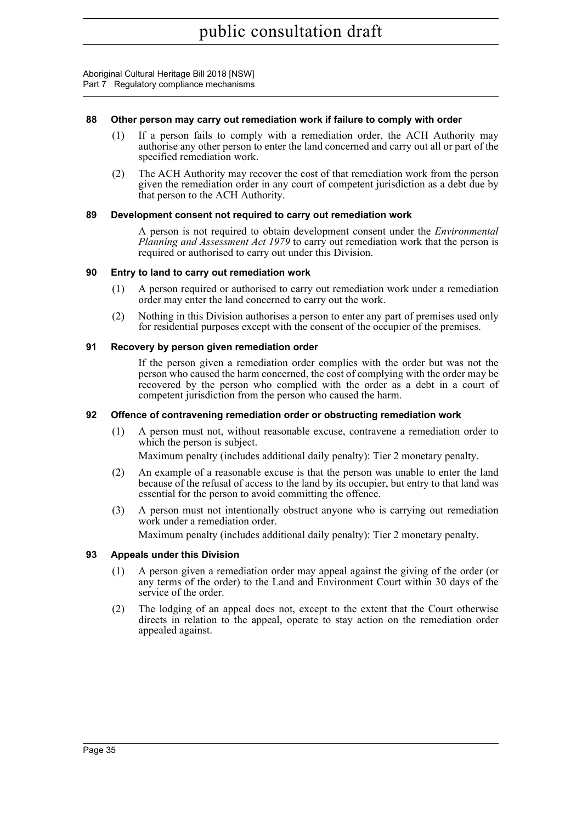#### **88 Other person may carry out remediation work if failure to comply with order**

- (1) If a person fails to comply with a remediation order, the ACH Authority may authorise any other person to enter the land concerned and carry out all or part of the specified remediation work.
- (2) The ACH Authority may recover the cost of that remediation work from the person given the remediation order in any court of competent jurisdiction as a debt due by that person to the ACH Authority.

#### **89 Development consent not required to carry out remediation work**

A person is not required to obtain development consent under the *Environmental Planning and Assessment Act 1979* to carry out remediation work that the person is required or authorised to carry out under this Division.

#### **90 Entry to land to carry out remediation work**

- (1) A person required or authorised to carry out remediation work under a remediation order may enter the land concerned to carry out the work.
- (2) Nothing in this Division authorises a person to enter any part of premises used only for residential purposes except with the consent of the occupier of the premises.

#### **91 Recovery by person given remediation order**

If the person given a remediation order complies with the order but was not the person who caused the harm concerned, the cost of complying with the order may be recovered by the person who complied with the order as a debt in a court of competent jurisdiction from the person who caused the harm.

#### **92 Offence of contravening remediation order or obstructing remediation work**

(1) A person must not, without reasonable excuse, contravene a remediation order to which the person is subject.

Maximum penalty (includes additional daily penalty): Tier 2 monetary penalty.

- (2) An example of a reasonable excuse is that the person was unable to enter the land because of the refusal of access to the land by its occupier, but entry to that land was essential for the person to avoid committing the offence.
- (3) A person must not intentionally obstruct anyone who is carrying out remediation work under a remediation order. Maximum penalty (includes additional daily penalty): Tier 2 monetary penalty.

# **93 Appeals under this Division**

- (1) A person given a remediation order may appeal against the giving of the order (or any terms of the order) to the Land and Environment Court within 30 days of the service of the order.
- (2) The lodging of an appeal does not, except to the extent that the Court otherwise directs in relation to the appeal, operate to stay action on the remediation order appealed against.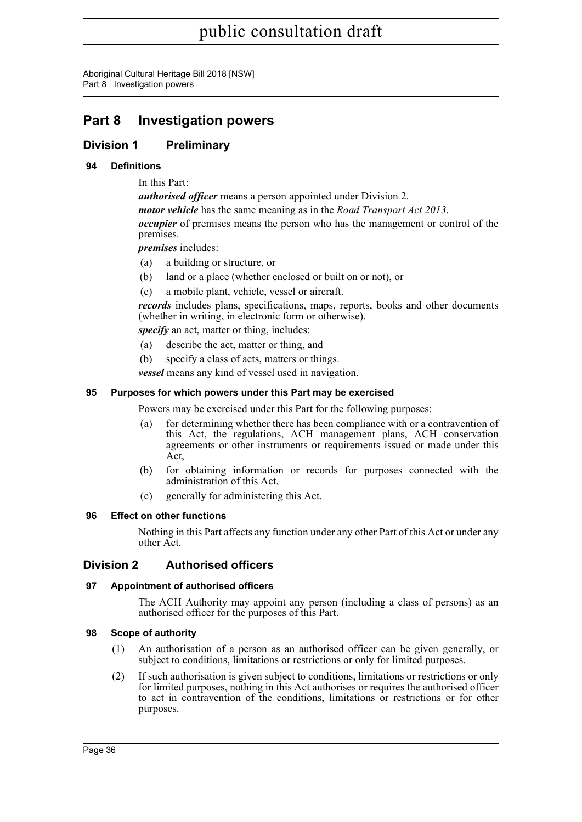Aboriginal Cultural Heritage Bill 2018 [NSW] Part 8 Investigation powers

# **Part 8 Investigation powers**

# **Division 1 Preliminary**

# **94 Definitions**

In this Part:

*authorised officer* means a person appointed under Division 2. *motor vehicle* has the same meaning as in the *Road Transport Act 2013*. *occupier* of premises means the person who has the management or control of the premises.

*premises* includes:

- (a) a building or structure, or
- (b) land or a place (whether enclosed or built on or not), or
- (c) a mobile plant, vehicle, vessel or aircraft.

*records* includes plans, specifications, maps, reports, books and other documents (whether in writing, in electronic form or otherwise).

*specify* an act, matter or thing, includes:

- (a) describe the act, matter or thing, and
- (b) specify a class of acts, matters or things.

*vessel* means any kind of vessel used in navigation.

# **95 Purposes for which powers under this Part may be exercised**

Powers may be exercised under this Part for the following purposes:

- for determining whether there has been compliance with or a contravention of this Act, the regulations, ACH management plans, ACH conservation agreements or other instruments or requirements issued or made under this Act,
- (b) for obtaining information or records for purposes connected with the administration of this Act,
- (c) generally for administering this Act.

# **96 Effect on other functions**

Nothing in this Part affects any function under any other Part of this Act or under any other Act.

# **Division 2 Authorised officers**

# **97 Appointment of authorised officers**

The ACH Authority may appoint any person (including a class of persons) as an authorised officer for the purposes of this Part.

#### **98 Scope of authority**

- (1) An authorisation of a person as an authorised officer can be given generally, or subject to conditions, limitations or restrictions or only for limited purposes.
- (2) If such authorisation is given subject to conditions, limitations or restrictions or only for limited purposes, nothing in this Act authorises or requires the authorised officer to act in contravention of the conditions, limitations or restrictions or for other purposes.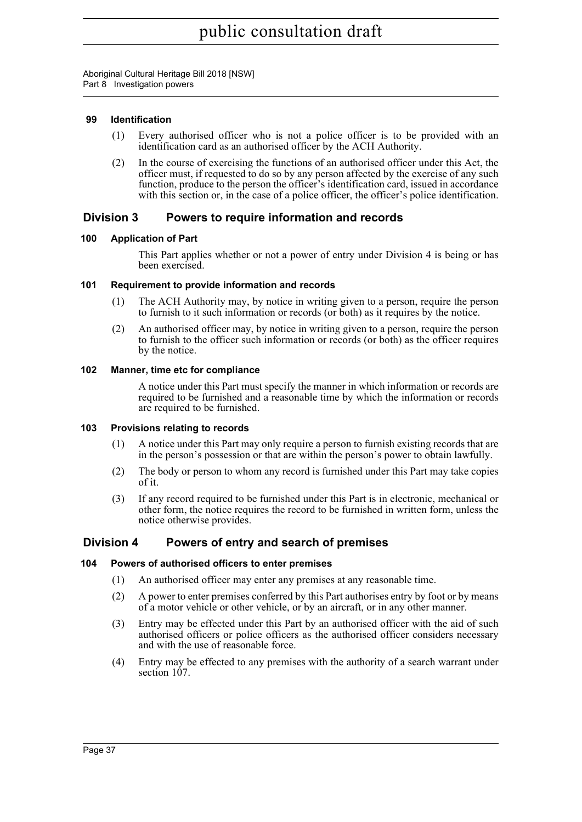# **99 Identification**

- (1) Every authorised officer who is not a police officer is to be provided with an identification card as an authorised officer by the ACH Authority.
- (2) In the course of exercising the functions of an authorised officer under this Act, the officer must, if requested to do so by any person affected by the exercise of any such function, produce to the person the officer's identification card, issued in accordance with this section or, in the case of a police officer, the officer's police identification.

# **Division 3 Powers to require information and records**

# **100 Application of Part**

This Part applies whether or not a power of entry under Division 4 is being or has been exercised.

# **101 Requirement to provide information and records**

- (1) The ACH Authority may, by notice in writing given to a person, require the person to furnish to it such information or records (or both) as it requires by the notice.
- (2) An authorised officer may, by notice in writing given to a person, require the person to furnish to the officer such information or records (or both) as the officer requires by the notice.

# **102 Manner, time etc for compliance**

A notice under this Part must specify the manner in which information or records are required to be furnished and a reasonable time by which the information or records are required to be furnished.

# **103 Provisions relating to records**

- (1) A notice under this Part may only require a person to furnish existing records that are in the person's possession or that are within the person's power to obtain lawfully.
- (2) The body or person to whom any record is furnished under this Part may take copies of it.
- (3) If any record required to be furnished under this Part is in electronic, mechanical or other form, the notice requires the record to be furnished in written form, unless the notice otherwise provides.

# **Division 4 Powers of entry and search of premises**

# **104 Powers of authorised officers to enter premises**

- (1) An authorised officer may enter any premises at any reasonable time.
- (2) A power to enter premises conferred by this Part authorises entry by foot or by means of a motor vehicle or other vehicle, or by an aircraft, or in any other manner.
- (3) Entry may be effected under this Part by an authorised officer with the aid of such authorised officers or police officers as the authorised officer considers necessary and with the use of reasonable force.
- (4) Entry may be effected to any premises with the authority of a search warrant under section 107.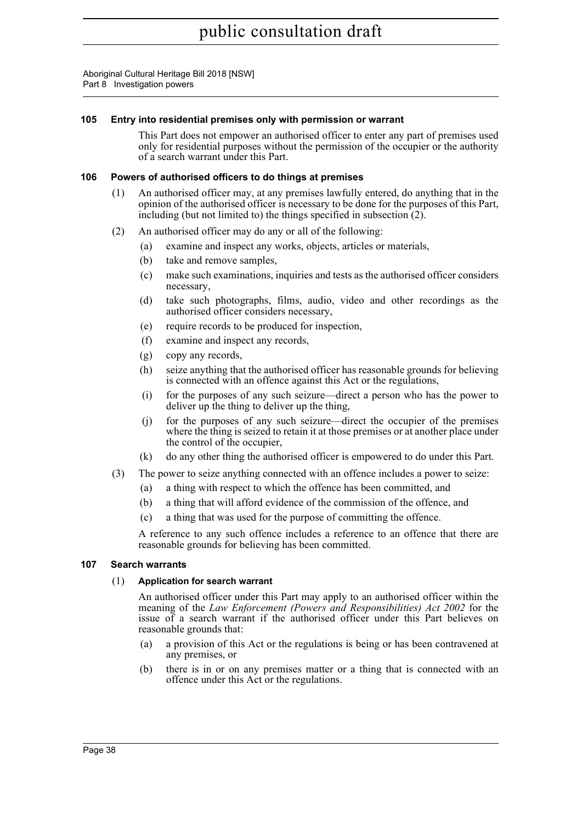# **105 Entry into residential premises only with permission or warrant**

This Part does not empower an authorised officer to enter any part of premises used only for residential purposes without the permission of the occupier or the authority of a search warrant under this Part.

#### **106 Powers of authorised officers to do things at premises**

- (1) An authorised officer may, at any premises lawfully entered, do anything that in the opinion of the authorised officer is necessary to be done for the purposes of this Part, including (but not limited to) the things specified in subsection (2).
- (2) An authorised officer may do any or all of the following:
	- (a) examine and inspect any works, objects, articles or materials,
	- (b) take and remove samples,
	- (c) make such examinations, inquiries and tests as the authorised officer considers necessary,
	- (d) take such photographs, films, audio, video and other recordings as the authorised officer considers necessary,
	- (e) require records to be produced for inspection,
	- (f) examine and inspect any records,
	- (g) copy any records,
	- (h) seize anything that the authorised officer has reasonable grounds for believing is connected with an offence against this Act or the regulations,
	- (i) for the purposes of any such seizure—direct a person who has the power to deliver up the thing to deliver up the thing,
	- (j) for the purposes of any such seizure—direct the occupier of the premises where the thing is seized to retain it at those premises or at another place under the control of the occupier,
	- (k) do any other thing the authorised officer is empowered to do under this Part.
- (3) The power to seize anything connected with an offence includes a power to seize:
	- (a) a thing with respect to which the offence has been committed, and
	- (b) a thing that will afford evidence of the commission of the offence, and
	- (c) a thing that was used for the purpose of committing the offence.

A reference to any such offence includes a reference to an offence that there are reasonable grounds for believing has been committed.

# **107 Search warrants**

# (1) **Application for search warrant**

An authorised officer under this Part may apply to an authorised officer within the meaning of the *Law Enforcement (Powers and Responsibilities) Act 2002* for the issue of a search warrant if the authorised officer under this Part believes on reasonable grounds that:

- (a) a provision of this Act or the regulations is being or has been contravened at any premises, or
- (b) there is in or on any premises matter or a thing that is connected with an offence under this Act or the regulations.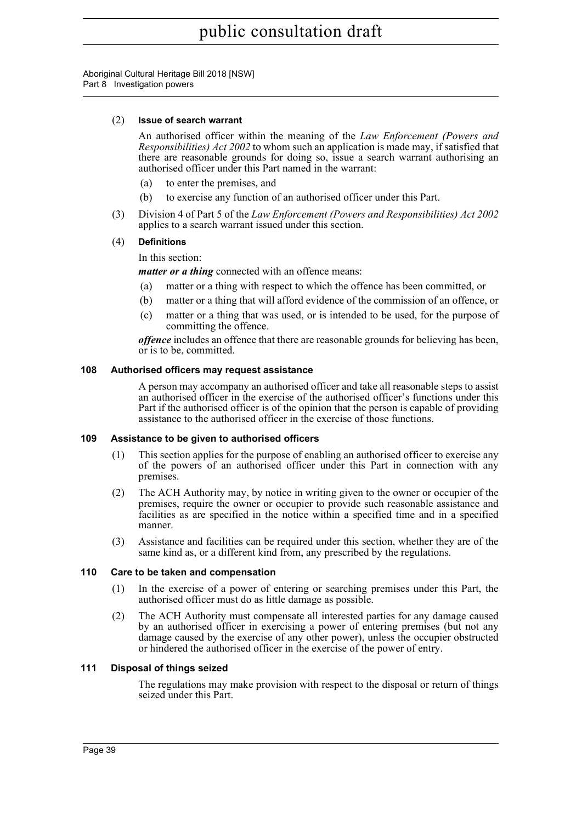#### (2) **Issue of search warrant**

An authorised officer within the meaning of the *Law Enforcement (Powers and Responsibilities) Act 2002* to whom such an application is made may, if satisfied that there are reasonable grounds for doing so, issue a search warrant authorising an authorised officer under this Part named in the warrant:

- (a) to enter the premises, and
- (b) to exercise any function of an authorised officer under this Part.
- (3) Division 4 of Part 5 of the *Law Enforcement (Powers and Responsibilities) Act 2002* applies to a search warrant issued under this section.

# (4) **Definitions**

#### In this section:

*matter or a thing* connected with an offence means:

- (a) matter or a thing with respect to which the offence has been committed, or
- (b) matter or a thing that will afford evidence of the commission of an offence, or
- (c) matter or a thing that was used, or is intended to be used, for the purpose of committing the offence.

*offence* includes an offence that there are reasonable grounds for believing has been, or is to be, committed.

#### **108 Authorised officers may request assistance**

A person may accompany an authorised officer and take all reasonable steps to assist an authorised officer in the exercise of the authorised officer's functions under this Part if the authorised officer is of the opinion that the person is capable of providing assistance to the authorised officer in the exercise of those functions.

#### **109 Assistance to be given to authorised officers**

- (1) This section applies for the purpose of enabling an authorised officer to exercise any of the powers of an authorised officer under this Part in connection with any premises.
- (2) The ACH Authority may, by notice in writing given to the owner or occupier of the premises, require the owner or occupier to provide such reasonable assistance and facilities as are specified in the notice within a specified time and in a specified manner.
- (3) Assistance and facilities can be required under this section, whether they are of the same kind as, or a different kind from, any prescribed by the regulations.

#### **110 Care to be taken and compensation**

- (1) In the exercise of a power of entering or searching premises under this Part, the authorised officer must do as little damage as possible.
- (2) The ACH Authority must compensate all interested parties for any damage caused by an authorised officer in exercising a power of entering premises (but not any damage caused by the exercise of any other power), unless the occupier obstructed or hindered the authorised officer in the exercise of the power of entry.

#### **111 Disposal of things seized**

The regulations may make provision with respect to the disposal or return of things seized under this Part.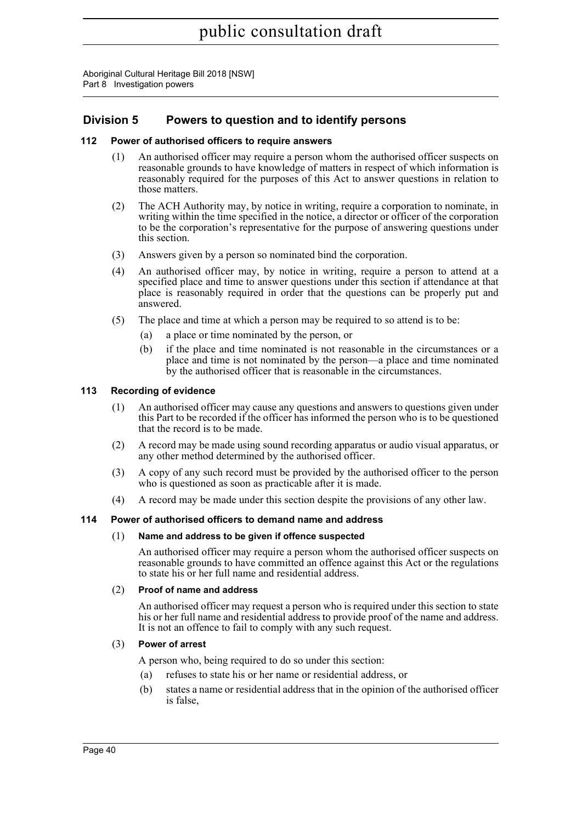# **Division 5 Powers to question and to identify persons**

# **112 Power of authorised officers to require answers**

- (1) An authorised officer may require a person whom the authorised officer suspects on reasonable grounds to have knowledge of matters in respect of which information is reasonably required for the purposes of this Act to answer questions in relation to those matters.
- (2) The ACH Authority may, by notice in writing, require a corporation to nominate, in writing within the time specified in the notice, a director or officer of the corporation to be the corporation's representative for the purpose of answering questions under this section.
- (3) Answers given by a person so nominated bind the corporation.
- (4) An authorised officer may, by notice in writing, require a person to attend at a specified place and time to answer questions under this section if attendance at that place is reasonably required in order that the questions can be properly put and answered.
- (5) The place and time at which a person may be required to so attend is to be:
	- (a) a place or time nominated by the person, or
	- (b) if the place and time nominated is not reasonable in the circumstances or a place and time is not nominated by the person—a place and time nominated by the authorised officer that is reasonable in the circumstances.

# **113 Recording of evidence**

- (1) An authorised officer may cause any questions and answers to questions given under this Part to be recorded if the officer has informed the person who is to be questioned that the record is to be made.
- (2) A record may be made using sound recording apparatus or audio visual apparatus, or any other method determined by the authorised officer.
- (3) A copy of any such record must be provided by the authorised officer to the person who is questioned as soon as practicable after it is made.
- (4) A record may be made under this section despite the provisions of any other law.

# **114 Power of authorised officers to demand name and address**

# (1) **Name and address to be given if offence suspected**

An authorised officer may require a person whom the authorised officer suspects on reasonable grounds to have committed an offence against this Act or the regulations to state his or her full name and residential address.

# (2) **Proof of name and address**

An authorised officer may request a person who is required under this section to state his or her full name and residential address to provide proof of the name and address. It is not an offence to fail to comply with any such request.

# (3) **Power of arrest**

A person who, being required to do so under this section:

- (a) refuses to state his or her name or residential address, or
- (b) states a name or residential address that in the opinion of the authorised officer is false,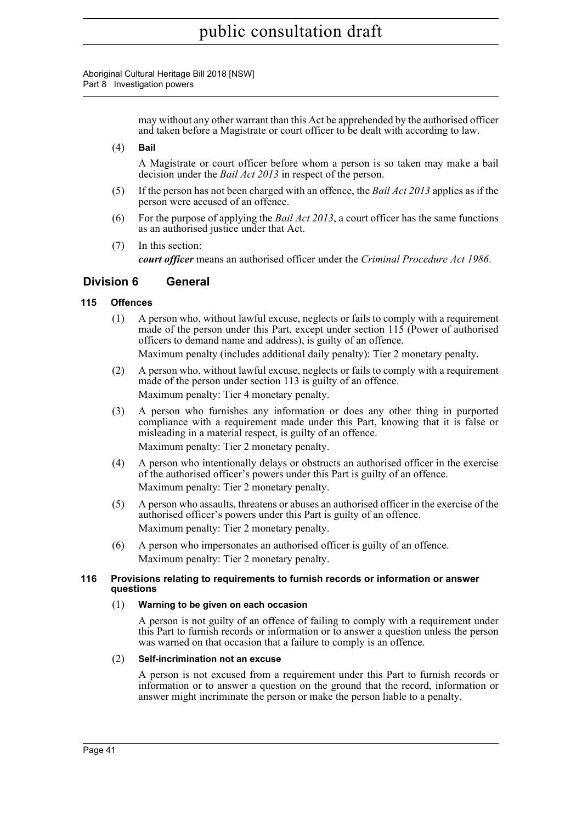> may without any other warrant than this Act be apprehended by the authorised officer and taken before a Magistrate or court officer to be dealt with according to law.

(4) **Bail**

A Magistrate or court officer before whom a person is so taken may make a bail decision under the *Bail Act 2013* in respect of the person.

- (5) If the person has not been charged with an offence, the *Bail Act 2013* applies as if the person were accused of an offence.
- (6) For the purpose of applying the *Bail Act 2013*, a court officer has the same functions as an authorised justice under that Act.
- (7) In this section:

*court officer* means an authorised officer under the *Criminal Procedure Act 1986*.

# **Division 6 General**

#### **115 Offences**

(1) A person who, without lawful excuse, neglects or fails to comply with a requirement made of the person under this Part, except under section 115 (Power of authorised officers to demand name and address), is guilty of an offence.

Maximum penalty (includes additional daily penalty): Tier 2 monetary penalty.

- (2) A person who, without lawful excuse, neglects or fails to comply with a requirement made of the person under section 113 is guilty of an offence. Maximum penalty: Tier 4 monetary penalty.
- (3) A person who furnishes any information or does any other thing in purported compliance with a requirement made under this Part, knowing that it is false or misleading in a material respect, is guilty of an offence. Maximum penalty: Tier 2 monetary penalty.
- (4) A person who intentionally delays or obstructs an authorised officer in the exercise of the authorised officer's powers under this Part is guilty of an offence. Maximum penalty: Tier 2 monetary penalty.
- (5) A person who assaults, threatens or abuses an authorised officer in the exercise of the authorised officer's powers under this Part is guilty of an offence. Maximum penalty: Tier 2 monetary penalty.
- (6) A person who impersonates an authorised officer is guilty of an offence. Maximum penalty: Tier 2 monetary penalty.

#### **116 Provisions relating to requirements to furnish records or information or answer questions**

#### (1) **Warning to be given on each occasion**

A person is not guilty of an offence of failing to comply with a requirement under this Part to furnish records or information or to answer a question unless the person was warned on that occasion that a failure to comply is an offence.

#### (2) **Self-incrimination not an excuse**

A person is not excused from a requirement under this Part to furnish records or information or to answer a question on the ground that the record, information or answer might incriminate the person or make the person liable to a penalty.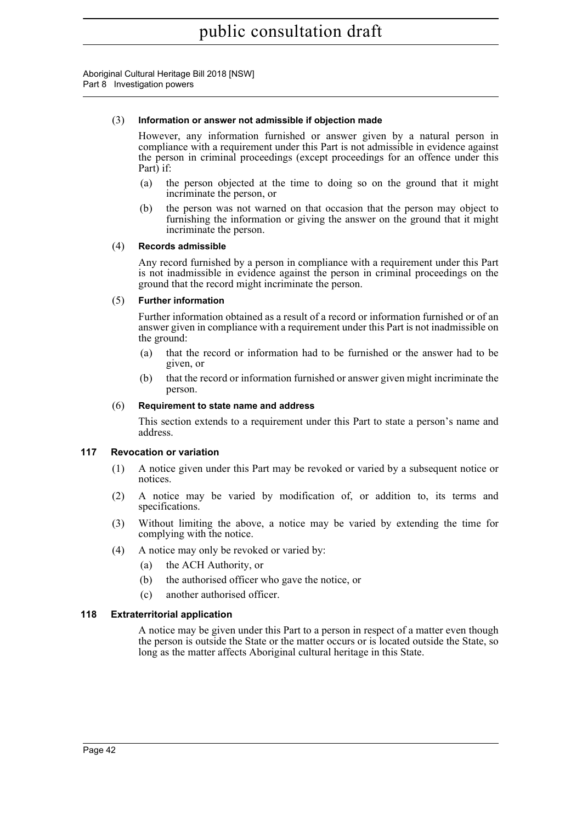#### (3) **Information or answer not admissible if objection made**

However, any information furnished or answer given by a natural person in compliance with a requirement under this Part is not admissible in evidence against the person in criminal proceedings (except proceedings for an offence under this Part) if:

- (a) the person objected at the time to doing so on the ground that it might incriminate the person, or
- (b) the person was not warned on that occasion that the person may object to furnishing the information or giving the answer on the ground that it might incriminate the person.

#### (4) **Records admissible**

Any record furnished by a person in compliance with a requirement under this Part is not inadmissible in evidence against the person in criminal proceedings on the ground that the record might incriminate the person.

#### (5) **Further information**

Further information obtained as a result of a record or information furnished or of an answer given in compliance with a requirement under this Part is not inadmissible on the ground:

- (a) that the record or information had to be furnished or the answer had to be given, or
- (b) that the record or information furnished or answer given might incriminate the person.

#### (6) **Requirement to state name and address**

This section extends to a requirement under this Part to state a person's name and address.

# **117 Revocation or variation**

- (1) A notice given under this Part may be revoked or varied by a subsequent notice or notices.
- (2) A notice may be varied by modification of, or addition to, its terms and specifications.
- (3) Without limiting the above, a notice may be varied by extending the time for complying with the notice.
- (4) A notice may only be revoked or varied by:
	- (a) the ACH Authority, or
	- (b) the authorised officer who gave the notice, or
	- (c) another authorised officer.

# **118 Extraterritorial application**

A notice may be given under this Part to a person in respect of a matter even though the person is outside the State or the matter occurs or is located outside the State, so long as the matter affects Aboriginal cultural heritage in this State.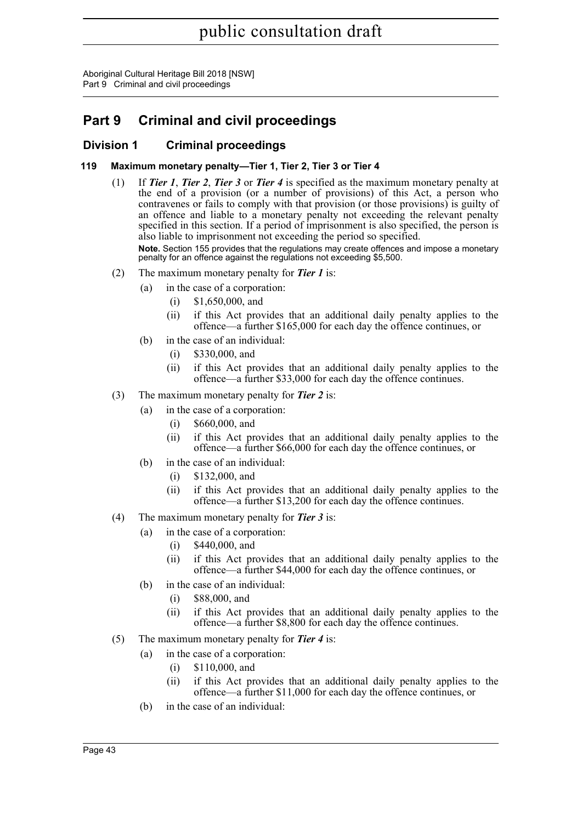Aboriginal Cultural Heritage Bill 2018 [NSW] Part 9 Criminal and civil proceedings

# **Part 9 Criminal and civil proceedings**

# **Division 1 Criminal proceedings**

# **119 Maximum monetary penalty—Tier 1, Tier 2, Tier 3 or Tier 4**

(1) If *Tier 1*, *Tier 2*, *Tier 3* or *Tier 4* is specified as the maximum monetary penalty at the end of a provision (or a number of provisions) of this Act, a person who contravenes or fails to comply with that provision (or those provisions) is guilty of an offence and liable to a monetary penalty not exceeding the relevant penalty specified in this section. If a period of imprisonment is also specified, the person is also liable to imprisonment not exceeding the period so specified.

**Note.** Section 155 provides that the regulations may create offences and impose a monetary penalty for an offence against the regulations not exceeding \$5,500.

- (2) The maximum monetary penalty for *Tier 1* is:
	- (a) in the case of a corporation:
		- (i) \$1,650,000, and
		- (ii) if this Act provides that an additional daily penalty applies to the offence—a further \$165,000 for each day the offence continues, or
	- (b) in the case of an individual:
		- (i) \$330,000, and
		- (ii) if this Act provides that an additional daily penalty applies to the offence—a further \$33,000 for each day the offence continues.
- (3) The maximum monetary penalty for *Tier 2* is:
	- (a) in the case of a corporation:
		- (i) \$660,000, and
		- (ii) if this Act provides that an additional daily penalty applies to the offence—a further \$66,000 for each day the offence continues, or
	- (b) in the case of an individual:
		- (i) \$132,000, and
		- (ii) if this Act provides that an additional daily penalty applies to the offence—a further \$13,200 for each day the offence continues.
- (4) The maximum monetary penalty for *Tier 3* is:
	- (a) in the case of a corporation:
		- (i) \$440,000, and
		- (ii) if this Act provides that an additional daily penalty applies to the offence—a further \$44,000 for each day the offence continues, or
	- (b) in the case of an individual:
		- (i) \$88,000, and
		- (ii) if this Act provides that an additional daily penalty applies to the offence—a further \$8,800 for each day the offence continues.
- (5) The maximum monetary penalty for *Tier 4* is:
	- (a) in the case of a corporation:
		- (i) \$110,000, and
		- (ii) if this Act provides that an additional daily penalty applies to the offence—a further \$11,000 for each day the offence continues, or
	- (b) in the case of an individual: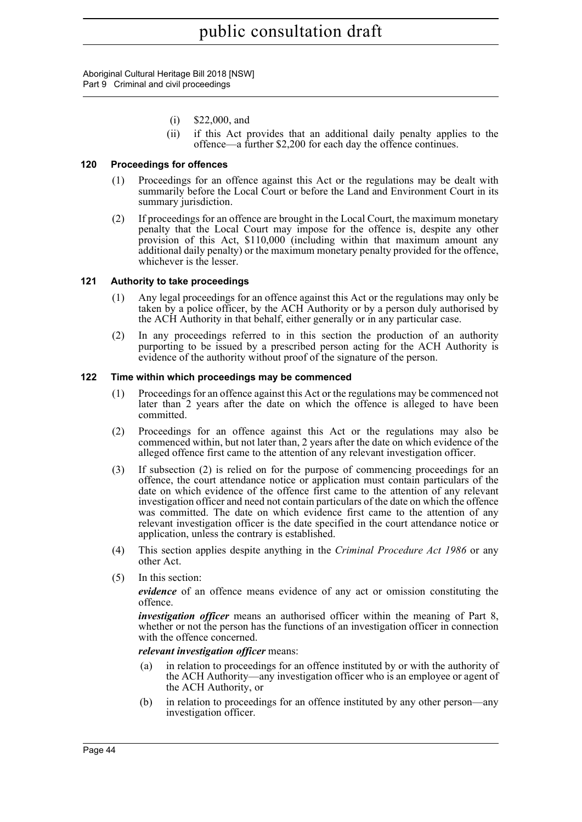Aboriginal Cultural Heritage Bill 2018 [NSW] Part 9 Criminal and civil proceedings

- (i) \$22,000, and
- (ii) if this Act provides that an additional daily penalty applies to the offence—a further \$2,200 for each day the offence continues.

#### **120 Proceedings for offences**

- (1) Proceedings for an offence against this Act or the regulations may be dealt with summarily before the Local Court or before the Land and Environment Court in its summary jurisdiction.
- (2) If proceedings for an offence are brought in the Local Court, the maximum monetary penalty that the Local Court may impose for the offence is, despite any other provision of this Act, \$110,000 (including within that maximum amount any additional daily penalty) or the maximum monetary penalty provided for the offence, whichever is the lesser.

#### **121 Authority to take proceedings**

- (1) Any legal proceedings for an offence against this Act or the regulations may only be taken by a police officer, by the ACH Authority or by a person duly authorised by the ACH Authority in that behalf, either generally or in any particular case.
- (2) In any proceedings referred to in this section the production of an authority purporting to be issued by a prescribed person acting for the ACH Authority is evidence of the authority without proof of the signature of the person.

#### **122 Time within which proceedings may be commenced**

- (1) Proceedings for an offence against this Act or the regulations may be commenced not later than 2 years after the date on which the offence is alleged to have been committed.
- (2) Proceedings for an offence against this Act or the regulations may also be commenced within, but not later than, 2 years after the date on which evidence of the alleged offence first came to the attention of any relevant investigation officer.
- (3) If subsection (2) is relied on for the purpose of commencing proceedings for an offence, the court attendance notice or application must contain particulars of the date on which evidence of the offence first came to the attention of any relevant investigation officer and need not contain particulars of the date on which the offence was committed. The date on which evidence first came to the attention of any relevant investigation officer is the date specified in the court attendance notice or application, unless the contrary is established.
- (4) This section applies despite anything in the *Criminal Procedure Act 1986* or any other Act.
- (5) In this section:

*evidence* of an offence means evidence of any act or omission constituting the offence.

*investigation officer* means an authorised officer within the meaning of Part 8, whether or not the person has the functions of an investigation officer in connection with the offence concerned.

#### *relevant investigation officer* means:

- (a) in relation to proceedings for an offence instituted by or with the authority of the ACH Authority—any investigation officer who is an employee or agent of the ACH Authority, or
- (b) in relation to proceedings for an offence instituted by any other person—any investigation officer.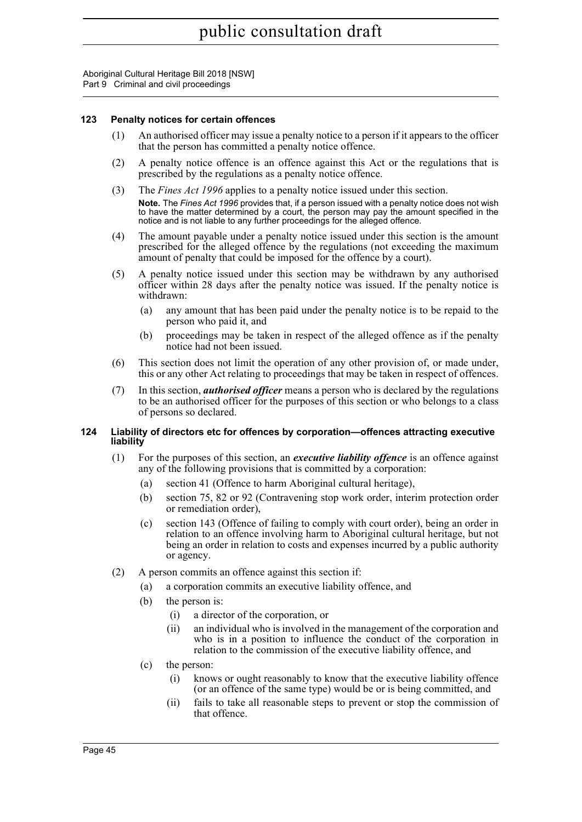Aboriginal Cultural Heritage Bill 2018 [NSW] Part 9 Criminal and civil proceedings

#### **123 Penalty notices for certain offences**

- (1) An authorised officer may issue a penalty notice to a person if it appears to the officer that the person has committed a penalty notice offence.
- (2) A penalty notice offence is an offence against this Act or the regulations that is prescribed by the regulations as a penalty notice offence.
- (3) The *Fines Act 1996* applies to a penalty notice issued under this section.
	- **Note.** The *Fines Act 1996* provides that, if a person issued with a penalty notice does not wish to have the matter determined by a court, the person may pay the amount specified in the notice and is not liable to any further proceedings for the alleged offence.
- (4) The amount payable under a penalty notice issued under this section is the amount prescribed for the alleged offence by the regulations (not exceeding the maximum amount of penalty that could be imposed for the offence by a court).
- (5) A penalty notice issued under this section may be withdrawn by any authorised officer within 28 days after the penalty notice was issued. If the penalty notice is withdrawn:
	- (a) any amount that has been paid under the penalty notice is to be repaid to the person who paid it, and
	- (b) proceedings may be taken in respect of the alleged offence as if the penalty notice had not been issued.
- (6) This section does not limit the operation of any other provision of, or made under, this or any other Act relating to proceedings that may be taken in respect of offences.
- (7) In this section, *authorised officer* means a person who is declared by the regulations to be an authorised officer for the purposes of this section or who belongs to a class of persons so declared.

#### **124 Liability of directors etc for offences by corporation—offences attracting executive liability**

- (1) For the purposes of this section, an *executive liability offence* is an offence against any of the following provisions that is committed by a corporation:
	- (a) section 41 (Offence to harm Aboriginal cultural heritage),
	- (b) section 75, 82 or 92 (Contravening stop work order, interim protection order or remediation order),
	- (c) section 143 (Offence of failing to comply with court order), being an order in relation to an offence involving harm to Aboriginal cultural heritage, but not being an order in relation to costs and expenses incurred by a public authority or agency.
- (2) A person commits an offence against this section if:
	- (a) a corporation commits an executive liability offence, and
	- (b) the person is:
		- (i) a director of the corporation, or
		- (ii) an individual who is involved in the management of the corporation and who is in a position to influence the conduct of the corporation in relation to the commission of the executive liability offence, and
	- (c) the person:
		- (i) knows or ought reasonably to know that the executive liability offence (or an offence of the same type) would be or is being committed, and
		- (ii) fails to take all reasonable steps to prevent or stop the commission of that offence.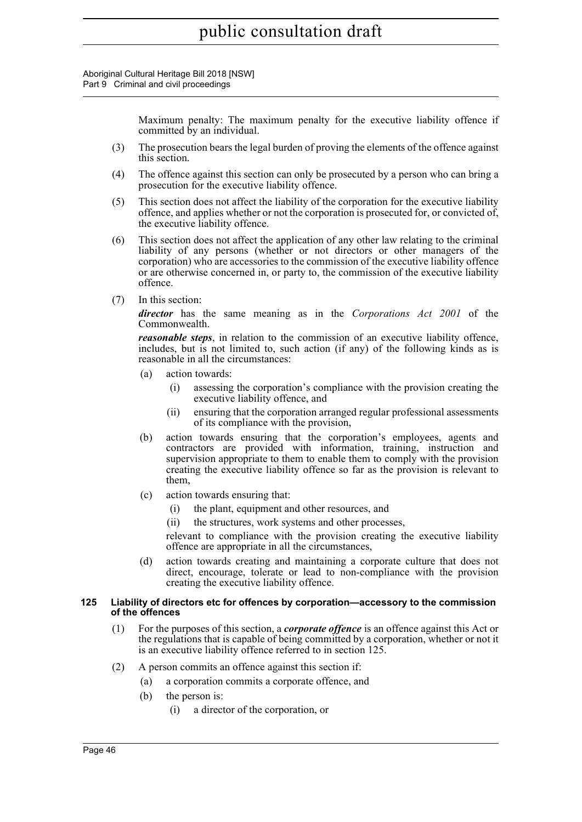Aboriginal Cultural Heritage Bill 2018 [NSW] Part 9 Criminal and civil proceedings

> Maximum penalty: The maximum penalty for the executive liability offence if committed by an individual.

- (3) The prosecution bears the legal burden of proving the elements of the offence against this section.
- (4) The offence against this section can only be prosecuted by a person who can bring a prosecution for the executive liability offence.
- (5) This section does not affect the liability of the corporation for the executive liability offence, and applies whether or not the corporation is prosecuted for, or convicted of, the executive liability offence.
- (6) This section does not affect the application of any other law relating to the criminal liability of any persons (whether or not directors or other managers of the corporation) who are accessories to the commission of the executive liability offence or are otherwise concerned in, or party to, the commission of the executive liability offence.
- (7) In this section:

*director* has the same meaning as in the *Corporations Act 2001* of the Commonwealth.

*reasonable steps*, in relation to the commission of an executive liability offence, includes, but is not limited to, such action (if any) of the following kinds as is reasonable in all the circumstances:

- (a) action towards:
	- (i) assessing the corporation's compliance with the provision creating the executive liability offence, and
	- (ii) ensuring that the corporation arranged regular professional assessments of its compliance with the provision,
- (b) action towards ensuring that the corporation's employees, agents and contractors are provided with information, training, instruction and supervision appropriate to them to enable them to comply with the provision creating the executive liability offence so far as the provision is relevant to them,
- (c) action towards ensuring that:
	- (i) the plant, equipment and other resources, and
	- (ii) the structures, work systems and other processes,

relevant to compliance with the provision creating the executive liability offence are appropriate in all the circumstances,

(d) action towards creating and maintaining a corporate culture that does not direct, encourage, tolerate or lead to non-compliance with the provision creating the executive liability offence.

#### **125 Liability of directors etc for offences by corporation—accessory to the commission of the offences**

- (1) For the purposes of this section, a *corporate offence* is an offence against this Act or the regulations that is capable of being committed by a corporation, whether or not it is an executive liability offence referred to in section 125.
- (2) A person commits an offence against this section if:
	- (a) a corporation commits a corporate offence, and
	- (b) the person is:
		- (i) a director of the corporation, or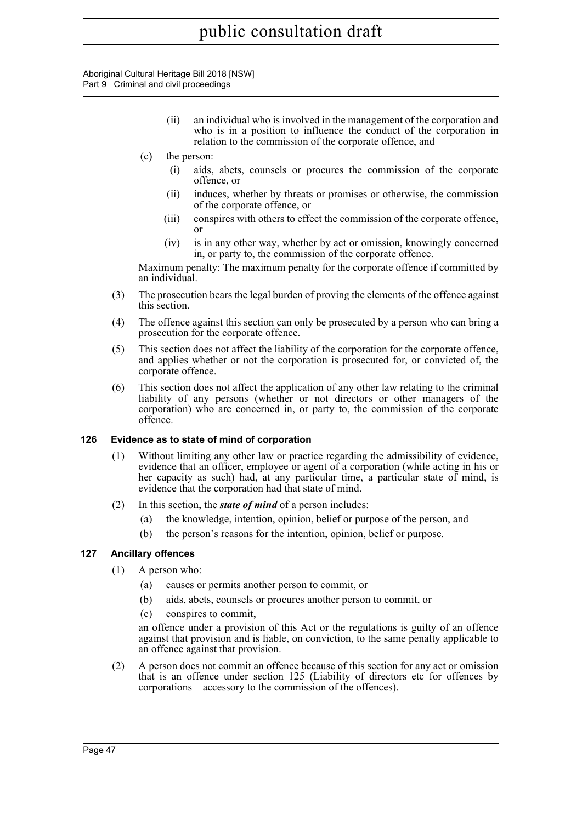Aboriginal Cultural Heritage Bill 2018 [NSW] Part 9 Criminal and civil proceedings

- (ii) an individual who is involved in the management of the corporation and who is in a position to influence the conduct of the corporation in relation to the commission of the corporate offence, and
- (c) the person:
	- (i) aids, abets, counsels or procures the commission of the corporate offence, or
	- (ii) induces, whether by threats or promises or otherwise, the commission of the corporate offence, or
	- (iii) conspires with others to effect the commission of the corporate offence, or
	- (iv) is in any other way, whether by act or omission, knowingly concerned in, or party to, the commission of the corporate offence.

Maximum penalty: The maximum penalty for the corporate offence if committed by an individual.

- (3) The prosecution bears the legal burden of proving the elements of the offence against this section.
- (4) The offence against this section can only be prosecuted by a person who can bring a prosecution for the corporate offence.
- (5) This section does not affect the liability of the corporation for the corporate offence, and applies whether or not the corporation is prosecuted for, or convicted of, the corporate offence.
- (6) This section does not affect the application of any other law relating to the criminal liability of any persons (whether or not directors or other managers of the corporation) who are concerned in, or party to, the commission of the corporate offence.

# **126 Evidence as to state of mind of corporation**

- (1) Without limiting any other law or practice regarding the admissibility of evidence, evidence that an officer, employee or agent of a corporation (while acting in his or her capacity as such) had, at any particular time, a particular state of mind, is evidence that the corporation had that state of mind.
- (2) In this section, the *state of mind* of a person includes:
	- (a) the knowledge, intention, opinion, belief or purpose of the person, and
	- (b) the person's reasons for the intention, opinion, belief or purpose.

# **127 Ancillary offences**

- (1) A person who:
	- (a) causes or permits another person to commit, or
	- (b) aids, abets, counsels or procures another person to commit, or
	- (c) conspires to commit,

an offence under a provision of this Act or the regulations is guilty of an offence against that provision and is liable, on conviction, to the same penalty applicable to an offence against that provision.

(2) A person does not commit an offence because of this section for any act or omission that is an offence under section 125 (Liability of directors etc for offences by corporations—accessory to the commission of the offences).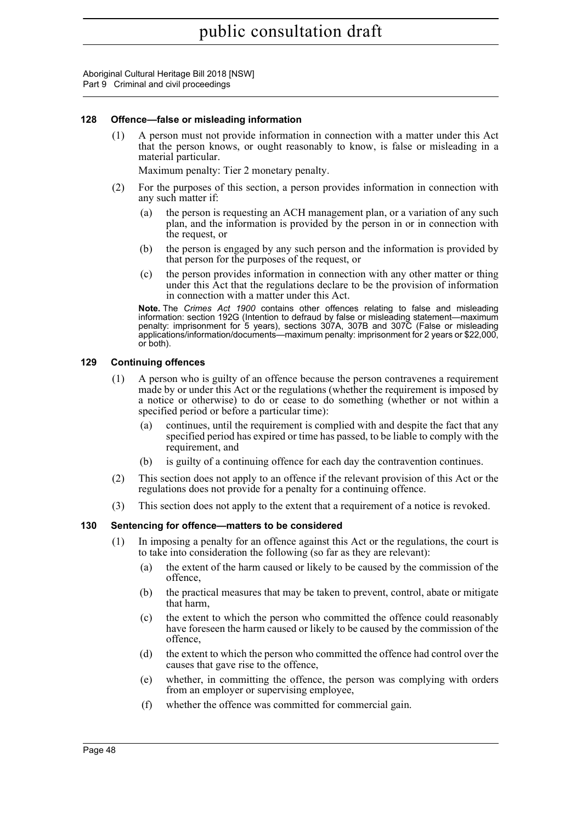Aboriginal Cultural Heritage Bill 2018 [NSW] Part 9 Criminal and civil proceedings

#### **128 Offence—false or misleading information**

(1) A person must not provide information in connection with a matter under this Act that the person knows, or ought reasonably to know, is false or misleading in a material particular.

Maximum penalty: Tier 2 monetary penalty.

- (2) For the purposes of this section, a person provides information in connection with any such matter if:
	- (a) the person is requesting an ACH management plan, or a variation of any such plan, and the information is provided by the person in or in connection with the request, or
	- (b) the person is engaged by any such person and the information is provided by that person for the purposes of the request, or
	- (c) the person provides information in connection with any other matter or thing under this Act that the regulations declare to be the provision of information in connection with a matter under this Act.

**Note.** The *Crimes Act 1900* contains other offences relating to false and misleading information: section 192G (Intention to defraud by false or misleading statement—maximum penalty: imprisonment for 5 years), sections 307A, 307B and 307C (False or misleading applications/information/documents—maximum penalty: imprisonment for 2 years or \$22,000, or both).

#### **129 Continuing offences**

- (1) A person who is guilty of an offence because the person contravenes a requirement made by or under this Act or the regulations (whether the requirement is imposed by a notice or otherwise) to do or cease to do something (whether or not within a specified period or before a particular time):
	- (a) continues, until the requirement is complied with and despite the fact that any specified period has expired or time has passed, to be liable to comply with the requirement, and
	- (b) is guilty of a continuing offence for each day the contravention continues.
- (2) This section does not apply to an offence if the relevant provision of this Act or the regulations does not provide for a penalty for a continuing offence.
- (3) This section does not apply to the extent that a requirement of a notice is revoked.

# **130 Sentencing for offence—matters to be considered**

- (1) In imposing a penalty for an offence against this Act or the regulations, the court is to take into consideration the following (so far as they are relevant):
	- (a) the extent of the harm caused or likely to be caused by the commission of the offence,
	- (b) the practical measures that may be taken to prevent, control, abate or mitigate that harm,
	- (c) the extent to which the person who committed the offence could reasonably have foreseen the harm caused or likely to be caused by the commission of the offence,
	- (d) the extent to which the person who committed the offence had control over the causes that gave rise to the offence,
	- (e) whether, in committing the offence, the person was complying with orders from an employer or supervising employee,
	- (f) whether the offence was committed for commercial gain.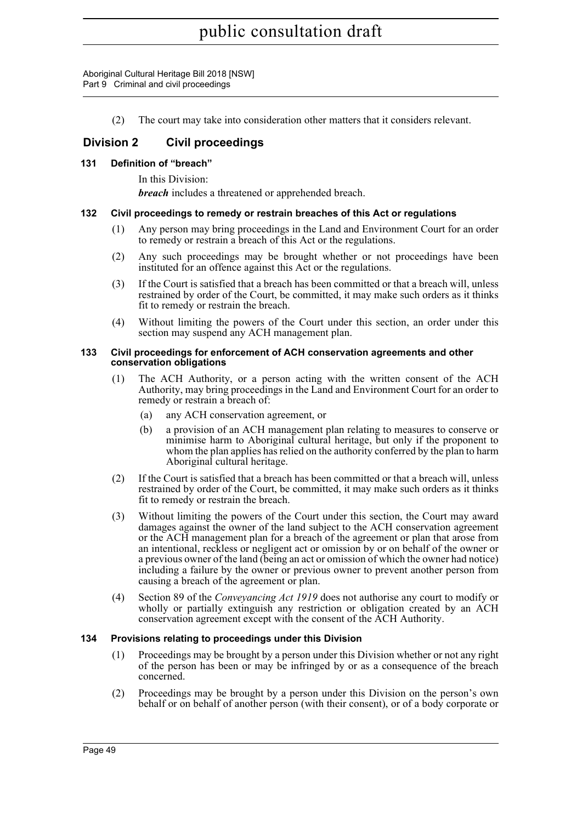Aboriginal Cultural Heritage Bill 2018 [NSW] Part 9 Criminal and civil proceedings

(2) The court may take into consideration other matters that it considers relevant.

# **Division 2 Civil proceedings**

# **131 Definition of "breach"**

In this Division:

*breach* includes a threatened or apprehended breach.

#### **132 Civil proceedings to remedy or restrain breaches of this Act or regulations**

- (1) Any person may bring proceedings in the Land and Environment Court for an order to remedy or restrain a breach of this Act or the regulations.
- (2) Any such proceedings may be brought whether or not proceedings have been instituted for an offence against this Act or the regulations.
- (3) If the Court is satisfied that a breach has been committed or that a breach will, unless restrained by order of the Court, be committed, it may make such orders as it thinks fit to remedy or restrain the breach.
- (4) Without limiting the powers of the Court under this section, an order under this section may suspend any ACH management plan.

#### **133 Civil proceedings for enforcement of ACH conservation agreements and other conservation obligations**

- (1) The ACH Authority, or a person acting with the written consent of the ACH Authority, may bring proceedings in the Land and Environment Court for an order to remedy or restrain a breach of:
	- (a) any ACH conservation agreement, or
	- (b) a provision of an ACH management plan relating to measures to conserve or minimise harm to Aboriginal cultural heritage, but only if the proponent to whom the plan applies has relied on the authority conferred by the plan to harm Aboriginal cultural heritage.
- (2) If the Court is satisfied that a breach has been committed or that a breach will, unless restrained by order of the Court, be committed, it may make such orders as it thinks fit to remedy or restrain the breach.
- (3) Without limiting the powers of the Court under this section, the Court may award damages against the owner of the land subject to the ACH conservation agreement or the ACH management plan for a breach of the agreement or plan that arose from an intentional, reckless or negligent act or omission by or on behalf of the owner or a previous owner of the land (being an act or omission of which the owner had notice) including a failure by the owner or previous owner to prevent another person from causing a breach of the agreement or plan.
- (4) Section 89 of the *Conveyancing Act 1919* does not authorise any court to modify or wholly or partially extinguish any restriction or obligation created by an ACH conservation agreement except with the consent of the ACH Authority.

# **134 Provisions relating to proceedings under this Division**

- (1) Proceedings may be brought by a person under this Division whether or not any right of the person has been or may be infringed by or as a consequence of the breach concerned.
- (2) Proceedings may be brought by a person under this Division on the person's own behalf or on behalf of another person (with their consent), or of a body corporate or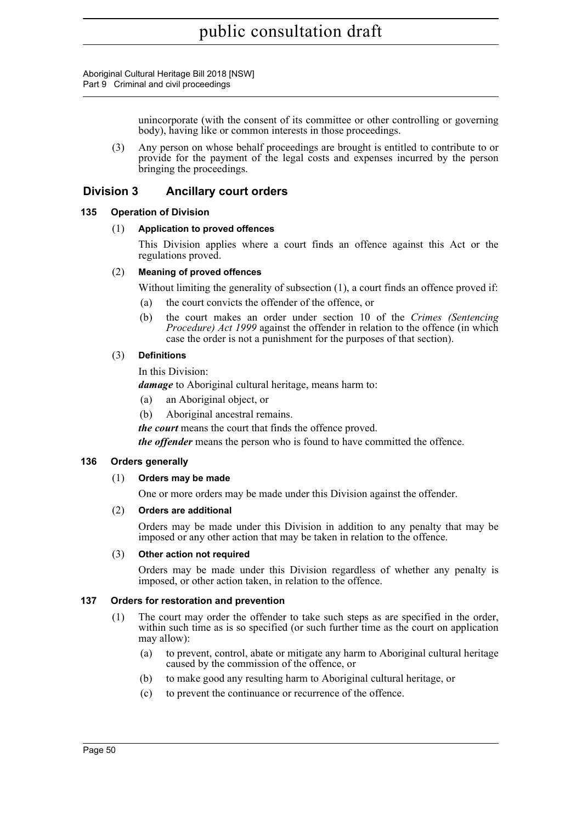Aboriginal Cultural Heritage Bill 2018 [NSW] Part 9 Criminal and civil proceedings

> unincorporate (with the consent of its committee or other controlling or governing body), having like or common interests in those proceedings.

(3) Any person on whose behalf proceedings are brought is entitled to contribute to or provide for the payment of the legal costs and expenses incurred by the person bringing the proceedings.

# **Division 3 Ancillary court orders**

#### **135 Operation of Division**

#### (1) **Application to proved offences**

This Division applies where a court finds an offence against this Act or the regulations proved.

#### (2) **Meaning of proved offences**

Without limiting the generality of subsection (1), a court finds an offence proved if:

- (a) the court convicts the offender of the offence, or
- (b) the court makes an order under section 10 of the *Crimes (Sentencing Procedure) Act 1999* against the offender in relation to the offence (in which case the order is not a punishment for the purposes of that section).

#### (3) **Definitions**

In this Division:

*damage* to Aboriginal cultural heritage, means harm to:

- (a) an Aboriginal object, or
- (b) Aboriginal ancestral remains.

*the court* means the court that finds the offence proved.

*the offender* means the person who is found to have committed the offence.

# **136 Orders generally**

# (1) **Orders may be made**

One or more orders may be made under this Division against the offender.

#### (2) **Orders are additional**

Orders may be made under this Division in addition to any penalty that may be imposed or any other action that may be taken in relation to the offence.

#### (3) **Other action not required**

Orders may be made under this Division regardless of whether any penalty is imposed, or other action taken, in relation to the offence.

#### **137 Orders for restoration and prevention**

- (1) The court may order the offender to take such steps as are specified in the order, within such time as is so specified (or such further time as the court on application may allow):
	- (a) to prevent, control, abate or mitigate any harm to Aboriginal cultural heritage caused by the commission of the offence, or
	- (b) to make good any resulting harm to Aboriginal cultural heritage, or
	- (c) to prevent the continuance or recurrence of the offence.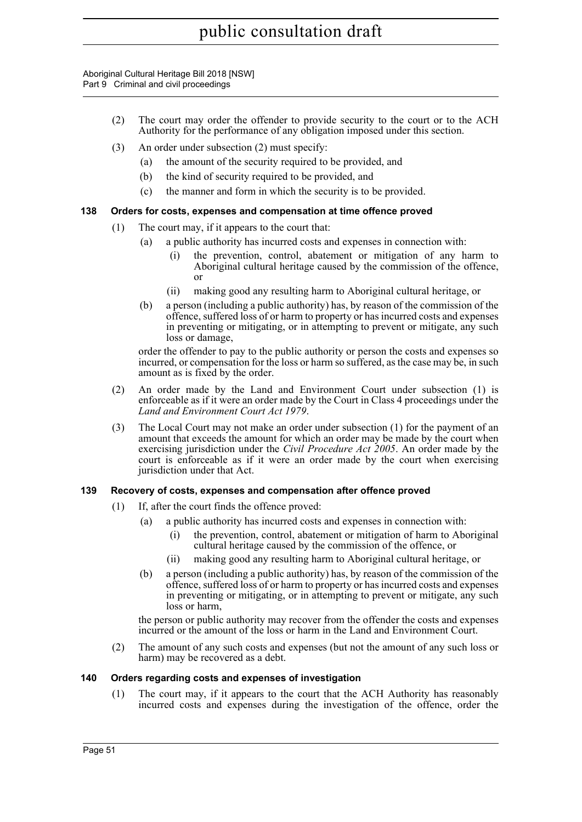Aboriginal Cultural Heritage Bill 2018 [NSW] Part 9 Criminal and civil proceedings

- (2) The court may order the offender to provide security to the court or to the ACH Authority for the performance of any obligation imposed under this section.
- (3) An order under subsection (2) must specify:
	- (a) the amount of the security required to be provided, and
	- (b) the kind of security required to be provided, and
	- (c) the manner and form in which the security is to be provided.

# **138 Orders for costs, expenses and compensation at time offence proved**

- (1) The court may, if it appears to the court that:
	- (a) a public authority has incurred costs and expenses in connection with:
		- (i) the prevention, control, abatement or mitigation of any harm to Aboriginal cultural heritage caused by the commission of the offence, or
		- (ii) making good any resulting harm to Aboriginal cultural heritage, or
	- (b) a person (including a public authority) has, by reason of the commission of the offence, suffered loss of or harm to property or has incurred costs and expenses in preventing or mitigating, or in attempting to prevent or mitigate, any such loss or damage,

order the offender to pay to the public authority or person the costs and expenses so incurred, or compensation for the loss or harm so suffered, as the case may be, in such amount as is fixed by the order.

- (2) An order made by the Land and Environment Court under subsection (1) is enforceable as if it were an order made by the Court in Class 4 proceedings under the *Land and Environment Court Act 1979*.
- (3) The Local Court may not make an order under subsection (1) for the payment of an amount that exceeds the amount for which an order may be made by the court when exercising jurisdiction under the *Civil Procedure Act 2005*. An order made by the court is enforceable as if it were an order made by the court when exercising jurisdiction under that Act.

# **139 Recovery of costs, expenses and compensation after offence proved**

- (1) If, after the court finds the offence proved:
	- (a) a public authority has incurred costs and expenses in connection with:
		- (i) the prevention, control, abatement or mitigation of harm to Aboriginal cultural heritage caused by the commission of the offence, or
		- (ii) making good any resulting harm to Aboriginal cultural heritage, or
	- (b) a person (including a public authority) has, by reason of the commission of the offence, suffered loss of or harm to property or has incurred costs and expenses in preventing or mitigating, or in attempting to prevent or mitigate, any such loss or harm,

the person or public authority may recover from the offender the costs and expenses incurred or the amount of the loss or harm in the Land and Environment Court.

(2) The amount of any such costs and expenses (but not the amount of any such loss or harm) may be recovered as a debt.

# **140 Orders regarding costs and expenses of investigation**

(1) The court may, if it appears to the court that the ACH Authority has reasonably incurred costs and expenses during the investigation of the offence, order the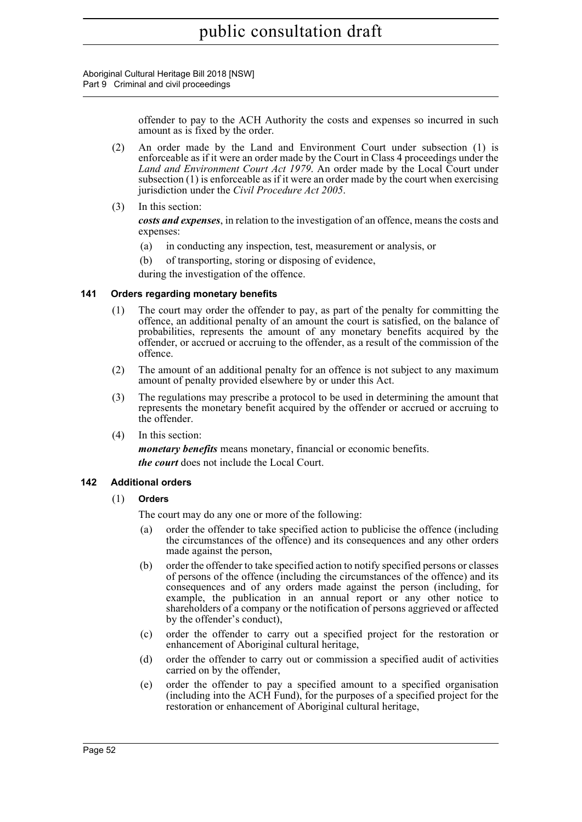Aboriginal Cultural Heritage Bill 2018 [NSW] Part 9 Criminal and civil proceedings

> offender to pay to the ACH Authority the costs and expenses so incurred in such amount as is fixed by the order.

- (2) An order made by the Land and Environment Court under subsection (1) is enforceable as if it were an order made by the Court in Class 4 proceedings under the *Land and Environment Court Act 1979*. An order made by the Local Court under subsection (1) is enforceable as if it were an order made by the court when exercising jurisdiction under the *Civil Procedure Act 2005*.
- (3) In this section:

*costs and expenses*, in relation to the investigation of an offence, means the costs and expenses:

- (a) in conducting any inspection, test, measurement or analysis, or
- (b) of transporting, storing or disposing of evidence,

during the investigation of the offence.

# **141 Orders regarding monetary benefits**

- (1) The court may order the offender to pay, as part of the penalty for committing the offence, an additional penalty of an amount the court is satisfied, on the balance of probabilities, represents the amount of any monetary benefits acquired by the offender, or accrued or accruing to the offender, as a result of the commission of the offence.
- (2) The amount of an additional penalty for an offence is not subject to any maximum amount of penalty provided elsewhere by or under this Act.
- (3) The regulations may prescribe a protocol to be used in determining the amount that represents the monetary benefit acquired by the offender or accrued or accruing to the offender.
- (4) In this section:

*monetary benefits* means monetary, financial or economic benefits. *the court* does not include the Local Court.

# **142 Additional orders**

# (1) **Orders**

The court may do any one or more of the following:

- (a) order the offender to take specified action to publicise the offence (including the circumstances of the offence) and its consequences and any other orders made against the person,
- (b) order the offender to take specified action to notify specified persons or classes of persons of the offence (including the circumstances of the offence) and its consequences and of any orders made against the person (including, for example, the publication in an annual report or any other notice to shareholders of a company or the notification of persons aggrieved or affected by the offender's conduct),
- (c) order the offender to carry out a specified project for the restoration or enhancement of Aboriginal cultural heritage,
- (d) order the offender to carry out or commission a specified audit of activities carried on by the offender,
- (e) order the offender to pay a specified amount to a specified organisation (including into the ACH Fund), for the purposes of a specified project for the restoration or enhancement of Aboriginal cultural heritage,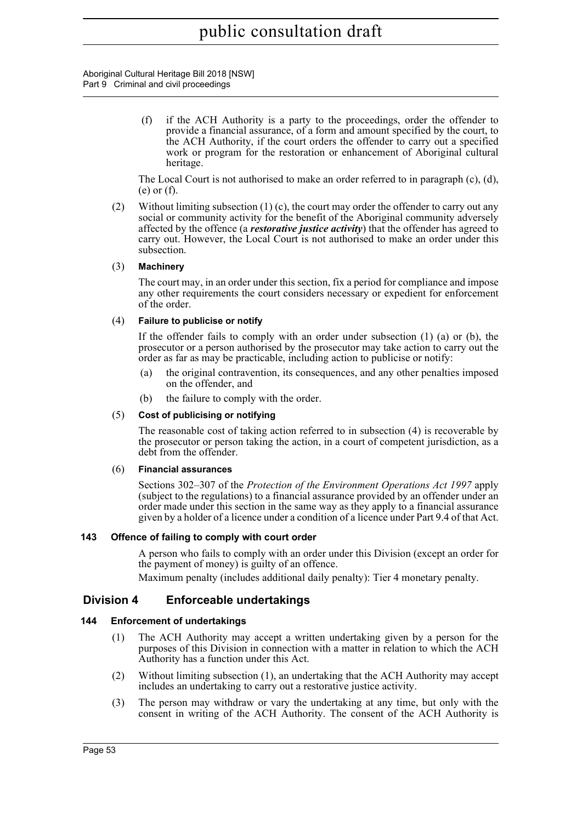Aboriginal Cultural Heritage Bill 2018 [NSW] Part 9 Criminal and civil proceedings

> (f) if the ACH Authority is a party to the proceedings, order the offender to provide a financial assurance, of a form and amount specified by the court, to the ACH Authority, if the court orders the offender to carry out a specified work or program for the restoration or enhancement of Aboriginal cultural heritage.

The Local Court is not authorised to make an order referred to in paragraph (c), (d), (e) or (f).

(2) Without limiting subsection  $(1)$  (c), the court may order the offender to carry out any social or community activity for the benefit of the Aboriginal community adversely affected by the offence (a *restorative justice activity*) that the offender has agreed to carry out. However, the Local Court is not authorised to make an order under this subsection.

#### (3) **Machinery**

The court may, in an order under this section, fix a period for compliance and impose any other requirements the court considers necessary or expedient for enforcement of the order.

#### (4) **Failure to publicise or notify**

If the offender fails to comply with an order under subsection  $(1)$  (a) or  $(b)$ , the prosecutor or a person authorised by the prosecutor may take action to carry out the order as far as may be practicable, including action to publicise or notify:

- (a) the original contravention, its consequences, and any other penalties imposed on the offender, and
- (b) the failure to comply with the order.

#### (5) **Cost of publicising or notifying**

The reasonable cost of taking action referred to in subsection (4) is recoverable by the prosecutor or person taking the action, in a court of competent jurisdiction, as a debt from the offender.

#### (6) **Financial assurances**

Sections 302–307 of the *Protection of the Environment Operations Act 1997* apply (subject to the regulations) to a financial assurance provided by an offender under an order made under this section in the same way as they apply to a financial assurance given by a holder of a licence under a condition of a licence under Part 9.4 of that Act.

# **143 Offence of failing to comply with court order**

A person who fails to comply with an order under this Division (except an order for the payment of money) is guilty of an offence.

Maximum penalty (includes additional daily penalty): Tier 4 monetary penalty.

# **Division 4 Enforceable undertakings**

# **144 Enforcement of undertakings**

- (1) The ACH Authority may accept a written undertaking given by a person for the purposes of this Division in connection with a matter in relation to which the ACH Authority has a function under this Act.
- (2) Without limiting subsection (1), an undertaking that the ACH Authority may accept includes an undertaking to carry out a restorative justice activity.
- (3) The person may withdraw or vary the undertaking at any time, but only with the consent in writing of the ACH Authority. The consent of the ACH Authority is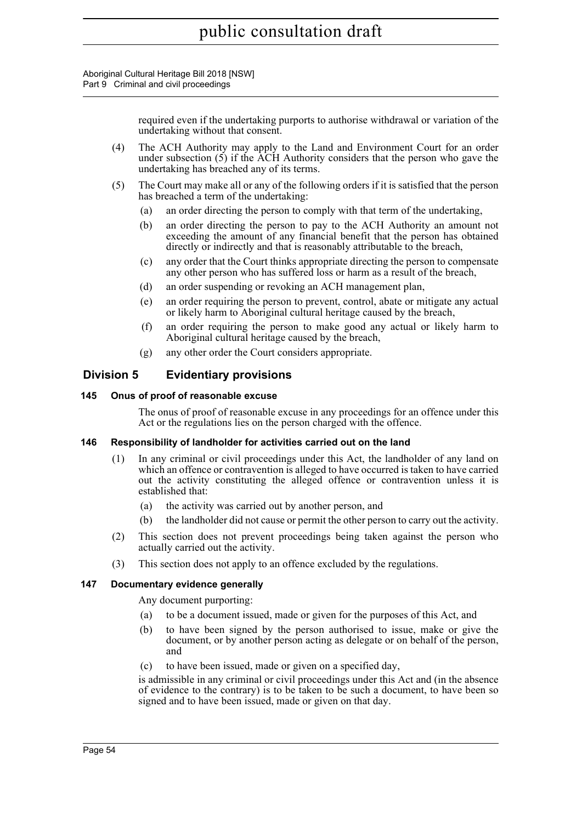Aboriginal Cultural Heritage Bill 2018 [NSW] Part 9 Criminal and civil proceedings

> required even if the undertaking purports to authorise withdrawal or variation of the undertaking without that consent.

- (4) The ACH Authority may apply to the Land and Environment Court for an order under subsection (5) if the ACH Authority considers that the person who gave the undertaking has breached any of its terms.
- (5) The Court may make all or any of the following orders if it is satisfied that the person has breached a term of the undertaking:
	- (a) an order directing the person to comply with that term of the undertaking,
	- (b) an order directing the person to pay to the ACH Authority an amount not exceeding the amount of any financial benefit that the person has obtained directly or indirectly and that is reasonably attributable to the breach,
	- (c) any order that the Court thinks appropriate directing the person to compensate any other person who has suffered loss or harm as a result of the breach,
	- (d) an order suspending or revoking an ACH management plan,
	- (e) an order requiring the person to prevent, control, abate or mitigate any actual or likely harm to Aboriginal cultural heritage caused by the breach,
	- (f) an order requiring the person to make good any actual or likely harm to Aboriginal cultural heritage caused by the breach,
	- (g) any other order the Court considers appropriate.

# **Division 5 Evidentiary provisions**

#### **145 Onus of proof of reasonable excuse**

The onus of proof of reasonable excuse in any proceedings for an offence under this Act or the regulations lies on the person charged with the offence.

# **146 Responsibility of landholder for activities carried out on the land**

- (1) In any criminal or civil proceedings under this Act, the landholder of any land on which an offence or contravention is alleged to have occurred is taken to have carried out the activity constituting the alleged offence or contravention unless it is established that:
	- (a) the activity was carried out by another person, and
	- (b) the landholder did not cause or permit the other person to carry out the activity.
- (2) This section does not prevent proceedings being taken against the person who actually carried out the activity.
- (3) This section does not apply to an offence excluded by the regulations.

#### **147 Documentary evidence generally**

Any document purporting:

- (a) to be a document issued, made or given for the purposes of this Act, and
- (b) to have been signed by the person authorised to issue, make or give the document, or by another person acting as delegate or on behalf of the person, and
- (c) to have been issued, made or given on a specified day,

is admissible in any criminal or civil proceedings under this Act and (in the absence of evidence to the contrary) is to be taken to be such a document, to have been so signed and to have been issued, made or given on that day.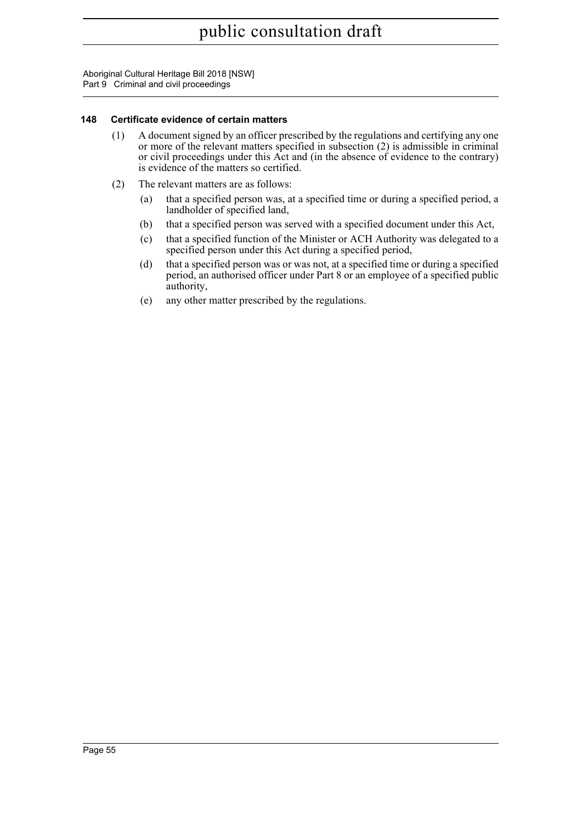Aboriginal Cultural Heritage Bill 2018 [NSW] Part 9 Criminal and civil proceedings

# **148 Certificate evidence of certain matters**

- (1) A document signed by an officer prescribed by the regulations and certifying any one or more of the relevant matters specified in subsection (2) is admissible in criminal or civil proceedings under this Act and (in the absence of evidence to the contrary) is evidence of the matters so certified.
- (2) The relevant matters are as follows:
	- (a) that a specified person was, at a specified time or during a specified period, a landholder of specified land,
	- (b) that a specified person was served with a specified document under this Act,
	- (c) that a specified function of the Minister or ACH Authority was delegated to a specified person under this Act during a specified period,
	- (d) that a specified person was or was not, at a specified time or during a specified period, an authorised officer under Part 8 or an employee of a specified public authority,
	- (e) any other matter prescribed by the regulations.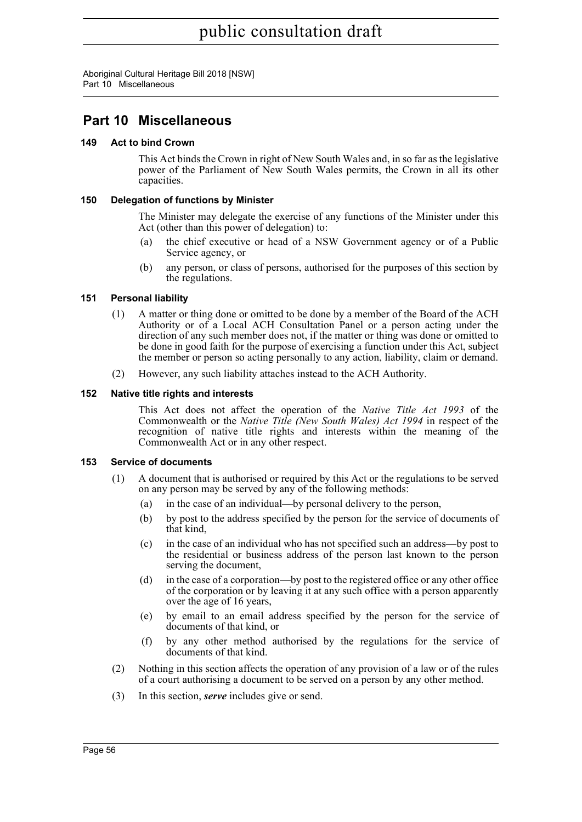Aboriginal Cultural Heritage Bill 2018 [NSW] Part 10 Miscellaneous

# **Part 10 Miscellaneous**

# **149 Act to bind Crown**

This Act binds the Crown in right of New South Wales and, in so far as the legislative power of the Parliament of New South Wales permits, the Crown in all its other capacities.

# **150 Delegation of functions by Minister**

The Minister may delegate the exercise of any functions of the Minister under this Act (other than this power of delegation) to:

- (a) the chief executive or head of a NSW Government agency or of a Public Service agency, or
- (b) any person, or class of persons, authorised for the purposes of this section by the regulations.

# **151 Personal liability**

- (1) A matter or thing done or omitted to be done by a member of the Board of the ACH Authority or of a Local ACH Consultation Panel or a person acting under the direction of any such member does not, if the matter or thing was done or omitted to be done in good faith for the purpose of exercising a function under this Act, subject the member or person so acting personally to any action, liability, claim or demand.
- (2) However, any such liability attaches instead to the ACH Authority.

# **152 Native title rights and interests**

This Act does not affect the operation of the *Native Title Act 1993* of the Commonwealth or the *Native Title (New South Wales) Act 1994* in respect of the recognition of native title rights and interests within the meaning of the Commonwealth Act or in any other respect.

# **153 Service of documents**

- (1) A document that is authorised or required by this Act or the regulations to be served on any person may be served by any of the following methods:
	- (a) in the case of an individual—by personal delivery to the person,
	- (b) by post to the address specified by the person for the service of documents of that kind,
	- (c) in the case of an individual who has not specified such an address—by post to the residential or business address of the person last known to the person serving the document,
	- (d) in the case of a corporation—by post to the registered office or any other office of the corporation or by leaving it at any such office with a person apparently over the age of 16 years,
	- (e) by email to an email address specified by the person for the service of documents of that kind, or
	- (f) by any other method authorised by the regulations for the service of documents of that kind.
- (2) Nothing in this section affects the operation of any provision of a law or of the rules of a court authorising a document to be served on a person by any other method.
- (3) In this section, *serve* includes give or send.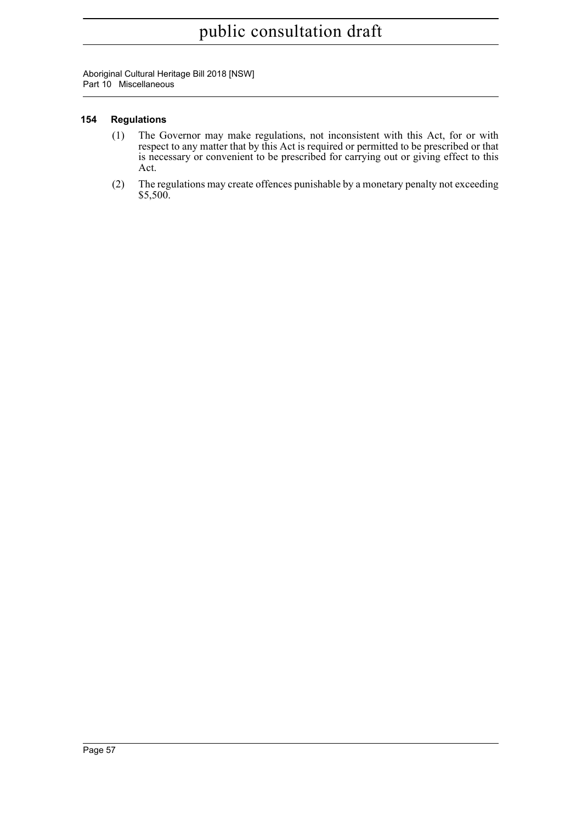Aboriginal Cultural Heritage Bill 2018 [NSW] Part 10 Miscellaneous

# **154 Regulations**

- (1) The Governor may make regulations, not inconsistent with this Act, for or with respect to any matter that by this Act is required or permitted to be prescribed or that is necessary or convenient to be prescribed for carrying out or giving effect to this Act.
- (2) The regulations may create offences punishable by a monetary penalty not exceeding \$5,500.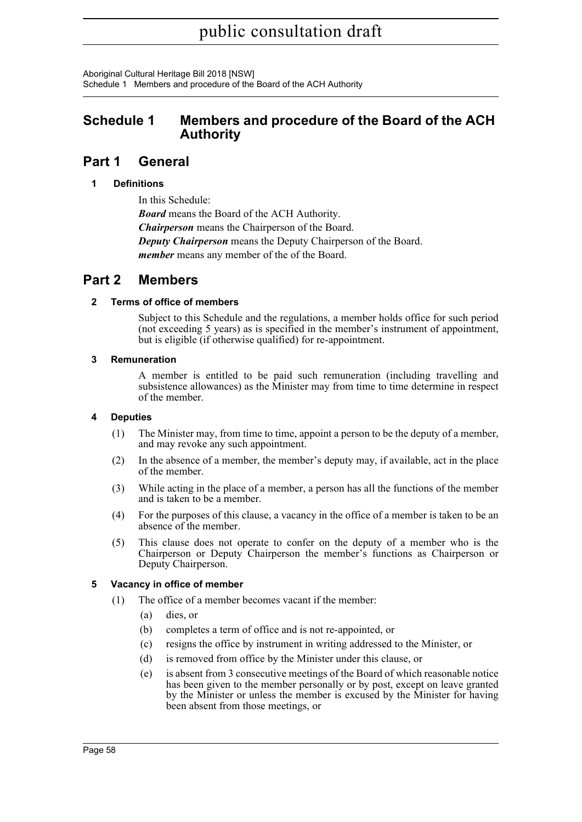Aboriginal Cultural Heritage Bill 2018 [NSW] Schedule 1 Members and procedure of the Board of the ACH Authority

# **Schedule 1 Members and procedure of the Board of the ACH Authority**

# **Part 1 General**

# **1 Definitions**

In this Schedule: *Board* means the Board of the ACH Authority. *Chairperson* means the Chairperson of the Board. *Deputy Chairperson* means the Deputy Chairperson of the Board. *member* means any member of the of the Board.

# **Part 2 Members**

# **2 Terms of office of members**

Subject to this Schedule and the regulations, a member holds office for such period (not exceeding 5 years) as is specified in the member's instrument of appointment, but is eligible (if otherwise qualified) for re-appointment.

# **3 Remuneration**

A member is entitled to be paid such remuneration (including travelling and subsistence allowances) as the Minister may from time to time determine in respect of the member.

# **4 Deputies**

- (1) The Minister may, from time to time, appoint a person to be the deputy of a member, and may revoke any such appointment.
- (2) In the absence of a member, the member's deputy may, if available, act in the place of the member.
- (3) While acting in the place of a member, a person has all the functions of the member and is taken to be a member.
- (4) For the purposes of this clause, a vacancy in the office of a member is taken to be an absence of the member.
- (5) This clause does not operate to confer on the deputy of a member who is the Chairperson or Deputy Chairperson the member's functions as Chairperson or Deputy Chairperson.

# **5 Vacancy in office of member**

- (1) The office of a member becomes vacant if the member:
	- (a) dies, or
	- (b) completes a term of office and is not re-appointed, or
	- (c) resigns the office by instrument in writing addressed to the Minister, or
	- (d) is removed from office by the Minister under this clause, or
	- (e) is absent from 3 consecutive meetings of the Board of which reasonable notice has been given to the member personally or by post, except on leave granted by the Minister or unless the member is excused by the Minister for having been absent from those meetings, or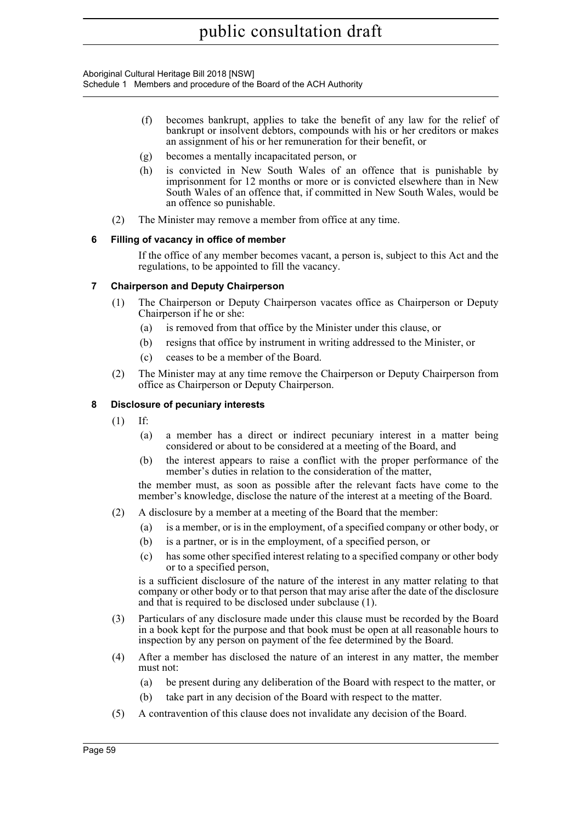Aboriginal Cultural Heritage Bill 2018 [NSW] Schedule 1 Members and procedure of the Board of the ACH Authority

- (f) becomes bankrupt, applies to take the benefit of any law for the relief of bankrupt or insolvent debtors, compounds with his or her creditors or makes an assignment of his or her remuneration for their benefit, or
- (g) becomes a mentally incapacitated person, or
- (h) is convicted in New South Wales of an offence that is punishable by imprisonment for 12 months or more or is convicted elsewhere than in New South Wales of an offence that, if committed in New South Wales, would be an offence so punishable.
- (2) The Minister may remove a member from office at any time.

# **6 Filling of vacancy in office of member**

If the office of any member becomes vacant, a person is, subject to this Act and the regulations, to be appointed to fill the vacancy.

# **7 Chairperson and Deputy Chairperson**

- (1) The Chairperson or Deputy Chairperson vacates office as Chairperson or Deputy Chairperson if he or she:
	- (a) is removed from that office by the Minister under this clause, or
	- (b) resigns that office by instrument in writing addressed to the Minister, or
	- (c) ceases to be a member of the Board.
- (2) The Minister may at any time remove the Chairperson or Deputy Chairperson from office as Chairperson or Deputy Chairperson.

# **8 Disclosure of pecuniary interests**

- (1) If:
	- (a) a member has a direct or indirect pecuniary interest in a matter being considered or about to be considered at a meeting of the Board, and
	- (b) the interest appears to raise a conflict with the proper performance of the member's duties in relation to the consideration of the matter,

the member must, as soon as possible after the relevant facts have come to the member's knowledge, disclose the nature of the interest at a meeting of the Board.

- (2) A disclosure by a member at a meeting of the Board that the member:
	- (a) is a member, or is in the employment, of a specified company or other body, or
	- (b) is a partner, or is in the employment, of a specified person, or
	- (c) has some other specified interest relating to a specified company or other body or to a specified person,

is a sufficient disclosure of the nature of the interest in any matter relating to that company or other body or to that person that may arise after the date of the disclosure and that is required to be disclosed under subclause (1).

- (3) Particulars of any disclosure made under this clause must be recorded by the Board in a book kept for the purpose and that book must be open at all reasonable hours to inspection by any person on payment of the fee determined by the Board.
- (4) After a member has disclosed the nature of an interest in any matter, the member must not:
	- (a) be present during any deliberation of the Board with respect to the matter, or
	- (b) take part in any decision of the Board with respect to the matter.
- (5) A contravention of this clause does not invalidate any decision of the Board.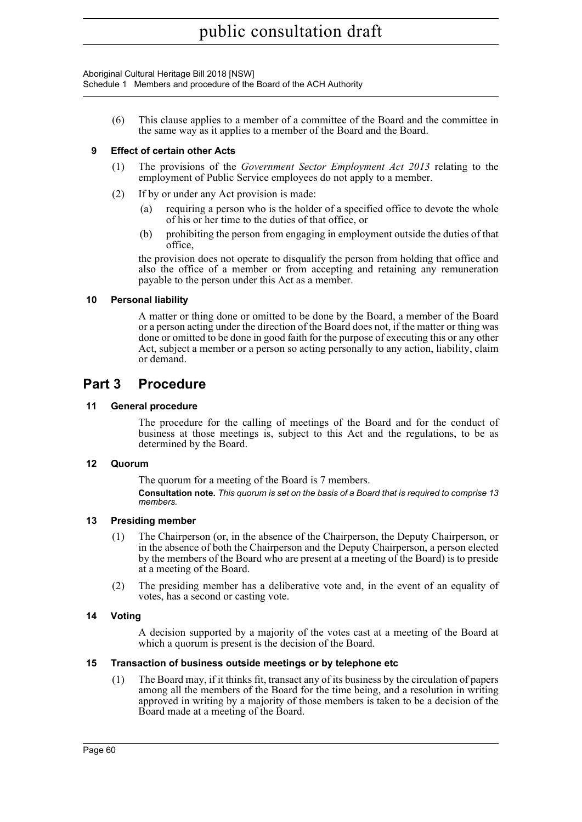Aboriginal Cultural Heritage Bill 2018 [NSW]

Schedule 1 Members and procedure of the Board of the ACH Authority

(6) This clause applies to a member of a committee of the Board and the committee in the same way as it applies to a member of the Board and the Board.

# **9 Effect of certain other Acts**

- (1) The provisions of the *Government Sector Employment Act 2013* relating to the employment of Public Service employees do not apply to a member.
- (2) If by or under any Act provision is made:
	- (a) requiring a person who is the holder of a specified office to devote the whole of his or her time to the duties of that office, or
	- (b) prohibiting the person from engaging in employment outside the duties of that office,

the provision does not operate to disqualify the person from holding that office and also the office of a member or from accepting and retaining any remuneration payable to the person under this Act as a member.

# **10 Personal liability**

A matter or thing done or omitted to be done by the Board, a member of the Board or a person acting under the direction of the Board does not, if the matter or thing was done or omitted to be done in good faith for the purpose of executing this or any other Act, subject a member or a person so acting personally to any action, liability, claim or demand.

# **Part 3 Procedure**

# **11 General procedure**

The procedure for the calling of meetings of the Board and for the conduct of business at those meetings is, subject to this Act and the regulations, to be as determined by the Board.

# **12 Quorum**

The quorum for a meeting of the Board is 7 members. **Consultation note.** *This quorum is set on the basis of a Board that is required to comprise 13 members.*

# **13 Presiding member**

- (1) The Chairperson (or, in the absence of the Chairperson, the Deputy Chairperson, or in the absence of both the Chairperson and the Deputy Chairperson, a person elected by the members of the Board who are present at a meeting of the Board) is to preside at a meeting of the Board.
- (2) The presiding member has a deliberative vote and, in the event of an equality of votes, has a second or casting vote.

# **14 Voting**

A decision supported by a majority of the votes cast at a meeting of the Board at which a quorum is present is the decision of the Board.

# **15 Transaction of business outside meetings or by telephone etc**

(1) The Board may, if it thinks fit, transact any of its business by the circulation of papers among all the members of the Board for the time being, and a resolution in writing approved in writing by a majority of those members is taken to be a decision of the Board made at a meeting of the Board.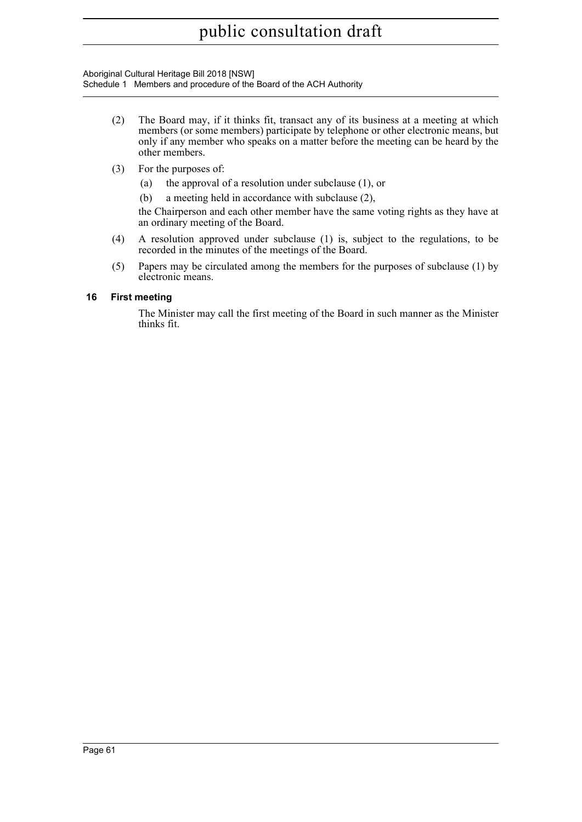Aboriginal Cultural Heritage Bill 2018 [NSW] Schedule 1 Members and procedure of the Board of the ACH Authority

- (2) The Board may, if it thinks fit, transact any of its business at a meeting at which members (or some members) participate by telephone or other electronic means, but only if any member who speaks on a matter before the meeting can be heard by the other members.
- (3) For the purposes of:
	- (a) the approval of a resolution under subclause (1), or
	- (b) a meeting held in accordance with subclause (2),

the Chairperson and each other member have the same voting rights as they have at an ordinary meeting of the Board.

- (4) A resolution approved under subclause (1) is, subject to the regulations, to be recorded in the minutes of the meetings of the Board.
- (5) Papers may be circulated among the members for the purposes of subclause (1) by electronic means.

# **16 First meeting**

The Minister may call the first meeting of the Board in such manner as the Minister thinks fit.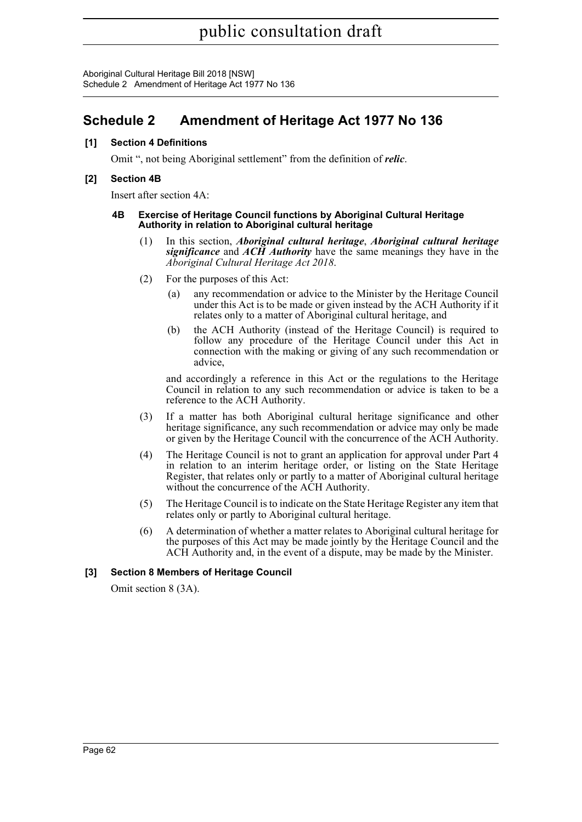Aboriginal Cultural Heritage Bill 2018 [NSW] Schedule 2 Amendment of Heritage Act 1977 No 136

# **Schedule 2 Amendment of Heritage Act 1977 No 136**

# **[1] Section 4 Definitions**

Omit ", not being Aboriginal settlement" from the definition of *relic*.

# **[2] Section 4B**

Insert after section 4A:

#### **4B Exercise of Heritage Council functions by Aboriginal Cultural Heritage Authority in relation to Aboriginal cultural heritage**

- (1) In this section, *Aboriginal cultural heritage*, *Aboriginal cultural heritage significance* and *ACH Authority* have the same meanings they have in the *Aboriginal Cultural Heritage Act 2018*.
- (2) For the purposes of this Act:
	- (a) any recommendation or advice to the Minister by the Heritage Council under this Act is to be made or given instead by the ACH Authority if it relates only to a matter of Aboriginal cultural heritage, and
	- (b) the ACH Authority (instead of the Heritage Council) is required to follow any procedure of the Heritage Council under this Act in connection with the making or giving of any such recommendation or advice,

and accordingly a reference in this Act or the regulations to the Heritage Council in relation to any such recommendation or advice is taken to be a reference to the ACH Authority.

- (3) If a matter has both Aboriginal cultural heritage significance and other heritage significance, any such recommendation or advice may only be made or given by the Heritage Council with the concurrence of the ACH Authority.
- (4) The Heritage Council is not to grant an application for approval under Part 4 in relation to an interim heritage order, or listing on the State Heritage Register, that relates only or partly to a matter of Aboriginal cultural heritage without the concurrence of the ACH Authority.
- (5) The Heritage Council is to indicate on the State Heritage Register any item that relates only or partly to Aboriginal cultural heritage.
- (6) A determination of whether a matter relates to Aboriginal cultural heritage for the purposes of this Act may be made jointly by the Heritage Council and the ACH Authority and, in the event of a dispute, may be made by the Minister.

# **[3] Section 8 Members of Heritage Council**

Omit section 8 (3A).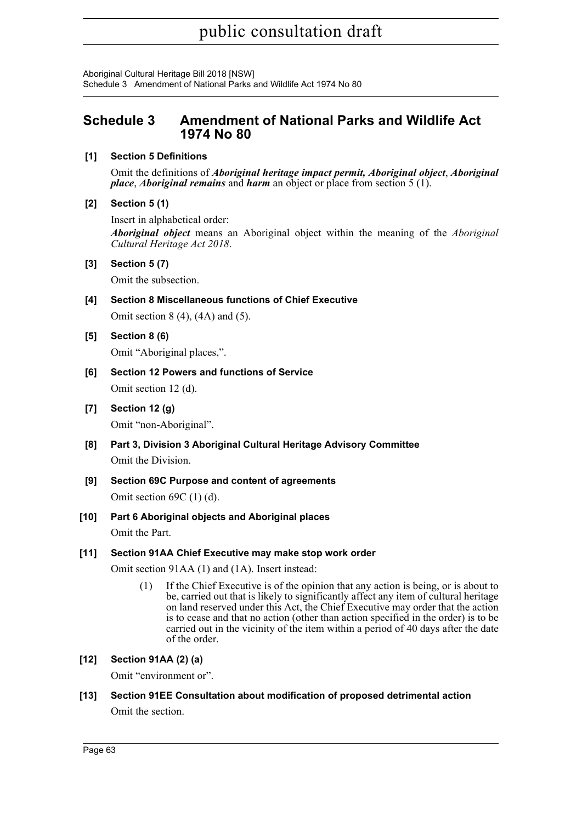Aboriginal Cultural Heritage Bill 2018 [NSW] Schedule 3 Amendment of National Parks and Wildlife Act 1974 No 80

# **Schedule 3 Amendment of National Parks and Wildlife Act 1974 No 80**

# **[1] Section 5 Definitions**

Omit the definitions of *Aboriginal heritage impact permit, Aboriginal object*, *Aboriginal place*, *Aboriginal remains* and *harm* an object or place from section 5 (1).

# **[2] Section 5 (1)**

Insert in alphabetical order: *Aboriginal object* means an Aboriginal object within the meaning of the *Aboriginal Cultural Heritage Act 2018*.

# **[3] Section 5 (7)**

Omit the subsection.

# **[4] Section 8 Miscellaneous functions of Chief Executive**

Omit section 8 (4), (4A) and (5).

**[5] Section 8 (6)**

Omit "Aboriginal places,".

# **[6] Section 12 Powers and functions of Service**

Omit section 12 (d).

- **[7] Section 12 (g)** Omit "non-Aboriginal".
- **[8] Part 3, Division 3 Aboriginal Cultural Heritage Advisory Committee** Omit the Division.
- **[9] Section 69C Purpose and content of agreements**

Omit section 69C (1) (d).

**[10] Part 6 Aboriginal objects and Aboriginal places**

Omit the Part.

# **[11] Section 91AA Chief Executive may make stop work order**

Omit section 91AA (1) and (1A). Insert instead:

(1) If the Chief Executive is of the opinion that any action is being, or is about to be, carried out that is likely to significantly affect any item of cultural heritage on land reserved under this Act, the Chief Executive may order that the action is to cease and that no action (other than action specified in the order) is to be carried out in the vicinity of the item within a period of 40 days after the date of the order.

# **[12] Section 91AA (2) (a)**

Omit "environment or".

# **[13] Section 91EE Consultation about modification of proposed detrimental action** Omit the section.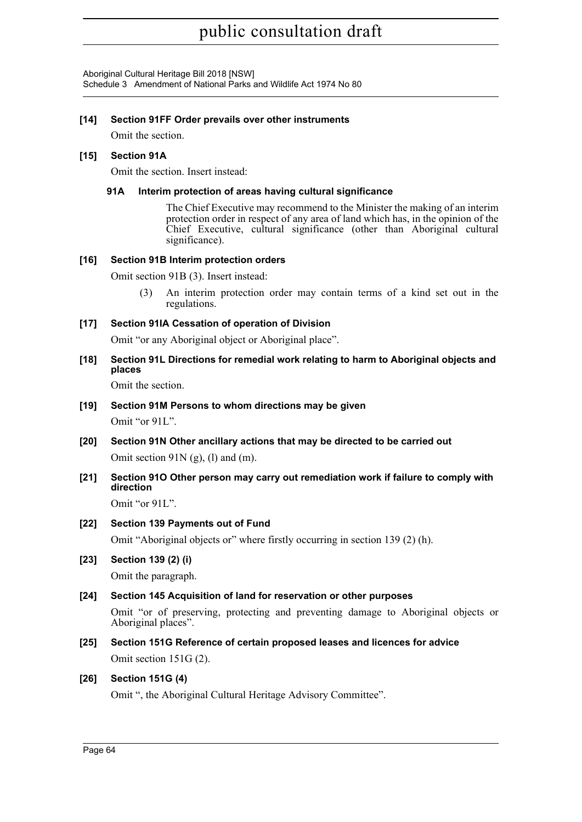Aboriginal Cultural Heritage Bill 2018 [NSW] Schedule 3 Amendment of National Parks and Wildlife Act 1974 No 80

# **[14] Section 91FF Order prevails over other instruments**

Omit the section.

# **[15] Section 91A**

Omit the section. Insert instead:

# **91A Interim protection of areas having cultural significance**

The Chief Executive may recommend to the Minister the making of an interim protection order in respect of any area of land which has, in the opinion of the Chief Executive, cultural significance (other than Aboriginal cultural significance).

# **[16] Section 91B Interim protection orders**

Omit section 91B (3). Insert instead:

(3) An interim protection order may contain terms of a kind set out in the regulations.

# **[17] Section 91IA Cessation of operation of Division**

Omit "or any Aboriginal object or Aboriginal place".

**[18] Section 91L Directions for remedial work relating to harm to Aboriginal objects and places**

Omit the section.

**[19] Section 91M Persons to whom directions may be given**

Omit "or 91L".

- **[20] Section 91N Other ancillary actions that may be directed to be carried out** Omit section  $91N$  (g), (l) and (m).
- **[21] Section 91O Other person may carry out remediation work if failure to comply with direction**

Omit "or 91L".

# **[22] Section 139 Payments out of Fund**

Omit "Aboriginal objects or" where firstly occurring in section 139 (2) (h).

# **[23] Section 139 (2) (i)**

Omit the paragraph.

# **[24] Section 145 Acquisition of land for reservation or other purposes**

Omit "or of preserving, protecting and preventing damage to Aboriginal objects or Aboriginal places".

**[25] Section 151G Reference of certain proposed leases and licences for advice** Omit section 151G (2).

# **[26] Section 151G (4)**

Omit ", the Aboriginal Cultural Heritage Advisory Committee".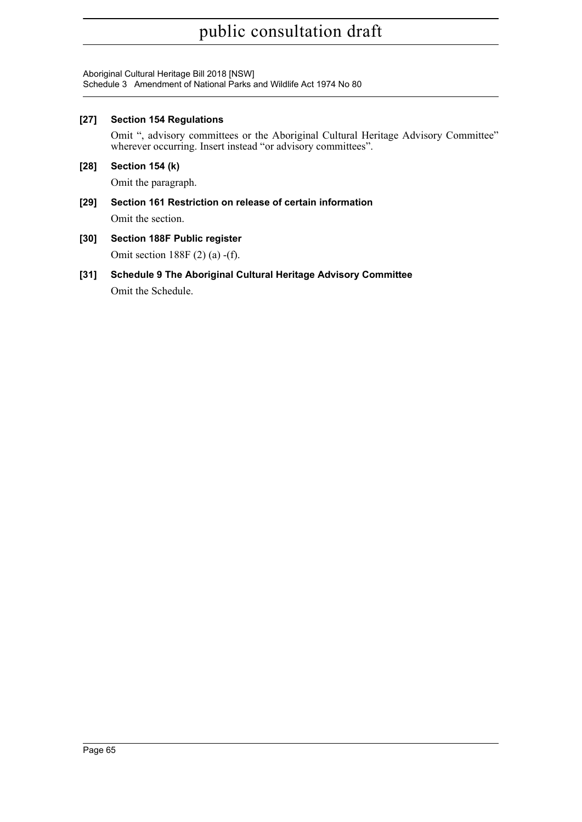# public consultation draft

Aboriginal Cultural Heritage Bill 2018 [NSW] Schedule 3 Amendment of National Parks and Wildlife Act 1974 No 80

## **[27] Section 154 Regulations**

Omit ", advisory committees or the Aboriginal Cultural Heritage Advisory Committee" wherever occurring. Insert instead "or advisory committees".

## **[28] Section 154 (k)**

Omit the paragraph.

## **[29] Section 161 Restriction on release of certain information** Omit the section.

- **[30] Section 188F Public register** Omit section 188F (2) (a) -(f).
- **[31] Schedule 9 The Aboriginal Cultural Heritage Advisory Committee** Omit the Schedule.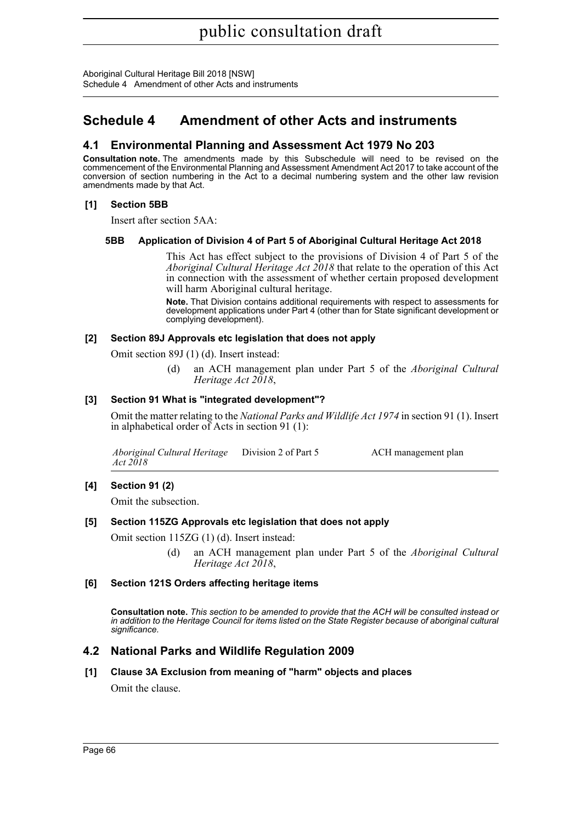Aboriginal Cultural Heritage Bill 2018 [NSW] Schedule 4 Amendment of other Acts and instruments

# **Schedule 4 Amendment of other Acts and instruments**

## **4.1 Environmental Planning and Assessment Act 1979 No 203**

**Consultation note.** The amendments made by this Subschedule will need to be revised on the commencement of the Environmental Planning and Assessment Amendment Act 2017 to take account of the conversion of section numbering in the Act to a decimal numbering system and the other law revision amendments made by that Act.

## **[1] Section 5BB**

Insert after section 5AA:

### **5BB Application of Division 4 of Part 5 of Aboriginal Cultural Heritage Act 2018**

This Act has effect subject to the provisions of Division 4 of Part 5 of the *Aboriginal Cultural Heritage Act 2018* that relate to the operation of this Act in connection with the assessment of whether certain proposed development will harm Aboriginal cultural heritage.

**Note.** That Division contains additional requirements with respect to assessments for development applications under Part 4 (other than for State significant development or complying development).

### **[2] Section 89J Approvals etc legislation that does not apply**

Omit section 89J (1) (d). Insert instead:

(d) an ACH management plan under Part 5 of the *Aboriginal Cultural Heritage Act 2018*,

## **[3] Section 91 What is "integrated development"?**

Omit the matter relating to the *National Parks and Wildlife Act 1974* in section 91 (1). Insert in alphabetical order of Acts in section 91 (1):

*Aboriginal Cultural Heritage Act 2018* ACH management plan

## **[4] Section 91 (2)**

Omit the subsection.

### **[5] Section 115ZG Approvals etc legislation that does not apply**

Omit section 115ZG (1) (d). Insert instead:

(d) an ACH management plan under Part 5 of the *Aboriginal Cultural Heritage Act 2018*,

### **[6] Section 121S Orders affecting heritage items**

**Consultation note.** *This section to be amended to provide that the ACH will be consulted instead or in addition to the Heritage Council for items listed on the State Register because of aboriginal cultural significance.*

## **4.2 National Parks and Wildlife Regulation 2009**

**[1] Clause 3A Exclusion from meaning of "harm" objects and places**

Omit the clause.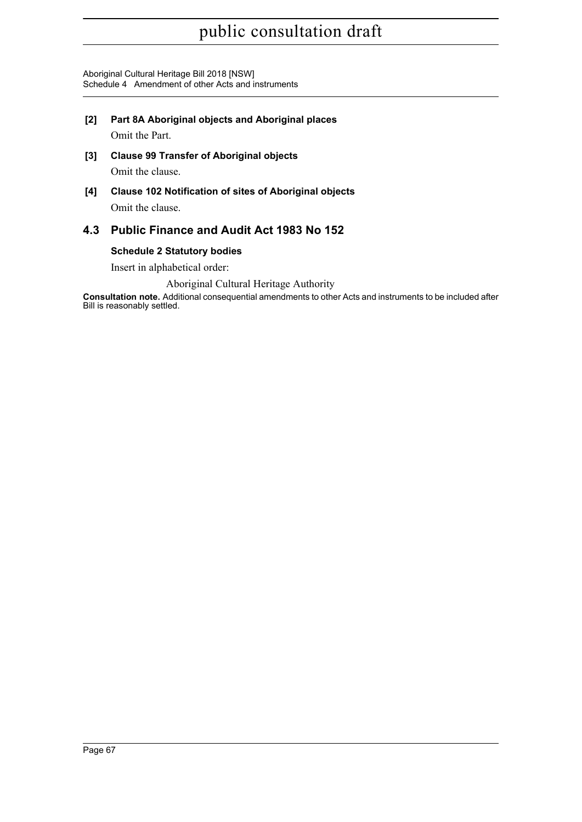# public consultation draft

Aboriginal Cultural Heritage Bill 2018 [NSW] Schedule 4 Amendment of other Acts and instruments

**[2] Part 8A Aboriginal objects and Aboriginal places**

Omit the Part.

- **[3] Clause 99 Transfer of Aboriginal objects** Omit the clause.
- **[4] Clause 102 Notification of sites of Aboriginal objects** Omit the clause.

## **4.3 Public Finance and Audit Act 1983 No 152**

## **Schedule 2 Statutory bodies**

Insert in alphabetical order:

## Aboriginal Cultural Heritage Authority

**Consultation note.** Additional consequential amendments to other Acts and instruments to be included after Bill is reasonably settled.